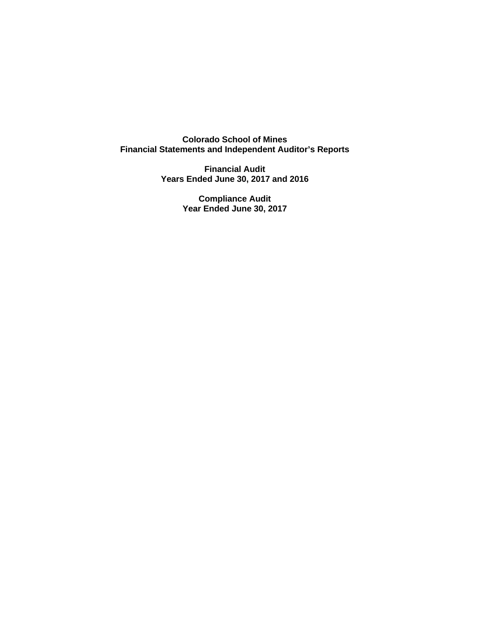**Colorado School of Mines Financial Statements and Independent Auditor's Reports** 

> **Financial Audit Years Ended June 30, 2017 and 2016**

> > **Compliance Audit Year Ended June 30, 2017**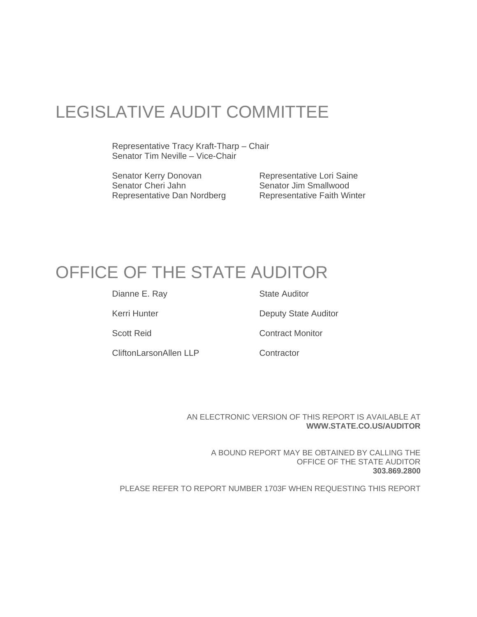# LEGISLATIVE AUDIT COMMITTEE

Representative Tracy Kraft-Tharp – Chair Senator Tim Neville – Vice-Chair

Senator Kerry Donovan Representative Lori Saine Senator Cheri Jahn Senator Jim Smallwood Representative Dan Nordberg Representative Faith Winter

# OFFICE OF THE STATE AUDITOR

Dianne E. Ray State Auditor

CliftonLarsonAllen LLP Contractor

Kerri Hunter **Deputy State Auditor** 

Scott Reid **Contract Monitor** 

AN ELECTRONIC VERSION OF THIS REPORT IS AVAILABLE AT **WWW.STATE.CO.US/AUDITOR**

A BOUND REPORT MAY BE OBTAINED BY CALLING THE OFFICE OF THE STATE AUDITOR **303.869.2800**

PLEASE REFER TO REPORT NUMBER 1703F WHEN REQUESTING THIS REPORT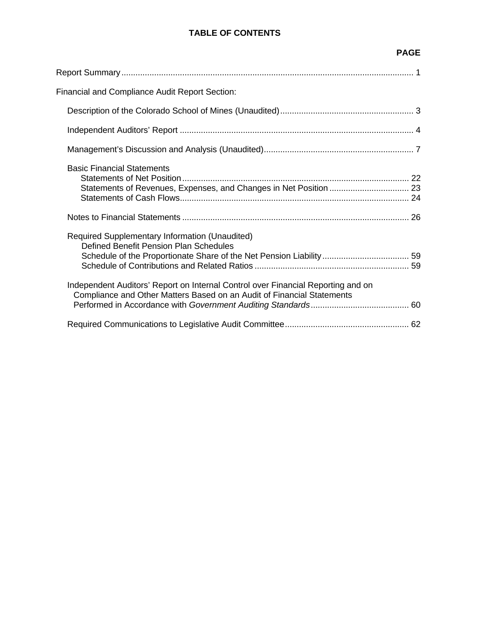# **TABLE OF CONTENTS**

## **PAGE**

| <b>Financial and Compliance Audit Report Section:</b>                                                                                                      |  |
|------------------------------------------------------------------------------------------------------------------------------------------------------------|--|
|                                                                                                                                                            |  |
|                                                                                                                                                            |  |
|                                                                                                                                                            |  |
| <b>Basic Financial Statements</b>                                                                                                                          |  |
|                                                                                                                                                            |  |
| Required Supplementary Information (Unaudited)<br>Defined Benefit Pension Plan Schedules                                                                   |  |
| Independent Auditors' Report on Internal Control over Financial Reporting and on<br>Compliance and Other Matters Based on an Audit of Financial Statements |  |
|                                                                                                                                                            |  |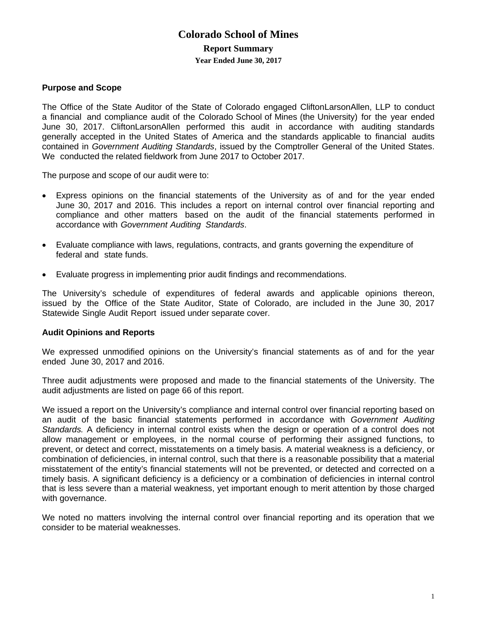# **Colorado School of Mines Report Summary Year Ended June 30, 2017**

### **Purpose and Scope**

The Office of the State Auditor of the State of Colorado engaged CliftonLarsonAllen, LLP to conduct a financial and compliance audit of the Colorado School of Mines (the University) for the year ended June 30, 2017. CliftonLarsonAllen performed this audit in accordance with auditing standards generally accepted in the United States of America and the standards applicable to financial audits contained in *Government Auditing Standards*, issued by the Comptroller General of the United States. We conducted the related fieldwork from June 2017 to October 2017.

The purpose and scope of our audit were to:

- Express opinions on the financial statements of the University as of and for the year ended June 30, 2017 and 2016. This includes a report on internal control over financial reporting and compliance and other matters based on the audit of the financial statements performed in accordance with *Government Auditing Standards*.
- Evaluate compliance with laws, regulations, contracts, and grants governing the expenditure of federal and state funds.
- Evaluate progress in implementing prior audit findings and recommendations.

The University's schedule of expenditures of federal awards and applicable opinions thereon, issued by the Office of the State Auditor, State of Colorado, are included in the June 30, 2017 Statewide Single Audit Report issued under separate cover.

### **Audit Opinions and Reports**

We expressed unmodified opinions on the University's financial statements as of and for the year ended June 30, 2017 and 2016.

Three audit adjustments were proposed and made to the financial statements of the University. The audit adjustments are listed on page 66 of this report.

We issued a report on the University's compliance and internal control over financial reporting based on an audit of the basic financial statements performed in accordance with *Government Auditing Standards.* A deficiency in internal control exists when the design or operation of a control does not allow management or employees, in the normal course of performing their assigned functions, to prevent, or detect and correct, misstatements on a timely basis. A material weakness is a deficiency, or combination of deficiencies, in internal control, such that there is a reasonable possibility that a material misstatement of the entity's financial statements will not be prevented, or detected and corrected on a timely basis. A significant deficiency is a deficiency or a combination of deficiencies in internal control that is less severe than a material weakness, yet important enough to merit attention by those charged with governance.

We noted no matters involving the internal control over financial reporting and its operation that we consider to be material weaknesses.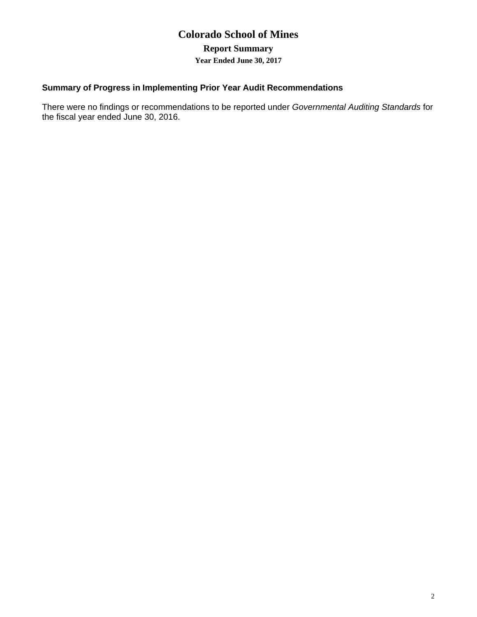# **Colorado School of Mines Report Summary**

**Year Ended June 30, 2017** 

## **Summary of Progress in Implementing Prior Year Audit Recommendations**

There were no findings or recommendations to be reported under *Governmental Auditing Standards* for the fiscal year ended June 30, 2016.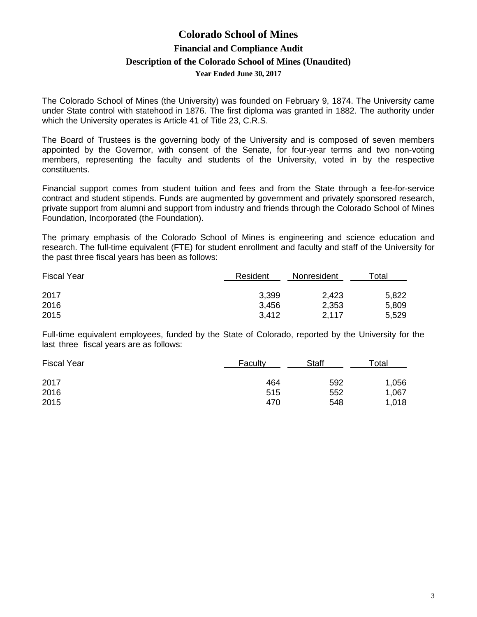# **Colorado School of Mines Financial and Compliance Audit Description of the Colorado School of Mines (Unaudited) Year Ended June 30, 2017**

The Colorado School of Mines (the University) was founded on February 9, 1874. The University came under State control with statehood in 1876. The first diploma was granted in 1882. The authority under which the University operates is Article 41 of Title 23, C.R.S.

The Board of Trustees is the governing body of the University and is composed of seven members appointed by the Governor, with consent of the Senate, for four-year terms and two non-voting members, representing the faculty and students of the University, voted in by the respective constituents.

Financial support comes from student tuition and fees and from the State through a fee-for-service contract and student stipends. Funds are augmented by government and privately sponsored research, private support from alumni and support from industry and friends through the Colorado School of Mines Foundation, Incorporated (the Foundation).

The primary emphasis of the Colorado School of Mines is engineering and science education and research. The full-time equivalent (FTE) for student enrollment and faculty and staff of the University for the past three fiscal years has been as follows:

| <b>Fiscal Year</b> | Resident | Nonresident | Total |
|--------------------|----------|-------------|-------|
| 2017               | 3,399    | 2,423       | 5,822 |
| 2016               | 3,456    | 2,353       | 5,809 |
| 2015               | 3,412    | 2,117       | 5,529 |

Full-time equivalent employees, funded by the State of Colorado, reported by the University for the last three fiscal years are as follows:

| <b>Fiscal Year</b> | Faculty | <b>Staff</b> | Total |
|--------------------|---------|--------------|-------|
| 2017               | 464     | 592          | 1,056 |
| 2016               | 515     | 552          | 1,067 |
| 2015               | 470     | 548          | 1,018 |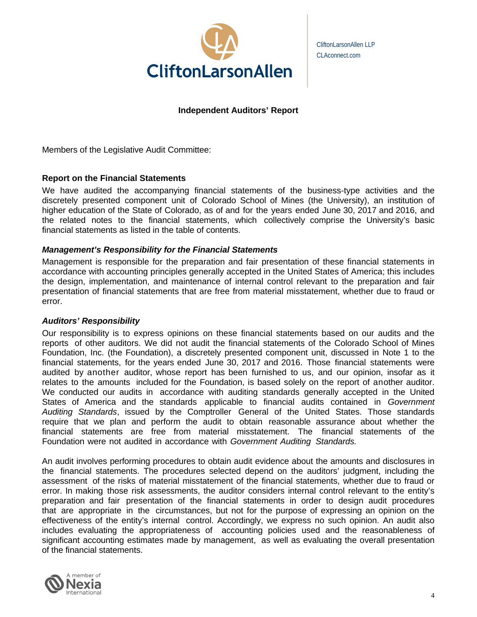

CliftonLarsonAllen LLP CLAconnect.com

#### **Independent Auditors' Report**

Members of the Legislative Audit Committee:

#### **Report on the Financial Statements**

We have audited the accompanying financial statements of the business-type activities and the discretely presented component unit of Colorado School of Mines (the University), an institution of higher education of the State of Colorado, as of and for the years ended June 30, 2017 and 2016, and the related notes to the financial statements, which collectively comprise the University's basic financial statements as listed in the table of contents.

#### *Management's Responsibility for the Financial Statements*

Management is responsible for the preparation and fair presentation of these financial statements in accordance with accounting principles generally accepted in the United States of America; this includes the design, implementation, and maintenance of internal control relevant to the preparation and fair presentation of financial statements that are free from material misstatement, whether due to fraud or error.

#### *Auditors' Responsibility*

Our responsibility is to express opinions on these financial statements based on our audits and the reports of other auditors. We did not audit the financial statements of the Colorado School of Mines Foundation, Inc. (the Foundation), a discretely presented component unit, discussed in Note 1 to the financial statements, for the years ended June 30, 2017 and 2016. Those financial statements were audited by another auditor, whose report has been furnished to us, and our opinion, insofar as it relates to the amounts included for the Foundation, is based solely on the report of another auditor. We conducted our audits in accordance with auditing standards generally accepted in the United States of America and the standards applicable to financial audits contained in *Government Auditing Standards*, issued by the Comptroller General of the United States. Those standards require that we plan and perform the audit to obtain reasonable assurance about whether the financial statements are free from material misstatement. The financial statements of the Foundation were not audited in accordance with *Government Auditing Standards.*

An audit involves performing procedures to obtain audit evidence about the amounts and disclosures in the financial statements. The procedures selected depend on the auditors' judgment, including the assessment of the risks of material misstatement of the financial statements, whether due to fraud or error. In making those risk assessments, the auditor considers internal control relevant to the entity's preparation and fair presentation of the financial statements in order to design audit procedures that are appropriate in the circumstances, but not for the purpose of expressing an opinion on the effectiveness of the entity's internal control. Accordingly, we express no such opinion. An audit also includes evaluating the appropriateness of accounting policies used and the reasonableness of significant accounting estimates made by management, as well as evaluating the overall presentation of the financial statements.

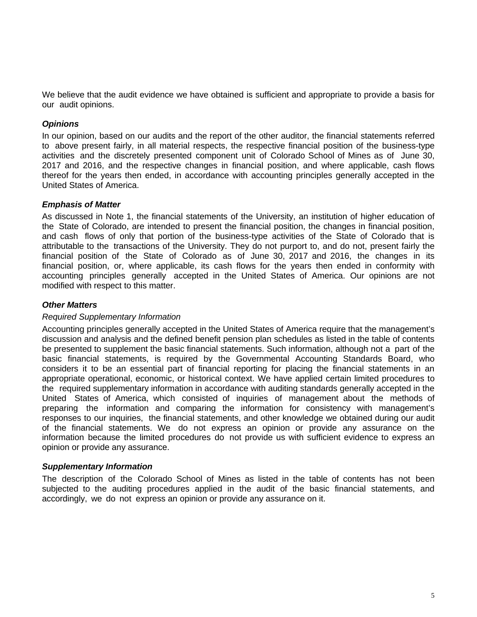We believe that the audit evidence we have obtained is sufficient and appropriate to provide a basis for our audit opinions.

### *Opinions*

In our opinion, based on our audits and the report of the other auditor, the financial statements referred to above present fairly, in all material respects, the respective financial position of the business-type activities and the discretely presented component unit of Colorado School of Mines as of June 30, 2017 and 2016, and the respective changes in financial position, and where applicable, cash flows thereof for the years then ended, in accordance with accounting principles generally accepted in the United States of America.

### *Emphasis of Matter*

As discussed in Note 1, the financial statements of the University, an institution of higher education of the State of Colorado, are intended to present the financial position, the changes in financial position, and cash flows of only that portion of the business-type activities of the State of Colorado that is attributable to the transactions of the University. They do not purport to, and do not, present fairly the financial position of the State of Colorado as of June 30, 2017 and 2016, the changes in its financial position, or, where applicable, its cash flows for the years then ended in conformity with accounting principles generally accepted in the United States of America. Our opinions are not modified with respect to this matter.

## *Other Matters*

### *Required Supplementary Information*

Accounting principles generally accepted in the United States of America require that the management's discussion and analysis and the defined benefit pension plan schedules as listed in the table of contents be presented to supplement the basic financial statements. Such information, although not a part of the basic financial statements, is required by the Governmental Accounting Standards Board, who considers it to be an essential part of financial reporting for placing the financial statements in an appropriate operational, economic, or historical context. We have applied certain limited procedures to the required supplementary information in accordance with auditing standards generally accepted in the United States of America, which consisted of inquiries of management about the methods of preparing the information and comparing the information for consistency with management's responses to our inquiries, the financial statements, and other knowledge we obtained during our audit of the financial statements. We do not express an opinion or provide any assurance on the information because the limited procedures do not provide us with sufficient evidence to express an opinion or provide any assurance.

### *Supplementary Information*

The description of the Colorado School of Mines as listed in the table of contents has not been subjected to the auditing procedures applied in the audit of the basic financial statements, and accordingly, we do not express an opinion or provide any assurance on it.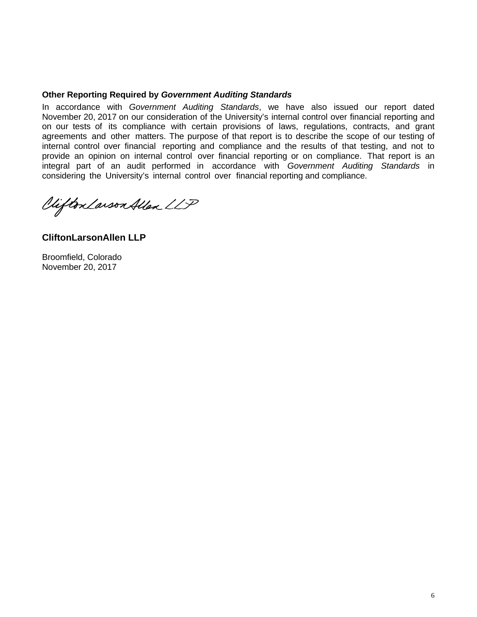#### **Other Reporting Required by** *Government Auditing Standards*

In accordance with *Government Auditing Standards*, we have also issued our report dated November 20, 2017 on our consideration of the University's internal control over financial reporting and on our tests of its compliance with certain provisions of laws, regulations, contracts, and grant agreements and other matters. The purpose of that report is to describe the scope of our testing of internal control over financial reporting and compliance and the results of that testing, and not to provide an opinion on internal control over financial reporting or on compliance. That report is an integral part of an audit performed in accordance with *Government Auditing Standards* in considering the University's internal control over financial reporting and compliance.

Viifton Larson Allen LLP

**CliftonLarsonAllen LLP** 

Broomfield, Colorado November 20, 2017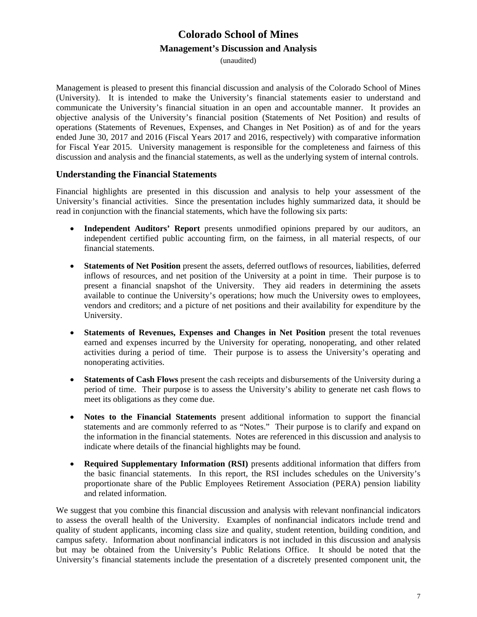(unaudited)

Management is pleased to present this financial discussion and analysis of the Colorado School of Mines (University). It is intended to make the University's financial statements easier to understand and communicate the University's financial situation in an open and accountable manner. It provides an objective analysis of the University's financial position (Statements of Net Position) and results of operations (Statements of Revenues, Expenses, and Changes in Net Position) as of and for the years ended June 30, 2017 and 2016 (Fiscal Years 2017 and 2016, respectively) with comparative information for Fiscal Year 2015. University management is responsible for the completeness and fairness of this discussion and analysis and the financial statements, as well as the underlying system of internal controls.

#### **Understanding the Financial Statements**

Financial highlights are presented in this discussion and analysis to help your assessment of the University's financial activities. Since the presentation includes highly summarized data, it should be read in conjunction with the financial statements, which have the following six parts:

- **Independent Auditors' Report** presents unmodified opinions prepared by our auditors, an independent certified public accounting firm, on the fairness, in all material respects, of our financial statements.
- **Statements of Net Position** present the assets, deferred outflows of resources, liabilities, deferred inflows of resources, and net position of the University at a point in time. Their purpose is to present a financial snapshot of the University. They aid readers in determining the assets available to continue the University's operations; how much the University owes to employees, vendors and creditors; and a picture of net positions and their availability for expenditure by the University.
- **Statements of Revenues, Expenses and Changes in Net Position** present the total revenues earned and expenses incurred by the University for operating, nonoperating, and other related activities during a period of time. Their purpose is to assess the University's operating and nonoperating activities.
- **Statements of Cash Flows** present the cash receipts and disbursements of the University during a period of time. Their purpose is to assess the University's ability to generate net cash flows to meet its obligations as they come due.
- **Notes to the Financial Statements** present additional information to support the financial statements and are commonly referred to as "Notes." Their purpose is to clarify and expand on the information in the financial statements. Notes are referenced in this discussion and analysis to indicate where details of the financial highlights may be found.
- **Required Supplementary Information (RSI)** presents additional information that differs from the basic financial statements. In this report, the RSI includes schedules on the University's proportionate share of the Public Employees Retirement Association (PERA) pension liability and related information.

We suggest that you combine this financial discussion and analysis with relevant nonfinancial indicators to assess the overall health of the University. Examples of nonfinancial indicators include trend and quality of student applicants, incoming class size and quality, student retention, building condition, and campus safety. Information about nonfinancial indicators is not included in this discussion and analysis but may be obtained from the University's Public Relations Office. It should be noted that the University's financial statements include the presentation of a discretely presented component unit, the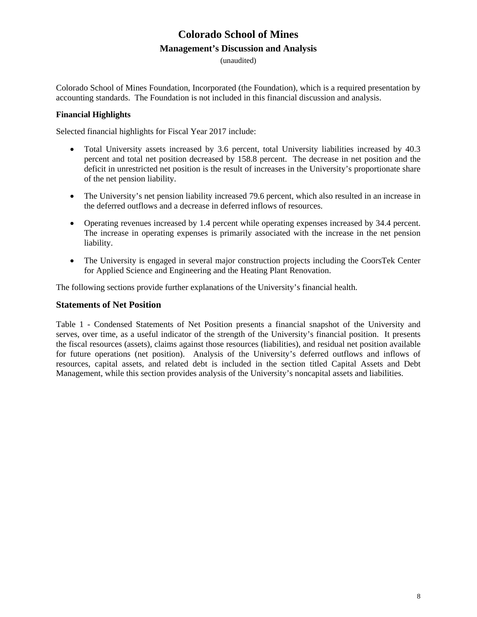(unaudited)

Colorado School of Mines Foundation, Incorporated (the Foundation), which is a required presentation by accounting standards. The Foundation is not included in this financial discussion and analysis.

#### **Financial Highlights**

Selected financial highlights for Fiscal Year 2017 include:

- Total University assets increased by 3.6 percent, total University liabilities increased by 40.3 percent and total net position decreased by 158.8 percent. The decrease in net position and the deficit in unrestricted net position is the result of increases in the University's proportionate share of the net pension liability.
- The University's net pension liability increased 79.6 percent, which also resulted in an increase in the deferred outflows and a decrease in deferred inflows of resources.
- Operating revenues increased by 1.4 percent while operating expenses increased by 34.4 percent. The increase in operating expenses is primarily associated with the increase in the net pension liability.
- The University is engaged in several major construction projects including the CoorsTek Center for Applied Science and Engineering and the Heating Plant Renovation.

The following sections provide further explanations of the University's financial health.

#### **Statements of Net Position**

Table 1 - Condensed Statements of Net Position presents a financial snapshot of the University and serves, over time, as a useful indicator of the strength of the University's financial position. It presents the fiscal resources (assets), claims against those resources (liabilities), and residual net position available for future operations (net position). Analysis of the University's deferred outflows and inflows of resources, capital assets, and related debt is included in the section titled Capital Assets and Debt Management, while this section provides analysis of the University's noncapital assets and liabilities.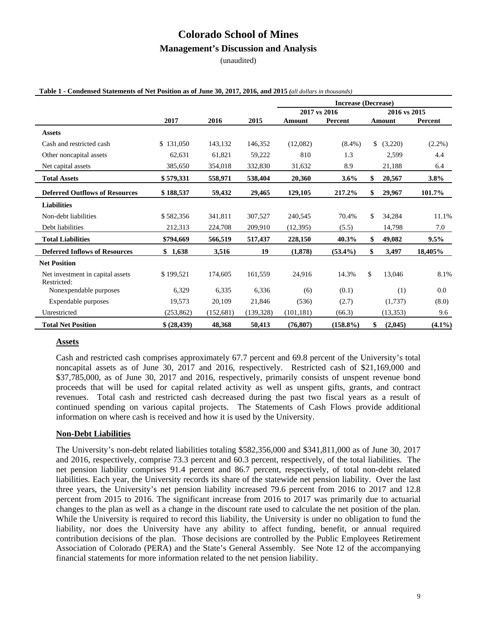(unaudited)

|                                                 |             |           |            | <b>Increase (Decrease)</b> |              |              |              |           |
|-------------------------------------------------|-------------|-----------|------------|----------------------------|--------------|--------------|--------------|-----------|
|                                                 |             |           |            |                            | 2017 vs 2016 |              | 2016 vs 2015 |           |
|                                                 | 2017        | 2016      | 2015       | Amount                     | Percent      |              | Amount       | Percent   |
| <b>Assets</b>                                   |             |           |            |                            |              |              |              |           |
| Cash and restricted cash                        | \$131,050   | 143,132   | 146,352    | (12,082)                   | $(8.4\%)$    | $\mathbb{S}$ | (3,220)      | (2.2%)    |
| Other noncapital assets                         | 62,631      | 61,821    | 59,222     | 810                        | 1.3          |              | 2,599        | 4.4       |
| Net capital assets                              | 385,650     | 354,018   | 332,830    | 31,632                     | 8.9          |              | 21,188       | 6.4       |
| <b>Total Assets</b>                             | \$579,331   | 558,971   | 538,404    | 20.360                     | 3.6%         | \$           | 20,567       | 3.8%      |
| <b>Deferred Outflows of Resources</b>           | \$188,537   | 59,432    | 29,465     | 129,105                    | 217.2%       | \$           | 29,967       | 101.7%    |
| <b>Liabilities</b>                              |             |           |            |                            |              |              |              |           |
| Non-debt liabilities                            | \$582,356   | 341,811   | 307,527    | 240,545                    | 70.4%        | \$           | 34,284       | 11.1%     |
| Debt liabilities                                | 212,313     | 224,708   | 209,910    | (12,395)                   | (5.5)        |              | 14,798       | 7.0       |
| <b>Total Liabilities</b>                        | \$794,669   | 566,519   | 517,437    | 228,150                    | 40.3%        | \$           | 49,082       | 9.5%      |
| <b>Deferred Inflows of Resources</b>            | \$1,638     | 3,516     | 19         | (1, 878)                   | $(53.4\%)$   | \$           | 3,497        | 18,405%   |
| <b>Net Position</b>                             |             |           |            |                            |              |              |              |           |
| Net investment in capital assets<br>Restricted: | \$199,521   | 174,605   | 161,559    | 24,916                     | 14.3%        | \$           | 13,046       | 8.1%      |
| Nonexpendable purposes                          | 6,329       | 6,335     | 6,336      | (6)                        | (0.1)        |              | (1)          | 0.0       |
| Expendable purposes                             | 19,573      | 20,109    | 21,846     | (536)                      | (2.7)        |              | (1,737)      | (8.0)     |
| Unrestricted                                    | (253, 862)  | (152,681) | (139, 328) | (101, 181)                 | (66.3)       |              | (13, 353)    | 9.6       |
| <b>Total Net Position</b>                       | \$ (28,439) | 48,368    | 50,413     | (76, 807)                  | $(158.8\%)$  | \$           | (2,045)      | $(4.1\%)$ |

#### **Table 1 - Condensed Statements of Net Position as of June 30, 2017, 2016, and 2015** *(all dollars in thousands)*

#### **Assets**

Cash and restricted cash comprises approximately 67.7 percent and 69.8 percent of the University's total noncapital assets as of June 30, 2017 and 2016, respectively. Restricted cash of \$21,169,000 and \$37,785,000, as of June 30, 2017 and 2016, respectively, primarily consists of unspent revenue bond proceeds that will be used for capital related activity as well as unspent gifts, grants, and contract revenues. Total cash and restricted cash decreased during the past two fiscal years as a result of continued spending on various capital projects. The Statements of Cash Flows provide additional information on where cash is received and how it is used by the University.

#### **Non-Debt Liabilities**

The University's non-debt related liabilities totaling \$582,356,000 and \$341,811,000 as of June 30, 2017 and 2016, respectively, comprise 73.3 percent and 60.3 percent, respectively, of the total liabilities. The net pension liability comprises 91.4 percent and 86.7 percent, respectively, of total non-debt related liabilities. Each year, the University records its share of the statewide net pension liability. Over the last three years, the University's net pension liability increased 79.6 percent from 2016 to 2017 and 12.8 percent from 2015 to 2016. The significant increase from 2016 to 2017 was primarily due to actuarial changes to the plan as well as a change in the discount rate used to calculate the net position of the plan. While the University is required to record this liability, the University is under no obligation to fund the liability, nor does the University have any ability to affect funding, benefit, or annual required contribution decisions of the plan. Those decisions are controlled by the Public Employees Retirement Association of Colorado (PERA) and the State's General Assembly. See Note 12 of the accompanying financial statements for more information related to the net pension liability.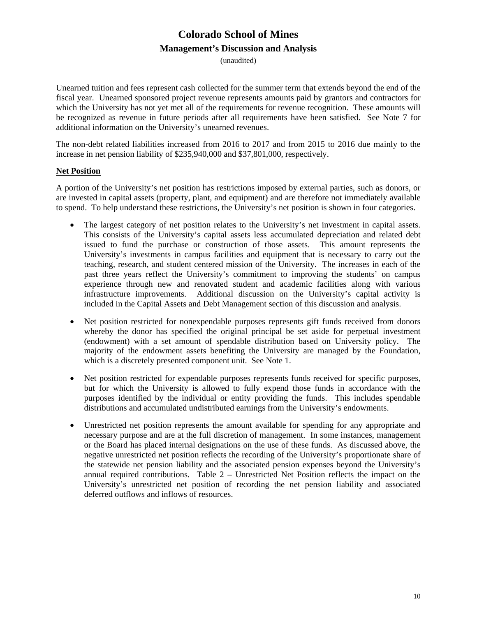(unaudited)

Unearned tuition and fees represent cash collected for the summer term that extends beyond the end of the fiscal year. Unearned sponsored project revenue represents amounts paid by grantors and contractors for which the University has not yet met all of the requirements for revenue recognition. These amounts will be recognized as revenue in future periods after all requirements have been satisfied. See Note 7 for additional information on the University's unearned revenues.

The non-debt related liabilities increased from 2016 to 2017 and from 2015 to 2016 due mainly to the increase in net pension liability of \$235,940,000 and \$37,801,000, respectively.

### **Net Position**

A portion of the University's net position has restrictions imposed by external parties, such as donors, or are invested in capital assets (property, plant, and equipment) and are therefore not immediately available to spend. To help understand these restrictions, the University's net position is shown in four categories.

- The largest category of net position relates to the University's net investment in capital assets. This consists of the University's capital assets less accumulated depreciation and related debt issued to fund the purchase or construction of those assets. This amount represents the University's investments in campus facilities and equipment that is necessary to carry out the teaching, research, and student centered mission of the University. The increases in each of the past three years reflect the University's commitment to improving the students' on campus experience through new and renovated student and academic facilities along with various infrastructure improvements. Additional discussion on the University's capital activity is included in the Capital Assets and Debt Management section of this discussion and analysis.
- Net position restricted for nonexpendable purposes represents gift funds received from donors whereby the donor has specified the original principal be set aside for perpetual investment (endowment) with a set amount of spendable distribution based on University policy. The majority of the endowment assets benefiting the University are managed by the Foundation, which is a discretely presented component unit. See Note 1.
- Net position restricted for expendable purposes represents funds received for specific purposes, but for which the University is allowed to fully expend those funds in accordance with the purposes identified by the individual or entity providing the funds. This includes spendable distributions and accumulated undistributed earnings from the University's endowments.
- Unrestricted net position represents the amount available for spending for any appropriate and necessary purpose and are at the full discretion of management. In some instances, management or the Board has placed internal designations on the use of these funds. As discussed above, the negative unrestricted net position reflects the recording of the University's proportionate share of the statewide net pension liability and the associated pension expenses beyond the University's annual required contributions. Table  $2 -$  Unrestricted Net Position reflects the impact on the University's unrestricted net position of recording the net pension liability and associated deferred outflows and inflows of resources.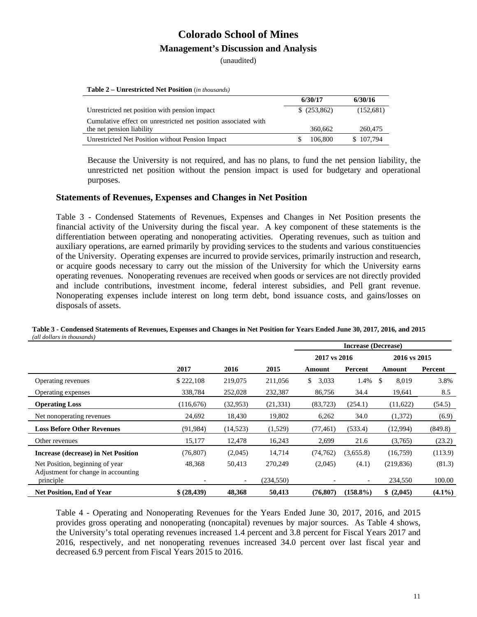(unaudited)

**Table 2 – Unrestricted Net Position** (*in thousands)*

|                                                                | 6/30/17     | 6/30/16   |
|----------------------------------------------------------------|-------------|-----------|
| Unrestricted net position with pension impact                  | \$(253,862) | (152,681) |
| Cumulative effect on unrestricted net position associated with |             |           |
| the net pension liability                                      | 360.662     | 260,475   |
| Unrestricted Net Position without Pension Impact               | 106,800     | \$107,794 |

Because the University is not required, and has no plans, to fund the net pension liability, the unrestricted net position without the pension impact is used for budgetary and operational purposes.

#### **Statements of Revenues, Expenses and Changes in Net Position**

Table 3 - Condensed Statements of Revenues, Expenses and Changes in Net Position presents the financial activity of the University during the fiscal year. A key component of these statements is the differentiation between operating and nonoperating activities. Operating revenues, such as tuition and auxiliary operations, are earned primarily by providing services to the students and various constituencies of the University. Operating expenses are incurred to provide services, primarily instruction and research, or acquire goods necessary to carry out the mission of the University for which the University earns operating revenues. Nonoperating revenues are received when goods or services are not directly provided and include contributions, investment income, federal interest subsidies, and Pell grant revenue. Nonoperating expenses include interest on long term debt, bond issuance costs, and gains/losses on disposals of assets.

|                                                                        |             |                          |            |              | <b>Increase (Decrease)</b> |              |           |
|------------------------------------------------------------------------|-------------|--------------------------|------------|--------------|----------------------------|--------------|-----------|
|                                                                        |             |                          |            | 2017 vs 2016 |                            | 2016 vs 2015 |           |
|                                                                        | 2017        | 2016                     | 2015       | Amount       | Percent                    | Amount       | Percent   |
| Operating revenues                                                     | \$222,108   | 219,075                  | 211,056    | \$<br>3,033  | 1.4%                       | -S<br>8,019  | 3.8%      |
| Operating expenses                                                     | 338,784     | 252,028                  | 232,387    | 86,756       | 34.4                       | 19,641       | 8.5       |
| <b>Operating Loss</b>                                                  | (116,676)   | (32,953)                 | (21, 331)  | (83, 723)    | (254.1)                    | (11,622)     | (54.5)    |
| Net nonoperating revenues                                              | 24,692      | 18,430                   | 19,802     | 6,262        | 34.0                       | (1,372)      | (6.9)     |
| <b>Loss Before Other Revenues</b>                                      | (91, 984)   | (14, 523)                | (1,529)    | (77, 461)    | (533.4)                    | (12,994)     | (849.8)   |
| Other revenues                                                         | 15,177      | 12,478                   | 16,243     | 2,699        | 21.6                       | (3,765)      | (23.2)    |
| <b>Increase (decrease) in Net Position</b>                             | (76, 807)   | (2,045)                  | 14,714     | (74, 762)    | (3,655.8)                  | (16,759)     | (113.9)   |
| Net Position, beginning of year<br>Adjustment for change in accounting | 48,368      | 50,413                   | 270,249    | (2,045)      | (4.1)                      | (219, 836)   | (81.3)    |
| principle                                                              |             | $\overline{\phantom{0}}$ | (234, 550) |              | $\overline{\phantom{a}}$   | 234,550      | 100.00    |
| Net Position, End of Year                                              | \$ (28,439) | 48,368                   | 50,413     | (76, 807)    | $(158.8\%)$                | \$(2,045)    | $(4.1\%)$ |

**Table 3 - Condensed Statements of Revenues, Expenses and Changes in Net Position for Years Ended June 30, 2017, 2016, and 2015**  *(all dollars in thousands)* 

Table 4 - Operating and Nonoperating Revenues for the Years Ended June 30, 2017, 2016, and 2015 provides gross operating and nonoperating (noncapital) revenues by major sources. As Table 4 shows, the University's total operating revenues increased 1.4 percent and 3.8 percent for Fiscal Years 2017 and 2016, respectively, and net nonoperating revenues increased 34.0 percent over last fiscal year and decreased 6.9 percent from Fiscal Years 2015 to 2016.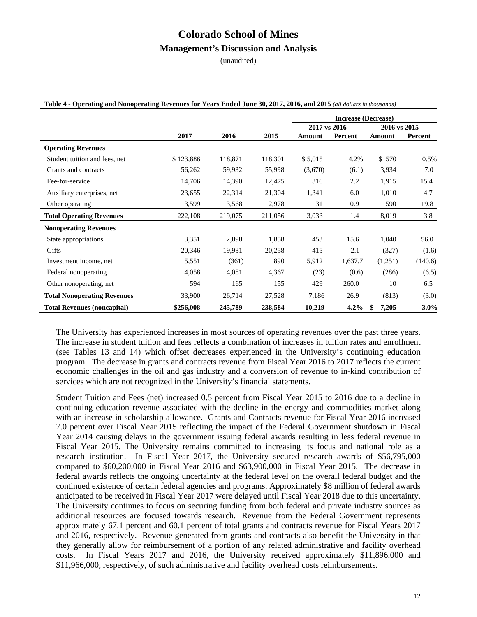(unaudited)

|                                    |           |         |         |              | <b>Increase (Decrease)</b> |              |         |  |  |
|------------------------------------|-----------|---------|---------|--------------|----------------------------|--------------|---------|--|--|
|                                    |           |         |         | 2017 vs 2016 |                            | 2016 vs 2015 |         |  |  |
|                                    | 2017      | 2016    | 2015    | Amount       | Percent                    | Amount       | Percent |  |  |
| <b>Operating Revenues</b>          |           |         |         |              |                            |              |         |  |  |
| Student tuition and fees, net      | \$123,886 | 118,871 | 118,301 | \$5,015      | 4.2%                       | \$570        | 0.5%    |  |  |
| Grants and contracts               | 56,262    | 59,932  | 55,998  | (3,670)      | (6.1)                      | 3,934        | 7.0     |  |  |
| Fee-for-service                    | 14,706    | 14,390  | 12,475  | 316          | 2.2                        | 1,915        | 15.4    |  |  |
| Auxiliary enterprises, net         | 23,655    | 22,314  | 21,304  | 1,341        | 6.0                        | 1,010        | 4.7     |  |  |
| Other operating                    | 3,599     | 3,568   | 2,978   | 31           | 0.9                        | 590          | 19.8    |  |  |
| <b>Total Operating Revenues</b>    | 222,108   | 219,075 | 211,056 | 3,033        | 1.4                        | 8,019        | 3.8     |  |  |
| <b>Nonoperating Revenues</b>       |           |         |         |              |                            |              |         |  |  |
| State appropriations               | 3,351     | 2,898   | 1,858   | 453          | 15.6                       | 1,040        | 56.0    |  |  |
| Gifts                              | 20,346    | 19,931  | 20,258  | 415          | 2.1                        | (327)        | (1.6)   |  |  |
| Investment income, net             | 5,551     | (361)   | 890     | 5,912        | 1,637.7                    | (1,251)      | (140.6) |  |  |
| Federal nonoperating               | 4,058     | 4,081   | 4,367   | (23)         | (0.6)                      | (286)        | (6.5)   |  |  |
| Other nonoperating, net            | 594       | 165     | 155     | 429          | 260.0                      | 10           | 6.5     |  |  |
| <b>Total Nonoperating Revenues</b> | 33,900    | 26,714  | 27,528  | 7,186        | 26.9                       | (813)        | (3.0)   |  |  |
| <b>Total Revenues (noncapital)</b> | \$256,008 | 245,789 | 238,584 | 10,219       | $4.2\%$                    | 7,205<br>\$  | 3.0%    |  |  |

**Table 4 - Operating and Nonoperating Revenues for Years Ended June 30, 2017, 2016, and 2015** *(all dollars in thousands)* 

The University has experienced increases in most sources of operating revenues over the past three years. The increase in student tuition and fees reflects a combination of increases in tuition rates and enrollment (see Tables 13 and 14) which offset decreases experienced in the University's continuing education program. The decrease in grants and contracts revenue from Fiscal Year 2016 to 2017 reflects the current economic challenges in the oil and gas industry and a conversion of revenue to in-kind contribution of services which are not recognized in the University's financial statements.

Student Tuition and Fees (net) increased 0.5 percent from Fiscal Year 2015 to 2016 due to a decline in continuing education revenue associated with the decline in the energy and commodities market along with an increase in scholarship allowance. Grants and Contracts revenue for Fiscal Year 2016 increased 7.0 percent over Fiscal Year 2015 reflecting the impact of the Federal Government shutdown in Fiscal Year 2014 causing delays in the government issuing federal awards resulting in less federal revenue in Fiscal Year 2015. The University remains committed to increasing its focus and national role as a research institution. In Fiscal Year 2017, the University secured research awards of \$56,795,000 compared to \$60,200,000 in Fiscal Year 2016 and \$63,900,000 in Fiscal Year 2015. The decrease in federal awards reflects the ongoing uncertainty at the federal level on the overall federal budget and the continued existence of certain federal agencies and programs. Approximately \$8 million of federal awards anticipated to be received in Fiscal Year 2017 were delayed until Fiscal Year 2018 due to this uncertainty. The University continues to focus on securing funding from both federal and private industry sources as additional resources are focused towards research. Revenue from the Federal Government represents approximately 67.1 percent and 60.1 percent of total grants and contracts revenue for Fiscal Years 2017 and 2016, respectively. Revenue generated from grants and contracts also benefit the University in that they generally allow for reimbursement of a portion of any related administrative and facility overhead costs. In Fiscal Years 2017 and 2016, the University received approximately \$11,896,000 and \$11,966,000, respectively, of such administrative and facility overhead costs reimbursements.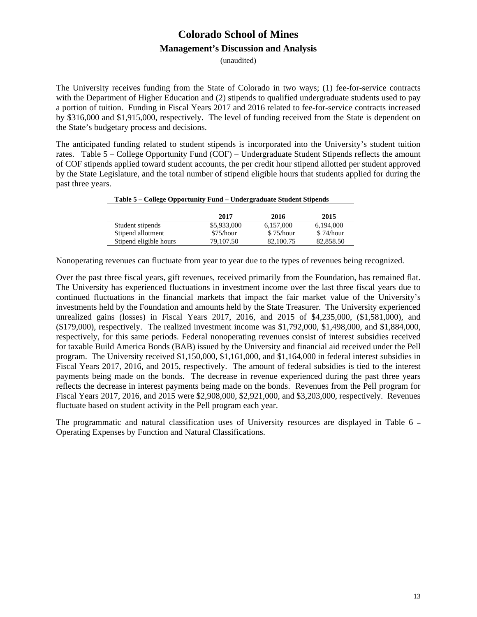(unaudited)

The University receives funding from the State of Colorado in two ways; (1) fee-for-service contracts with the Department of Higher Education and (2) stipends to qualified undergraduate students used to pay a portion of tuition. Funding in Fiscal Years 2017 and 2016 related to fee-for-service contracts increased by \$316,000 and \$1,915,000, respectively. The level of funding received from the State is dependent on the State's budgetary process and decisions.

The anticipated funding related to student stipends is incorporated into the University's student tuition rates. Table 5 – College Opportunity Fund (COF) – Undergraduate Student Stipends reflects the amount of COF stipends applied toward student accounts, the per credit hour stipend allotted per student approved by the State Legislature, and the total number of stipend eligible hours that students applied for during the past three years.

|                        | 2017        | 2016      | 2015      |
|------------------------|-------------|-----------|-----------|
| Student stipends       | \$5,933,000 | 6,157,000 | 6,194,000 |
| Stipend allotment      | \$75/hour   | \$75/hour | \$74/hour |
| Stipend eligible hours | 79,107.50   | 82,100.75 | 82,858.50 |
|                        |             |           |           |

**Table 5 – College Opportunity Fund – Undergraduate Student Stipends**

Nonoperating revenues can fluctuate from year to year due to the types of revenues being recognized.

Over the past three fiscal years, gift revenues, received primarily from the Foundation, has remained flat. The University has experienced fluctuations in investment income over the last three fiscal years due to continued fluctuations in the financial markets that impact the fair market value of the University's investments held by the Foundation and amounts held by the State Treasurer. The University experienced unrealized gains (losses) in Fiscal Years 2017, 2016, and 2015 of \$4,235,000, (\$1,581,000), and (\$179,000), respectively. The realized investment income was \$1,792,000, \$1,498,000, and \$1,884,000, respectively, for this same periods. Federal nonoperating revenues consist of interest subsidies received for taxable Build America Bonds (BAB) issued by the University and financial aid received under the Pell program. The University received \$1,150,000, \$1,161,000, and \$1,164,000 in federal interest subsidies in Fiscal Years 2017, 2016, and 2015, respectively. The amount of federal subsidies is tied to the interest payments being made on the bonds. The decrease in revenue experienced during the past three years reflects the decrease in interest payments being made on the bonds. Revenues from the Pell program for Fiscal Years 2017, 2016, and 2015 were \$2,908,000, \$2,921,000, and \$3,203,000, respectively. Revenues fluctuate based on student activity in the Pell program each year.

The programmatic and natural classification uses of University resources are displayed in Table 6 **–** Operating Expenses by Function and Natural Classifications.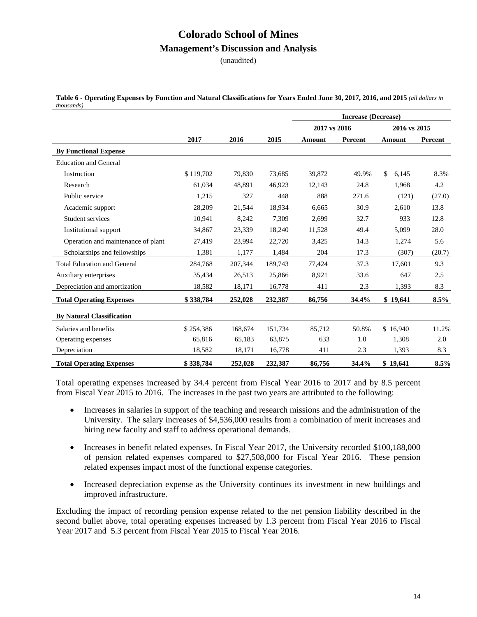(unaudited)

|                                    |           |         |         |              | <b>Increase (Decrease)</b> |              |         |
|------------------------------------|-----------|---------|---------|--------------|----------------------------|--------------|---------|
|                                    |           |         |         | 2017 vs 2016 |                            | 2016 vs 2015 |         |
|                                    | 2017      | 2016    | 2015    | Amount       | Percent                    | Amount       | Percent |
| <b>By Functional Expense</b>       |           |         |         |              |                            |              |         |
| <b>Education and General</b>       |           |         |         |              |                            |              |         |
| Instruction                        | \$119,702 | 79,830  | 73,685  | 39,872       | 49.9%                      | \$<br>6,145  | 8.3%    |
| Research                           | 61,034    | 48,891  | 46.923  | 12,143       | 24.8                       | 1,968        | 4.2     |
| Public service                     | 1,215     | 327     | 448     | 888          | 271.6                      | (121)        | (27.0)  |
| Academic support                   | 28,209    | 21,544  | 18,934  | 6,665        | 30.9                       | 2,610        | 13.8    |
| Student services                   | 10,941    | 8,242   | 7,309   | 2,699        | 32.7                       | 933          | 12.8    |
| Institutional support              | 34,867    | 23,339  | 18,240  | 11,528       | 49.4                       | 5,099        | 28.0    |
| Operation and maintenance of plant | 27,419    | 23,994  | 22,720  | 3,425        | 14.3                       | 1,274        | 5.6     |
| Scholarships and fellowships       | 1,381     | 1,177   | 1,484   | 204          | 17.3                       | (307)        | (20.7)  |
| <b>Total Education and General</b> | 284,768   | 207,344 | 189,743 | 77,424       | 37.3                       | 17,601       | 9.3     |
| Auxiliary enterprises              | 35,434    | 26,513  | 25,866  | 8,921        | 33.6                       | 647          | 2.5     |
| Depreciation and amortization      | 18,582    | 18,171  | 16,778  | 411          | 2.3                        | 1,393        | 8.3     |
| <b>Total Operating Expenses</b>    | \$338,784 | 252,028 | 232,387 | 86,756       | 34.4%                      | \$19,641     | 8.5%    |
| <b>By Natural Classification</b>   |           |         |         |              |                            |              |         |
| Salaries and benefits              | \$254,386 | 168,674 | 151,734 | 85,712       | 50.8%                      | \$16,940     | 11.2%   |
| Operating expenses                 | 65,816    | 65,183  | 63,875  | 633          | 1.0                        | 1,308        | 2.0     |
| Depreciation                       | 18,582    | 18,171  | 16,778  | 411          | 2.3                        | 1,393        | 8.3     |
| <b>Total Operating Expenses</b>    | \$338,784 | 252,028 | 232,387 | 86,756       | 34.4%                      | \$19,641     | 8.5%    |

**Table 6 - Operating Expenses by Function and Natural Classifications for Years Ended June 30, 2017, 2016, and 2015** *(all dollars in thousands)*

Total operating expenses increased by 34.4 percent from Fiscal Year 2016 to 2017 and by 8.5 percent from Fiscal Year 2015 to 2016. The increases in the past two years are attributed to the following:

- Increases in salaries in support of the teaching and research missions and the administration of the University. The salary increases of \$4,536,000 results from a combination of merit increases and hiring new faculty and staff to address operational demands.
- Increases in benefit related expenses. In Fiscal Year 2017, the University recorded \$100,188,000 of pension related expenses compared to \$27,508,000 for Fiscal Year 2016. These pension related expenses impact most of the functional expense categories.
- Increased depreciation expense as the University continues its investment in new buildings and improved infrastructure.

Excluding the impact of recording pension expense related to the net pension liability described in the second bullet above, total operating expenses increased by 1.3 percent from Fiscal Year 2016 to Fiscal Year 2017 and 5.3 percent from Fiscal Year 2015 to Fiscal Year 2016.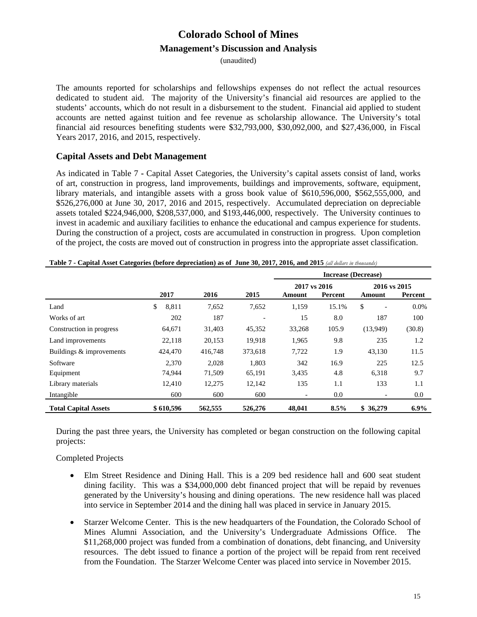(unaudited)

The amounts reported for scholarships and fellowships expenses do not reflect the actual resources dedicated to student aid. The majority of the University's financial aid resources are applied to the students' accounts, which do not result in a disbursement to the student. Financial aid applied to student accounts are netted against tuition and fee revenue as scholarship allowance. The University's total financial aid resources benefiting students were \$32,793,000, \$30,092,000, and \$27,436,000, in Fiscal Years 2017, 2016, and 2015, respectively.

### **Capital Assets and Debt Management**

As indicated in Table 7 **-** Capital Asset Categories, the University's capital assets consist of land, works of art, construction in progress, land improvements, buildings and improvements, software, equipment, library materials, and intangible assets with a gross book value of \$610,596,000, \$562,555,000, and \$526,276,000 at June 30, 2017, 2016 and 2015, respectively. Accumulated depreciation on depreciable assets totaled \$224,946,000, \$208,537,000, and \$193,446,000, respectively. The University continues to invest in academic and auxiliary facilities to enhance the educational and campus experience for students. During the construction of a project, costs are accumulated in construction in progress. Upon completion of the project, the costs are moved out of construction in progress into the appropriate asset classification.

|                             |             |         |                          | <b>Increase (Decrease)</b> |         |                                    |         |  |
|-----------------------------|-------------|---------|--------------------------|----------------------------|---------|------------------------------------|---------|--|
|                             | 2017        | 2016    | 2015                     | 2017 vs 2016<br>Amount     | Percent | 2016 vs 2015<br>Amount             | Percent |  |
| Land                        | \$<br>8,811 | 7,652   | 7,652                    | 1,159                      | 15.1%   | \$<br>$\qquad \qquad \blacksquare$ | $0.0\%$ |  |
| Works of art                | 202         | 187     | $\overline{\phantom{a}}$ | 15                         | 8.0     | 187                                | 100     |  |
| Construction in progress    | 64,671      | 31,403  | 45,352                   | 33,268                     | 105.9   | (13,949)                           | (30.8)  |  |
| Land improvements           | 22,118      | 20,153  | 19.918                   | 1,965                      | 9.8     | 235                                | 1.2     |  |
| Buildings & improvements    | 424,470     | 416,748 | 373,618                  | 7,722                      | 1.9     | 43,130                             | 11.5    |  |
| Software                    | 2,370       | 2,028   | 1,803                    | 342                        | 16.9    | 225                                | 12.5    |  |
| Equipment                   | 74,944      | 71,509  | 65,191                   | 3,435                      | 4.8     | 6,318                              | 9.7     |  |
| Library materials           | 12,410      | 12,275  | 12,142                   | 135                        | 1.1     | 133                                | 1.1     |  |
| Intangible                  | 600         | 600     | 600                      | $\overline{\phantom{a}}$   | 0.0     | $\overline{\phantom{a}}$           | 0.0     |  |
| <b>Total Capital Assets</b> | \$610,596   | 562,555 | 526,276                  | 48,041                     | 8.5%    | \$36,279                           | $6.9\%$ |  |

|  |  |  |  |  |  |  |  | Table 7 - Capital Asset Categories (before depreciation) as of June 30, 2017, 2016, and 2015 (all dollars in thousands) |  |
|--|--|--|--|--|--|--|--|-------------------------------------------------------------------------------------------------------------------------|--|
|--|--|--|--|--|--|--|--|-------------------------------------------------------------------------------------------------------------------------|--|

During the past three years, the University has completed or began construction on the following capital projects:

#### Completed Projects

- Elm Street Residence and Dining Hall. This is a 209 bed residence hall and 600 seat student dining facility. This was a \$34,000,000 debt financed project that will be repaid by revenues generated by the University's housing and dining operations. The new residence hall was placed into service in September 2014 and the dining hall was placed in service in January 2015.
- Starzer Welcome Center. This is the new headquarters of the Foundation, the Colorado School of Mines Alumni Association, and the University's Undergraduate Admissions Office. The \$11,268,000 project was funded from a combination of donations, debt financing, and University resources. The debt issued to finance a portion of the project will be repaid from rent received from the Foundation. The Starzer Welcome Center was placed into service in November 2015.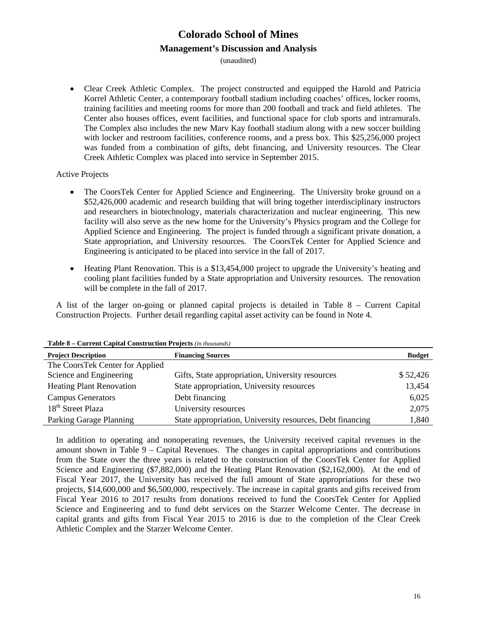(unaudited)

 Clear Creek Athletic Complex. The project constructed and equipped the Harold and Patricia Korrel Athletic Center, a contemporary football stadium including coaches' offices, locker rooms, training facilities and meeting rooms for more than 200 football and track and field athletes. The Center also houses offices, event facilities, and functional space for club sports and intramurals. The Complex also includes the new Marv Kay football stadium along with a new soccer building with locker and restroom facilities, conference rooms, and a press box. This \$25,256,000 project was funded from a combination of gifts, debt financing, and University resources. The Clear Creek Athletic Complex was placed into service in September 2015.

#### Active Projects

- The CoorsTek Center for Applied Science and Engineering. The University broke ground on a \$52,426,000 academic and research building that will bring together interdisciplinary instructors and researchers in biotechnology, materials characterization and nuclear engineering. This new facility will also serve as the new home for the University's Physics program and the College for Applied Science and Engineering. The project is funded through a significant private donation, a State appropriation, and University resources. The CoorsTek Center for Applied Science and Engineering is anticipated to be placed into service in the fall of 2017.
- Heating Plant Renovation. This is a \$13,454,000 project to upgrade the University's heating and cooling plant facilities funded by a State appropriation and University resources. The renovation will be complete in the fall of 2017.

A list of the larger on-going or planned capital projects is detailed in Table 8 – Current Capital Construction Projects. Further detail regarding capital asset activity can be found in Note 4.

| <b>Project Description</b>      | <b>Financing Sources</b>                                  | <b>Budget</b> |
|---------------------------------|-----------------------------------------------------------|---------------|
| The CoorsTek Center for Applied |                                                           |               |
| Science and Engineering         | Gifts, State appropriation, University resources          | \$52,426      |
| <b>Heating Plant Renovation</b> | State appropriation, University resources                 | 13,454        |
| <b>Campus Generators</b>        | Debt financing                                            | 6,025         |
| 18 <sup>th</sup> Street Plaza   | University resources                                      | 2,075         |
| Parking Garage Planning         | State appropriation, University resources, Debt financing | 1,840         |

**Table 8 – Current Capital Construction Projects** *(in thousands)*

In addition to operating and nonoperating revenues, the University received capital revenues in the amount shown in Table 9 – Capital Revenues. The changes in capital appropriations and contributions from the State over the three years is related to the construction of the CoorsTek Center for Applied Science and Engineering (\$7,882,000) and the Heating Plant Renovation (\$2,162,000). At the end of Fiscal Year 2017, the University has received the full amount of State appropriations for these two projects, \$14,600,000 and \$6,500,000, respectively. The increase in capital grants and gifts received from Fiscal Year 2016 to 2017 results from donations received to fund the CoorsTek Center for Applied Science and Engineering and to fund debt services on the Starzer Welcome Center. The decrease in capital grants and gifts from Fiscal Year 2015 to 2016 is due to the completion of the Clear Creek Athletic Complex and the Starzer Welcome Center.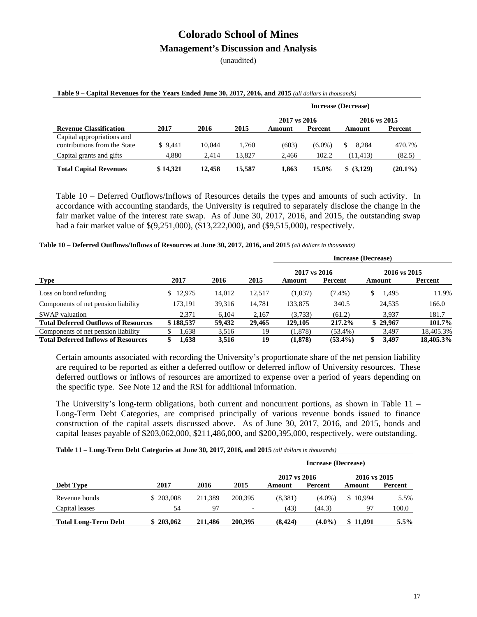(unaudited)

|                                                            |          |        |        | <b>Increase (Decrease)</b> |           |              |            |  |
|------------------------------------------------------------|----------|--------|--------|----------------------------|-----------|--------------|------------|--|
|                                                            |          |        |        | 2017 vs 2016               |           | 2016 vs 2015 |            |  |
| <b>Revenue Classification</b>                              | 2017     | 2016   | 2015   | Amount                     | Percent   | Amount       | Percent    |  |
| Capital appropriations and<br>contributions from the State | \$9,441  | 10.044 | 1.760  | (603)                      | $(6.0\%)$ | 8.284        | 470.7%     |  |
| Capital grants and gifts                                   | 4.880    | 2.414  | 13.827 | 2,466                      | 102.2     | (11, 413)    | (82.5)     |  |
| <b>Total Capital Revenues</b>                              | \$14.321 | 12.458 | 15.587 | 1.863                      | 15.0%     | \$ (3,129)   | $(20.1\%)$ |  |

#### **Table 9 – Capital Revenues for the Years Ended June 30, 2017, 2016, and 2015** *(all dollars in thousands)*

Table 10 – Deferred Outflows/Inflows of Resources details the types and amounts of such activity. In accordance with accounting standards, the University is required to separately disclose the change in the fair market value of the interest rate swap. As of June 30, 2017, 2016, and 2015, the outstanding swap had a fair market value of  $\{(9,251,000), (\$13,222,000), and (\$9,515,000), respectively.$ 

#### **Table 10 – Deferred Outflows/Inflows of Resources at June 30, 2017, 2016, and 2015** *(all dollars in thousands)*

|                                             |           |        |        | <b>Increase (Decrease)</b> |            |              |           |
|---------------------------------------------|-----------|--------|--------|----------------------------|------------|--------------|-----------|
|                                             |           |        |        | 2017 vs 2016               |            | 2016 vs 2015 |           |
| <b>Type</b>                                 | 2017      | 2016   | 2015   | Amount                     | Percent    | Amount       | Percent   |
| Loss on bond refunding                      | \$12,975  | 14,012 | 12,517 | (1,037)                    | $(7.4\%)$  | 1,495<br>\$  | 11.9%     |
| Components of net pension liability         | 173,191   | 39,316 | 14,781 | 133,875                    | 340.5      | 24,535       | 166.0     |
| SWAP valuation                              | 2.371     | 6.104  | 2.167  | (3,733)                    | (61.2)     | 3.937        | 181.7     |
| <b>Total Deferred Outflows of Resources</b> | \$188,537 | 59.432 | 29,465 | 129,105                    | 217.2%     | \$29.967     | 101.7%    |
| Components of net pension liability         | 1.638     | 3,516  | 19     | (1,878)                    | $(53.4\%)$ | 3,497        | 18,405.3% |
| <b>Total Deferred Inflows of Resources</b>  | 1.638     | 3.516  | 19     | (1,878)                    | $(53.4\%)$ | 3.497<br>\$  | 18.405.3% |

Certain amounts associated with recording the University's proportionate share of the net pension liability are required to be reported as either a deferred outflow or deferred inflow of University resources. These deferred outflows or inflows of resources are amortized to expense over a period of years depending on the specific type. See Note 12 and the RSI for additional information.

The University's long-term obligations, both current and noncurrent portions, as shown in Table 11 – Long-Term Debt Categories, are comprised principally of various revenue bonds issued to finance construction of the capital assets discussed above. As of June 30, 2017, 2016, and 2015, bonds and capital leases payable of \$203,062,000, \$211,486,000, and \$200,395,000, respectively, were outstanding.

#### **Table 11 – Long-Term Debt Categories at June 30, 2017, 2016, and 2015** *(all dollars in thousands)*

|                             |           |         |                          |              | <b>Increase (Decrease)</b> |              |         |
|-----------------------------|-----------|---------|--------------------------|--------------|----------------------------|--------------|---------|
|                             |           |         |                          | 2017 vs 2016 |                            | 2016 vs 2015 |         |
| <b>Debt Type</b>            | 2017      | 2016    | 2015                     | Amount       | Percent                    | Amount       | Percent |
| Revenue bonds               | \$203,008 | 211.389 | 200,395                  | (8,381)      | $(4.0\%)$                  | \$10.994     | 5.5%    |
| Capital leases              | 54        | 97      | $\overline{\phantom{a}}$ | (43)         | (44.3)                     | 97           | 100.0   |
| <b>Total Long-Term Debt</b> | \$203.062 | 211.486 | 200,395                  | (8.424)      | $(4.0\%)$                  | \$11,091     | 5.5%    |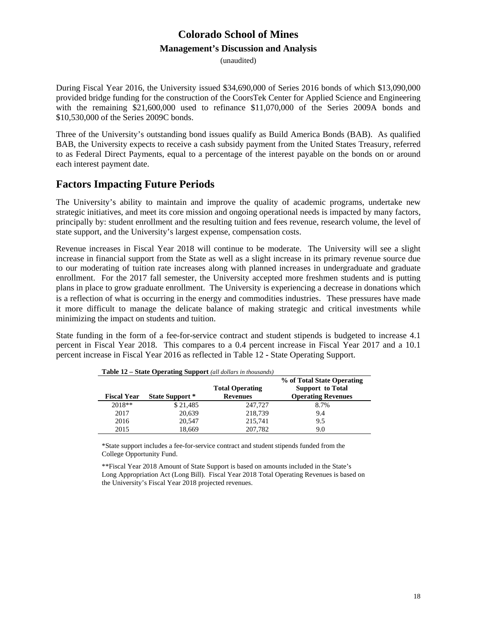(unaudited)

During Fiscal Year 2016, the University issued \$34,690,000 of Series 2016 bonds of which \$13,090,000 provided bridge funding for the construction of the CoorsTek Center for Applied Science and Engineering with the remaining \$21,600,000 used to refinance \$11,070,000 of the Series 2009A bonds and \$10,530,000 of the Series 2009C bonds.

Three of the University's outstanding bond issues qualify as Build America Bonds (BAB). As qualified BAB, the University expects to receive a cash subsidy payment from the United States Treasury, referred to as Federal Direct Payments, equal to a percentage of the interest payable on the bonds on or around each interest payment date.

# **Factors Impacting Future Periods**

The University's ability to maintain and improve the quality of academic programs, undertake new strategic initiatives, and meet its core mission and ongoing operational needs is impacted by many factors, principally by: student enrollment and the resulting tuition and fees revenue, research volume, the level of state support, and the University's largest expense, compensation costs.

Revenue increases in Fiscal Year 2018 will continue to be moderate. The University will see a slight increase in financial support from the State as well as a slight increase in its primary revenue source due to our moderating of tuition rate increases along with planned increases in undergraduate and graduate enrollment. For the 2017 fall semester, the University accepted more freshmen students and is putting plans in place to grow graduate enrollment. The University is experiencing a decrease in donations which is a reflection of what is occurring in the energy and commodities industries. These pressures have made it more difficult to manage the delicate balance of making strategic and critical investments while minimizing the impact on students and tuition.

State funding in the form of a fee-for-service contract and student stipends is budgeted to increase 4.1 percent in Fiscal Year 2018. This compares to a 0.4 percent increase in Fiscal Year 2017 and a 10.1 percent increase in Fiscal Year 2016 as reflected in Table 12 **-** State Operating Support.

| <b>Fiscal Year</b> | <b>State Support</b> * | <b>Total Operating</b><br><b>Revenues</b> | % of Total State Operating<br><b>Support to Total</b><br><b>Operating Revenues</b> |
|--------------------|------------------------|-------------------------------------------|------------------------------------------------------------------------------------|
| $2018**$           | \$21,485               | 247,727                                   | 8.7%                                                                               |
| 2017               | 20,639                 | 218,739                                   | 9.4                                                                                |
| 2016               | 20,547                 | 215,741                                   | 9.5                                                                                |
| 2015               | 18.669                 | 207,782                                   | 9.0                                                                                |

**Table 12 – State Operating Support** *(all dollars in thousands)*

\*State support includes a fee-for-service contract and student stipends funded from the College Opportunity Fund.

\*\*Fiscal Year 2018 Amount of State Support is based on amounts included in the State's Long Appropriation Act (Long Bill). Fiscal Year 2018 Total Operating Revenues is based on the University's Fiscal Year 2018 projected revenues.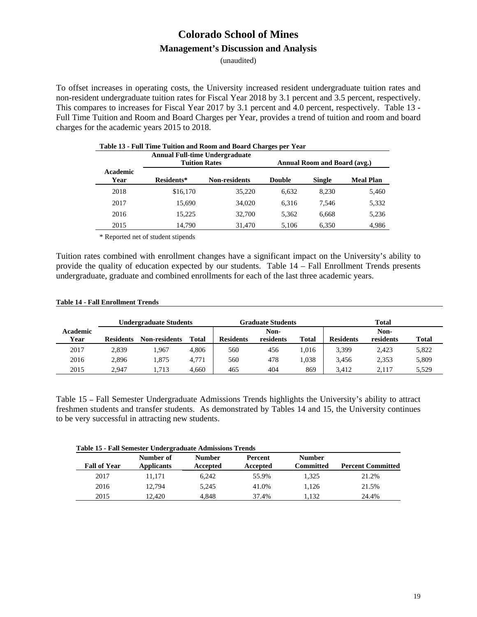(unaudited)

To offset increases in operating costs, the University increased resident undergraduate tuition rates and non-resident undergraduate tuition rates for Fiscal Year 2018 by 3.1 percent and 3.5 percent, respectively. This compares to increases for Fiscal Year 2017 by 3.1 percent and 4.0 percent, respectively. Table 13 **-** Full Time Tuition and Room and Board Charges per Year, provides a trend of tuition and room and board charges for the academic years 2015 to 2018.

|                  | Table 13 - Full Time Tuition and Room and Board Charges per Year |                      |               |                                     |                  |  |
|------------------|------------------------------------------------------------------|----------------------|---------------|-------------------------------------|------------------|--|
|                  | <b>Annual Full-time Undergraduate</b>                            | <b>Tuition Rates</b> |               | <b>Annual Room and Board (avg.)</b> |                  |  |
| Academic<br>Year | Residents*                                                       | <b>Non-residents</b> | <b>Double</b> | <b>Single</b>                       | <b>Meal Plan</b> |  |
| 2018             | \$16,170                                                         | 35,220               | 6.632         | 8.230                               | 5,460            |  |
| 2017             | 15.690                                                           | 34,020               | 6.316         | 7.546                               | 5,332            |  |
| 2016             | 15,225                                                           | 32,700               | 5.362         | 6,668                               | 5,236            |  |
| 2015             | 14.790                                                           | 31,470               | 5.106         | 6,350                               | 4,986            |  |

\* Reported net of student stipends

Tuition rates combined with enrollment changes have a significant impact on the University's ability to provide the quality of education expected by our students. Table 14 – Fall Enrollment Trends presents undergraduate, graduate and combined enrollments for each of the last three academic years.

#### **Table 14 - Fall Enrollment Trends**

|                  |                  | <b>Undergraduate Students</b> |              |                  | <b>Graduate Students</b> |       |                  | Total             |       |
|------------------|------------------|-------------------------------|--------------|------------------|--------------------------|-------|------------------|-------------------|-------|
| Academic<br>Year | <b>Residents</b> | <b>Non-residents</b>          | <b>Total</b> | <b>Residents</b> | Non-<br>residents        | Total | <b>Residents</b> | Non-<br>residents | Total |
|                  |                  |                               |              |                  |                          |       |                  |                   |       |
| 2017             | 2.839            | .967                          | 4.806        | 560              | 456                      | 1,016 | 3,399            | 2,423             | 5,822 |
| 2016             | 2,896            | .875                          | 4.771        | 560              | 478                      | 1,038 | 3.456            | 2,353             | 5,809 |
| 2015             | 2.947            | .713                          | 4.660        | 465              | 404                      | 869   | 3.412            | 2.117             | 5,529 |

Table 15 **–** Fall Semester Undergraduate Admissions Trends highlights the University's ability to attract freshmen students and transfer students. As demonstrated by Tables 14 and 15, the University continues to be very successful in attracting new students.

| Table 15 - Fall Semester Undergraduate Admissions Trends |                                |                           |                     |                            |                          |  |  |
|----------------------------------------------------------|--------------------------------|---------------------------|---------------------|----------------------------|--------------------------|--|--|
| <b>Fall of Year</b>                                      | Number of<br><b>Applicants</b> | <b>Number</b><br>Accepted | Percent<br>Accepted | <b>Number</b><br>Committed | <b>Percent Committed</b> |  |  |
| 2017                                                     | 11.171                         | 6.242                     | 55.9%               | 1.325                      | 21.2%                    |  |  |
| 2016                                                     | 12.794                         | 5.245                     | 41.0%               | 1.126                      | 21.5%                    |  |  |
| 2015                                                     | 12.420                         | 4.848                     | 37.4%               | 1.132                      | 24.4%                    |  |  |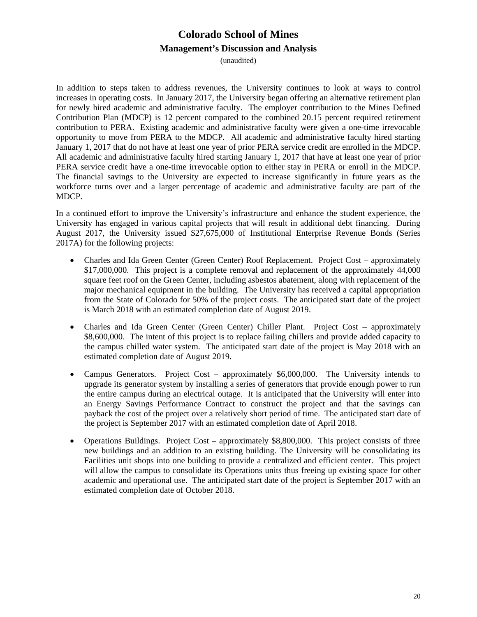(unaudited)

In addition to steps taken to address revenues, the University continues to look at ways to control increases in operating costs. In January 2017, the University began offering an alternative retirement plan for newly hired academic and administrative faculty. The employer contribution to the Mines Defined Contribution Plan (MDCP) is 12 percent compared to the combined 20.15 percent required retirement contribution to PERA. Existing academic and administrative faculty were given a one-time irrevocable opportunity to move from PERA to the MDCP. All academic and administrative faculty hired starting January 1, 2017 that do not have at least one year of prior PERA service credit are enrolled in the MDCP. All academic and administrative faculty hired starting January 1, 2017 that have at least one year of prior PERA service credit have a one-time irrevocable option to either stay in PERA or enroll in the MDCP. The financial savings to the University are expected to increase significantly in future years as the workforce turns over and a larger percentage of academic and administrative faculty are part of the MDCP.

In a continued effort to improve the University's infrastructure and enhance the student experience, the University has engaged in various capital projects that will result in additional debt financing. During August 2017, the University issued \$27,675,000 of Institutional Enterprise Revenue Bonds (Series 2017A) for the following projects:

- Charles and Ida Green Center (Green Center) Roof Replacement. Project Cost approximately \$17,000,000. This project is a complete removal and replacement of the approximately 44,000 square feet roof on the Green Center, including asbestos abatement, along with replacement of the major mechanical equipment in the building. The University has received a capital appropriation from the State of Colorado for 50% of the project costs. The anticipated start date of the project is March 2018 with an estimated completion date of August 2019.
- Charles and Ida Green Center (Green Center) Chiller Plant. Project Cost approximately \$8,600,000. The intent of this project is to replace failing chillers and provide added capacity to the campus chilled water system. The anticipated start date of the project is May 2018 with an estimated completion date of August 2019.
- Campus Generators. Project Cost approximately \$6,000,000. The University intends to upgrade its generator system by installing a series of generators that provide enough power to run the entire campus during an electrical outage. It is anticipated that the University will enter into an Energy Savings Performance Contract to construct the project and that the savings can payback the cost of the project over a relatively short period of time. The anticipated start date of the project is September 2017 with an estimated completion date of April 2018.
- Operations Buildings. Project Cost approximately \$8,800,000. This project consists of three new buildings and an addition to an existing building. The University will be consolidating its Facilities unit shops into one building to provide a centralized and efficient center. This project will allow the campus to consolidate its Operations units thus freeing up existing space for other academic and operational use. The anticipated start date of the project is September 2017 with an estimated completion date of October 2018.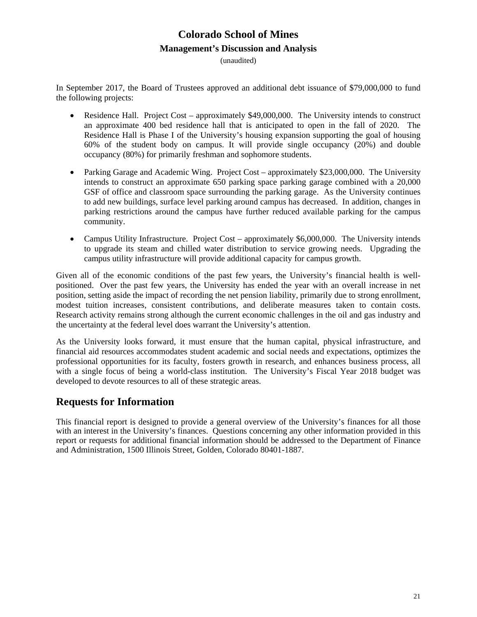(unaudited)

In September 2017, the Board of Trustees approved an additional debt issuance of \$79,000,000 to fund the following projects:

- Residence Hall. Project Cost approximately \$49,000,000. The University intends to construct an approximate 400 bed residence hall that is anticipated to open in the fall of 2020. The Residence Hall is Phase I of the University's housing expansion supporting the goal of housing 60% of the student body on campus. It will provide single occupancy (20%) and double occupancy (80%) for primarily freshman and sophomore students.
- Parking Garage and Academic Wing. Project Cost approximately \$23,000,000. The University intends to construct an approximate 650 parking space parking garage combined with a 20,000 GSF of office and classroom space surrounding the parking garage. As the University continues to add new buildings, surface level parking around campus has decreased. In addition, changes in parking restrictions around the campus have further reduced available parking for the campus community.
- Campus Utility Infrastructure. Project Cost approximately \$6,000,000. The University intends to upgrade its steam and chilled water distribution to service growing needs. Upgrading the campus utility infrastructure will provide additional capacity for campus growth.

Given all of the economic conditions of the past few years, the University's financial health is wellpositioned. Over the past few years, the University has ended the year with an overall increase in net position, setting aside the impact of recording the net pension liability, primarily due to strong enrollment, modest tuition increases, consistent contributions, and deliberate measures taken to contain costs. Research activity remains strong although the current economic challenges in the oil and gas industry and the uncertainty at the federal level does warrant the University's attention.

As the University looks forward, it must ensure that the human capital, physical infrastructure, and financial aid resources accommodates student academic and social needs and expectations, optimizes the professional opportunities for its faculty, fosters growth in research, and enhances business process, all with a single focus of being a world-class institution. The University's Fiscal Year 2018 budget was developed to devote resources to all of these strategic areas.

# **Requests for Information**

This financial report is designed to provide a general overview of the University's finances for all those with an interest in the University's finances. Questions concerning any other information provided in this report or requests for additional financial information should be addressed to the Department of Finance and Administration, 1500 Illinois Street, Golden, Colorado 80401-1887.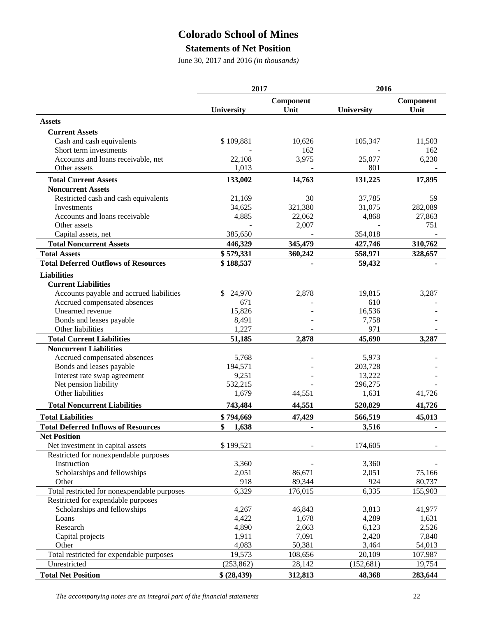# **Statements of Net Position**

June 30, 2017 and 2016 *(in thousands)* 

|                                                                        | 2017                     |           | 2016              |           |
|------------------------------------------------------------------------|--------------------------|-----------|-------------------|-----------|
|                                                                        |                          | Component |                   | Component |
|                                                                        | University               | Unit      | University        | Unit      |
| <b>Assets</b>                                                          |                          |           |                   |           |
| <b>Current Assets</b>                                                  |                          |           |                   |           |
| Cash and cash equivalents                                              | \$109,881                | 10,626    | 105,347           | 11,503    |
| Short term investments                                                 |                          | 162       |                   | 162       |
| Accounts and loans receivable, net                                     | 22,108                   | 3,975     | 25,077            | 6,230     |
| Other assets                                                           | 1,013                    |           | 801               |           |
| <b>Total Current Assets</b>                                            | 133,002                  | 14,763    | 131,225           | 17,895    |
| <b>Noncurrent Assets</b>                                               |                          |           |                   |           |
| Restricted cash and cash equivalents                                   | 21,169                   | 30        | 37,785            | 59        |
| Investments                                                            | 34,625                   | 321,380   | 31,075            | 282,089   |
| Accounts and loans receivable                                          | 4,885                    | 22,062    | 4,868             | 27,863    |
| Other assets                                                           |                          | 2,007     |                   | 751       |
| Capital assets, net                                                    | 385,650                  |           | 354,018           |           |
| <b>Total Noncurrent Assets</b>                                         | 446,329                  | 345,479   | 427,746           | 310,762   |
| <b>Total Assets</b>                                                    | \$579,331                | 360,242   | 558,971           | 328,657   |
| <b>Total Deferred Outflows of Resources</b>                            | \$188,537                |           | 59,432            |           |
| <b>Liabilities</b>                                                     |                          |           |                   |           |
| <b>Current Liabilities</b>                                             |                          |           |                   |           |
| Accounts payable and accrued liabilities                               | \$ 24,970                | 2,878     | 19,815            | 3,287     |
| Accrued compensated absences                                           | 671                      |           | 610               |           |
| Unearned revenue                                                       | 15,826                   |           | 16,536            |           |
| Bonds and leases payable                                               | 8,491                    |           | 7,758             |           |
| Other liabilities                                                      | 1,227                    |           | 971               |           |
| <b>Total Current Liabilities</b>                                       | 51,185                   | 2,878     | 45,690            | 3,287     |
| <b>Noncurrent Liabilities</b>                                          |                          |           |                   |           |
| Accrued compensated absences<br>Bonds and leases payable               | 5,768<br>194,571         |           | 5,973             |           |
| Interest rate swap agreement                                           | 9,251                    |           | 203,728<br>13,222 |           |
| Net pension liability                                                  | 532,215                  |           | 296,275           |           |
| Other liabilities                                                      | 1,679                    | 44,551    | 1,631             | 41,726    |
| <b>Total Noncurrent Liabilities</b>                                    | 743,484                  | 44,551    | 520,829           | 41,726    |
|                                                                        |                          |           |                   |           |
| <b>Total Liabilities</b><br><b>Total Deferred Inflows of Resources</b> | \$794,669<br>\$<br>1,638 | 47,429    | 566,519<br>3,516  | 45,013    |
| <b>Net Position</b>                                                    |                          |           |                   |           |
| Net investment in capital assets                                       | \$199,521                |           | 174,605           |           |
| Restricted for nonexpendable purposes                                  |                          |           |                   |           |
| Instruction                                                            | 3,360                    |           | 3,360             |           |
| Scholarships and fellowships                                           | 2,051                    | 86,671    | 2,051             | 75,166    |
| Other                                                                  | 918                      | 89,344    | 924               | 80,737    |
| Total restricted for nonexpendable purposes                            | 6,329                    | 176,015   | 6,335             | 155,903   |
| Restricted for expendable purposes                                     |                          |           |                   |           |
| Scholarships and fellowships                                           | 4,267                    | 46,843    | 3,813             | 41,977    |
| Loans                                                                  | 4,422                    | 1,678     | 4,289             | 1,631     |
| Research                                                               | 4,890                    | 2,663     | 6,123             | 2,526     |
| Capital projects                                                       | 1,911                    | 7,091     | 2,420             | 7,840     |
| Other                                                                  | 4,083                    | 50,381    | 3,464             | 54,013    |
| Total restricted for expendable purposes                               | 19,573                   | 108,656   | 20,109            | 107,987   |
| Unrestricted                                                           | (253, 862)               | 28,142    | (152, 681)        | 19,754    |
| <b>Total Net Position</b>                                              | \$(28,439)               | 312,813   | 48,368            | 283,644   |

*The accompanying notes are an integral part of the financial statements* 22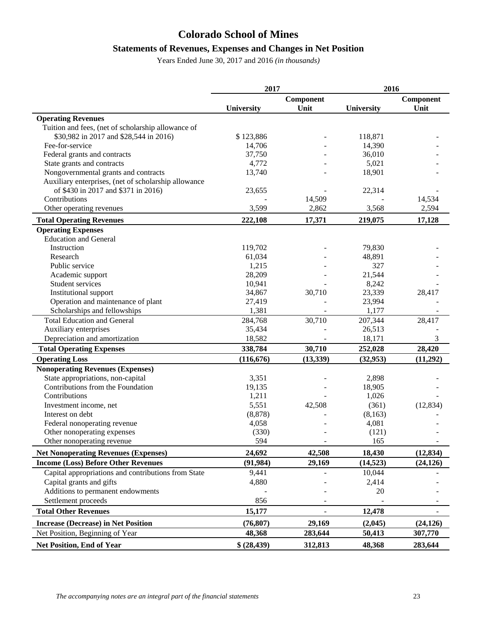## **Statements of Revenues, Expenses and Changes in Net Position**

Years Ended June 30, 2017 and 2016 *(in thousands)* 

|                                                      | 2017              |           | 2016              |           |  |
|------------------------------------------------------|-------------------|-----------|-------------------|-----------|--|
|                                                      |                   | Component |                   | Component |  |
|                                                      | <b>University</b> | Unit      | <b>University</b> | Unit      |  |
| <b>Operating Revenues</b>                            |                   |           |                   |           |  |
| Tuition and fees, (net of scholarship allowance of   |                   |           |                   |           |  |
| \$30,982 in 2017 and \$28,544 in 2016)               | \$123,886         |           | 118,871           |           |  |
| Fee-for-service                                      | 14,706            |           | 14,390            |           |  |
| Federal grants and contracts                         | 37,750            |           | 36,010            |           |  |
| State grants and contracts                           | 4,772             |           | 5,021             |           |  |
| Nongovernmental grants and contracts                 | 13,740            |           | 18,901            |           |  |
| Auxiliary enterprises, (net of scholarship allowance |                   |           |                   |           |  |
| of \$430 in 2017 and \$371 in 2016)                  | 23,655            |           | 22,314            |           |  |
| Contributions                                        |                   | 14,509    |                   | 14,534    |  |
| Other operating revenues                             | 3,599             | 2,862     | 3,568             | 2,594     |  |
| <b>Total Operating Revenues</b>                      | 222,108           | 17,371    | 219,075           | 17,128    |  |
| <b>Operating Expenses</b>                            |                   |           |                   |           |  |
| <b>Education and General</b>                         |                   |           |                   |           |  |
| Instruction                                          | 119,702           |           | 79,830            |           |  |
| Research                                             | 61,034            |           | 48,891            |           |  |
| Public service                                       | 1,215             |           | 327               |           |  |
| Academic support                                     | 28,209            |           | 21,544            |           |  |
| Student services                                     | 10,941            |           | 8,242             |           |  |
| Institutional support                                | 34,867            | 30,710    | 23,339            | 28,417    |  |
| Operation and maintenance of plant                   | 27,419            |           | 23,994            |           |  |
| Scholarships and fellowships                         | 1,381             |           | 1,177             |           |  |
| <b>Total Education and General</b>                   | 284,768           | 30,710    | 207,344           | 28,417    |  |
| Auxiliary enterprises                                | 35,434            |           | 26,513            |           |  |
| Depreciation and amortization                        | 18,582            |           | 18,171            | 3         |  |
| <b>Total Operating Expenses</b>                      | 338,784           | 30,710    | 252,028           | 28,420    |  |
| <b>Operating Loss</b>                                | (116, 676)        | (13, 339) | (32, 953)         | (11,292)  |  |
| <b>Nonoperating Revenues (Expenses)</b>              |                   |           |                   |           |  |
| State appropriations, non-capital                    | 3,351             |           | 2,898             |           |  |
| Contributions from the Foundation                    | 19,135            |           | 18,905            |           |  |
| Contributions                                        | 1,211             |           | 1,026             |           |  |
| Investment income, net                               | 5,551             | 42,508    | (361)             | (12, 834) |  |
| Interest on debt                                     | (8, 878)          |           | (8,163)           |           |  |
| Federal nonoperating revenue                         | 4,058             |           | 4,081             |           |  |
| Other nonoperating expenses                          | (330)             |           | (121)             |           |  |
| Other nonoperating revenue                           | 594               |           | 165               |           |  |
| <b>Net Nonoperating Revenues (Expenses)</b>          | 24,692            | 42,508    | 18,430            | (12, 834) |  |
| <b>Income (Loss) Before Other Revenues</b>           | (91, 984)         | 29,169    | (14, 523)         | (24, 126) |  |
| Capital appropriations and contributions from State  | 9,441             |           | 10,044            |           |  |
| Capital grants and gifts                             | 4,880             |           | 2,414             |           |  |
| Additions to permanent endowments                    |                   |           | 20                |           |  |
| Settlement proceeds                                  | 856               |           |                   |           |  |
| <b>Total Other Revenues</b>                          | 15,177            |           | 12,478            |           |  |
|                                                      |                   |           |                   |           |  |
| <b>Increase (Decrease) in Net Position</b>           | (76, 807)         | 29,169    | (2,045)           | (24, 126) |  |
| Net Position, Beginning of Year                      | 48,368            | 283,644   | 50,413            | 307,770   |  |
| Net Position, End of Year                            | \$(28,439)        | 312,813   | 48,368            | 283,644   |  |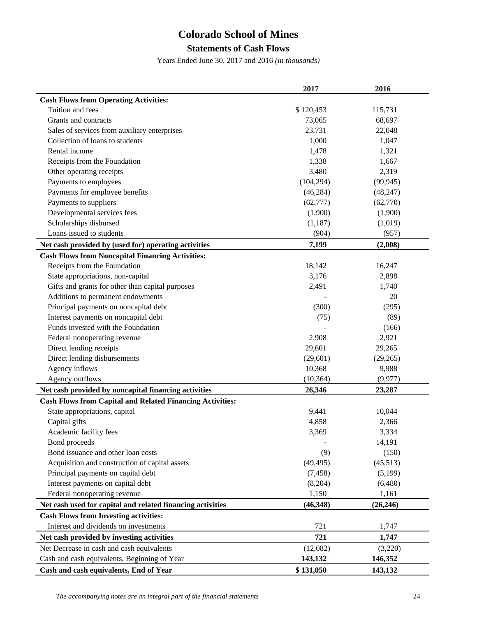# **Statements of Cash Flows**

Years Ended June 30, 2017 and 2016 *(in thousands)* 

|                                                                  | 2017       | 2016      |
|------------------------------------------------------------------|------------|-----------|
| <b>Cash Flows from Operating Activities:</b>                     |            |           |
| Tuition and fees                                                 | \$120,453  | 115,731   |
| Grants and contracts                                             | 73,065     | 68,697    |
| Sales of services from auxiliary enterprises                     | 23,731     | 22,048    |
| Collection of loans to students                                  | 1,000      | 1,047     |
| Rental income                                                    | 1,478      | 1,321     |
| Receipts from the Foundation                                     | 1,338      | 1,667     |
| Other operating receipts                                         | 3,480      | 2,319     |
| Payments to employees                                            | (104, 294) | (99, 945) |
| Payments for employee benefits                                   | (46, 284)  | (48, 247) |
| Payments to suppliers                                            | (62, 777)  | (62,770)  |
| Developmental services fees                                      | (1,900)    | (1,900)   |
| Scholarships disbursed                                           | (1,187)    | (1,019)   |
| Loans issued to students                                         | (904)      | (957)     |
| Net cash provided by (used for) operating activities             | 7,199      | (2,008)   |
| <b>Cash Flows from Noncapital Financing Activities:</b>          |            |           |
| Receipts from the Foundation                                     | 18,142     | 16,247    |
| State appropriations, non-capital                                | 3,176      | 2,898     |
| Gifts and grants for other than capital purposes                 | 2,491      | 1,740     |
| Additions to permanent endowments                                |            | 20        |
| Principal payments on noncapital debt                            | (300)      | (295)     |
| Interest payments on noncapital debt                             | (75)       | (89)      |
| Funds invested with the Foundation                               |            | (166)     |
| Federal nonoperating revenue                                     | 2,908      | 2,921     |
| Direct lending receipts                                          | 29,601     | 29,265    |
| Direct lending disbursements                                     | (29,601)   | (29, 265) |
| Agency inflows                                                   | 10,368     | 9,988     |
| Agency outflows                                                  | (10, 364)  | (9,977)   |
| Net cash provided by noncapital financing activities             | 26,346     | 23,287    |
| <b>Cash Flows from Capital and Related Financing Activities:</b> |            |           |
| State appropriations, capital                                    | 9,441      | 10,044    |
| Capital gifts                                                    | 4,858      | 2,366     |
| Academic facility fees                                           | 3,369      | 3,334     |
| Bond proceeds                                                    |            | 14,191    |
| Bond issuance and other loan costs                               | (9)        | (150)     |
| Acquisition and construction of capital assets                   | (49, 495)  | (45,513)  |
| Principal payments on capital debt                               | (7, 458)   | (5,199)   |
| Interest payments on capital debt                                | (8,204)    | (6,480)   |
| Federal nonoperating revenue                                     | 1,150      | 1,161     |
| Net cash used for capital and related financing activities       | (46, 348)  | (26, 246) |
| <b>Cash Flows from Investing activities:</b>                     |            |           |
| Interest and dividends on investments                            | 721        | 1,747     |
| Net cash provided by investing activities                        | 721        | 1,747     |
| Net Decrease in cash and cash equivalents                        | (12,082)   | (3,220)   |
| Cash and cash equivalents, Beginning of Year                     | 143,132    | 146,352   |
| Cash and cash equivalents, End of Year                           | \$131,050  | 143,132   |
|                                                                  |            |           |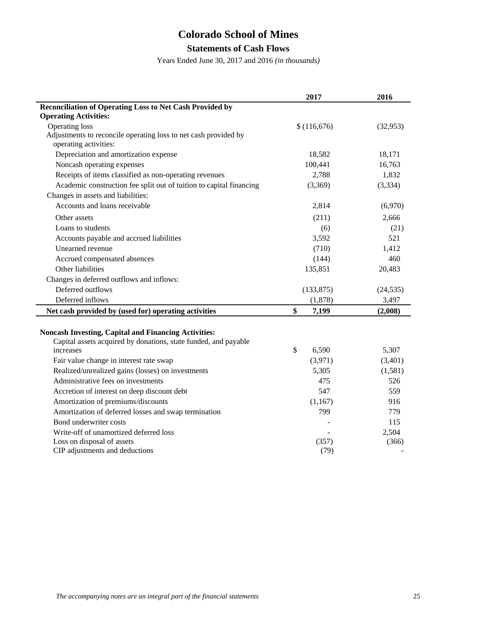# **Statements of Cash Flows**

Years Ended June 30, 2017 and 2016 *(in thousands)* 

|                                                                     | 2017        | 2016      |
|---------------------------------------------------------------------|-------------|-----------|
| Reconciliation of Operating Loss to Net Cash Provided by            |             |           |
| <b>Operating Activities:</b>                                        |             |           |
| Operating loss                                                      | \$(116,676) | (32,953)  |
| Adjustments to reconcile operating loss to net cash provided by     |             |           |
| operating activities:                                               |             |           |
| Depreciation and amortization expense                               | 18,582      | 18,171    |
| Noncash operating expenses                                          | 100,441     | 16,763    |
| Receipts of items classified as non-operating revenues              | 2,788       | 1,832     |
| Academic construction fee split out of tuition to capital financing | (3,369)     | (3, 334)  |
| Changes in assets and liabilities:                                  |             |           |
| Accounts and loans receivable                                       | 2,814       | (6,970)   |
| Other assets                                                        | (211)       | 2,666     |
| Loans to students                                                   | (6)         | (21)      |
| Accounts payable and accrued liabilities                            | 3,592       | 521       |
| Unearned revenue                                                    | (710)       | 1,412     |
| Accrued compensated absences                                        | (144)       | 460       |
| Other liabilities                                                   | 135,851     | 20,483    |
| Changes in deferred outflows and inflows:                           |             |           |
| Deferred outflows                                                   | (133, 875)  | (24, 535) |
| Deferred inflows                                                    | (1,878)     | 3,497     |
| Net cash provided by (used for) operating activities                | \$<br>7,199 | (2,008)   |
|                                                                     |             |           |
| <b>Noncash Investing, Capital and Financing Activities:</b>         |             |           |
| Capital assets acquired by donations, state funded, and payable     |             |           |
| increases                                                           | \$<br>6,590 | 5,307     |
| Fair value change in interest rate swap                             | (3,971)     | (3,401)   |
| Realized/unrealized gains (losses) on investments                   | 5,305       | (1,581)   |
| Administrative fees on investments                                  | 475         | 526       |
| Accretion of interest on deep discount debt                         | 547         | 559       |
| Amortization of premiums/discounts                                  | (1,167)     | 916       |
| Amortization of deferred losses and swap termination                | 799         | 779       |
| Bond underwriter costs                                              |             | 115       |
| Write-off of unamortized deferred loss                              |             | 2,504     |
| Loss on disposal of assets                                          | (357)       | (366)     |
| CIP adjustments and deductions                                      | (79)        |           |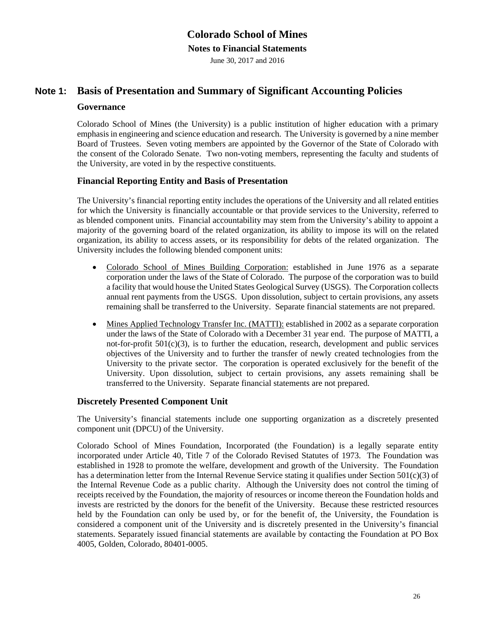#### **Notes to Financial Statements**

June 30, 2017 and 2016

## **Note 1: Basis of Presentation and Summary of Significant Accounting Policies**

#### **Governance**

Colorado School of Mines (the University) is a public institution of higher education with a primary emphasis in engineering and science education and research. The University is governed by a nine member Board of Trustees. Seven voting members are appointed by the Governor of the State of Colorado with the consent of the Colorado Senate. Two non-voting members, representing the faculty and students of the University, are voted in by the respective constituents.

### **Financial Reporting Entity and Basis of Presentation**

The University's financial reporting entity includes the operations of the University and all related entities for which the University is financially accountable or that provide services to the University, referred to as blended component units. Financial accountability may stem from the University's ability to appoint a majority of the governing board of the related organization, its ability to impose its will on the related organization, its ability to access assets, or its responsibility for debts of the related organization. The University includes the following blended component units:

- Colorado School of Mines Building Corporation: established in June 1976 as a separate corporation under the laws of the State of Colorado. The purpose of the corporation was to build a facility that would house the United States Geological Survey (USGS). The Corporation collects annual rent payments from the USGS. Upon dissolution, subject to certain provisions, any assets remaining shall be transferred to the University. Separate financial statements are not prepared.
- Mines Applied Technology Transfer Inc. (MATTI): established in 2002 as a separate corporation under the laws of the State of Colorado with a December 31 year end. The purpose of MATTI, a not-for-profit  $501(c)(3)$ , is to further the education, research, development and public services objectives of the University and to further the transfer of newly created technologies from the University to the private sector. The corporation is operated exclusively for the benefit of the University. Upon dissolution, subject to certain provisions, any assets remaining shall be transferred to the University. Separate financial statements are not prepared.

### **Discretely Presented Component Unit**

The University's financial statements include one supporting organization as a discretely presented component unit (DPCU) of the University.

Colorado School of Mines Foundation, Incorporated (the Foundation) is a legally separate entity incorporated under Article 40, Title 7 of the Colorado Revised Statutes of 1973. The Foundation was established in 1928 to promote the welfare, development and growth of the University. The Foundation has a determination letter from the Internal Revenue Service stating it qualifies under Section 501(c)(3) of the Internal Revenue Code as a public charity. Although the University does not control the timing of receipts received by the Foundation, the majority of resources or income thereon the Foundation holds and invests are restricted by the donors for the benefit of the University. Because these restricted resources held by the Foundation can only be used by, or for the benefit of, the University, the Foundation is considered a component unit of the University and is discretely presented in the University's financial statements. Separately issued financial statements are available by contacting the Foundation at PO Box 4005, Golden, Colorado, 80401-0005.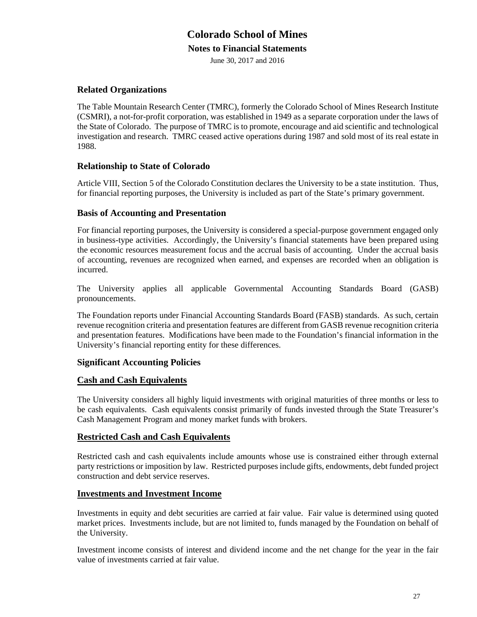# **Notes to Financial Statements**

June 30, 2017 and 2016

## **Related Organizations**

The Table Mountain Research Center (TMRC), formerly the Colorado School of Mines Research Institute (CSMRI), a not-for-profit corporation, was established in 1949 as a separate corporation under the laws of the State of Colorado. The purpose of TMRC is to promote, encourage and aid scientific and technological investigation and research. TMRC ceased active operations during 1987 and sold most of its real estate in 1988.

## **Relationship to State of Colorado**

Article VIII, Section 5 of the Colorado Constitution declares the University to be a state institution. Thus, for financial reporting purposes, the University is included as part of the State's primary government.

## **Basis of Accounting and Presentation**

For financial reporting purposes, the University is considered a special-purpose government engaged only in business-type activities. Accordingly, the University's financial statements have been prepared using the economic resources measurement focus and the accrual basis of accounting. Under the accrual basis of accounting, revenues are recognized when earned, and expenses are recorded when an obligation is incurred.

The University applies all applicable Governmental Accounting Standards Board (GASB) pronouncements.

The Foundation reports under Financial Accounting Standards Board (FASB) standards. As such, certain revenue recognition criteria and presentation features are different from GASB revenue recognition criteria and presentation features. Modifications have been made to the Foundation's financial information in the University's financial reporting entity for these differences.

### **Significant Accounting Policies**

### **Cash and Cash Equivalents**

The University considers all highly liquid investments with original maturities of three months or less to be cash equivalents. Cash equivalents consist primarily of funds invested through the State Treasurer's Cash Management Program and money market funds with brokers.

### **Restricted Cash and Cash Equivalents**

Restricted cash and cash equivalents include amounts whose use is constrained either through external party restrictions or imposition by law. Restricted purposes include gifts, endowments, debt funded project construction and debt service reserves.

### **Investments and Investment Income**

Investments in equity and debt securities are carried at fair value. Fair value is determined using quoted market prices. Investments include, but are not limited to, funds managed by the Foundation on behalf of the University.

Investment income consists of interest and dividend income and the net change for the year in the fair value of investments carried at fair value.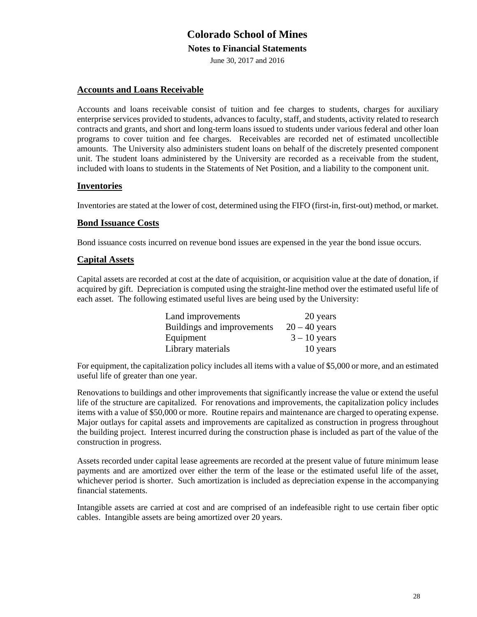#### **Notes to Financial Statements**

June 30, 2017 and 2016

## **Accounts and Loans Receivable**

Accounts and loans receivable consist of tuition and fee charges to students, charges for auxiliary enterprise services provided to students, advances to faculty, staff, and students, activity related to research contracts and grants, and short and long-term loans issued to students under various federal and other loan programs to cover tuition and fee charges. Receivables are recorded net of estimated uncollectible amounts. The University also administers student loans on behalf of the discretely presented component unit. The student loans administered by the University are recorded as a receivable from the student, included with loans to students in the Statements of Net Position, and a liability to the component unit.

### **Inventories**

Inventories are stated at the lower of cost, determined using the FIFO (first-in, first-out) method, or market.

## **Bond Issuance Costs**

Bond issuance costs incurred on revenue bond issues are expensed in the year the bond issue occurs.

## **Capital Assets**

Capital assets are recorded at cost at the date of acquisition, or acquisition value at the date of donation, if acquired by gift. Depreciation is computed using the straight-line method over the estimated useful life of each asset. The following estimated useful lives are being used by the University:

| Land improvements          | 20 years        |
|----------------------------|-----------------|
| Buildings and improvements | $20 - 40$ years |
| Equipment                  | $3 - 10$ years  |
| Library materials          | 10 years        |

For equipment, the capitalization policy includes all items with a value of \$5,000 or more, and an estimated useful life of greater than one year.

Renovations to buildings and other improvements that significantly increase the value or extend the useful life of the structure are capitalized. For renovations and improvements, the capitalization policy includes items with a value of \$50,000 or more. Routine repairs and maintenance are charged to operating expense. Major outlays for capital assets and improvements are capitalized as construction in progress throughout the building project. Interest incurred during the construction phase is included as part of the value of the construction in progress.

Assets recorded under capital lease agreements are recorded at the present value of future minimum lease payments and are amortized over either the term of the lease or the estimated useful life of the asset, whichever period is shorter. Such amortization is included as depreciation expense in the accompanying financial statements.

Intangible assets are carried at cost and are comprised of an indefeasible right to use certain fiber optic cables. Intangible assets are being amortized over 20 years.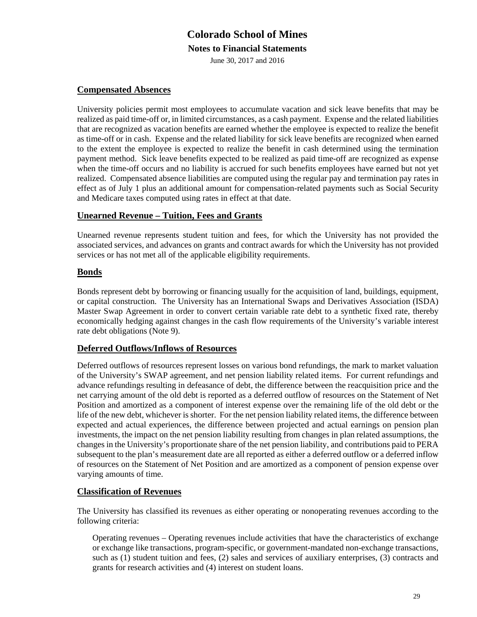### **Notes to Financial Statements**

June 30, 2017 and 2016

## **Compensated Absences**

University policies permit most employees to accumulate vacation and sick leave benefits that may be realized as paid time-off or, in limited circumstances, as a cash payment. Expense and the related liabilities that are recognized as vacation benefits are earned whether the employee is expected to realize the benefit as time-off or in cash. Expense and the related liability for sick leave benefits are recognized when earned to the extent the employee is expected to realize the benefit in cash determined using the termination payment method. Sick leave benefits expected to be realized as paid time-off are recognized as expense when the time-off occurs and no liability is accrued for such benefits employees have earned but not yet realized. Compensated absence liabilities are computed using the regular pay and termination pay rates in effect as of July 1 plus an additional amount for compensation-related payments such as Social Security and Medicare taxes computed using rates in effect at that date.

### **Unearned Revenue – Tuition, Fees and Grants**

Unearned revenue represents student tuition and fees, for which the University has not provided the associated services, and advances on grants and contract awards for which the University has not provided services or has not met all of the applicable eligibility requirements.

## **Bonds**

Bonds represent debt by borrowing or financing usually for the acquisition of land, buildings, equipment, or capital construction. The University has an International Swaps and Derivatives Association (ISDA) Master Swap Agreement in order to convert certain variable rate debt to a synthetic fixed rate, thereby economically hedging against changes in the cash flow requirements of the University's variable interest rate debt obligations (Note 9).

## **Deferred Outflows/Inflows of Resources**

Deferred outflows of resources represent losses on various bond refundings, the mark to market valuation of the University's SWAP agreement, and net pension liability related items. For current refundings and advance refundings resulting in defeasance of debt, the difference between the reacquisition price and the net carrying amount of the old debt is reported as a deferred outflow of resources on the Statement of Net Position and amortized as a component of interest expense over the remaining life of the old debt or the life of the new debt, whichever is shorter. For the net pension liability related items, the difference between expected and actual experiences, the difference between projected and actual earnings on pension plan investments, the impact on the net pension liability resulting from changes in plan related assumptions, the changes in the University's proportionate share of the net pension liability, and contributions paid to PERA subsequent to the plan's measurement date are all reported as either a deferred outflow or a deferred inflow of resources on the Statement of Net Position and are amortized as a component of pension expense over varying amounts of time.

### **Classification of Revenues**

The University has classified its revenues as either operating or nonoperating revenues according to the following criteria:

Operating revenues – Operating revenues include activities that have the characteristics of exchange or exchange like transactions, program-specific, or government-mandated non-exchange transactions, such as (1) student tuition and fees, (2) sales and services of auxiliary enterprises, (3) contracts and grants for research activities and (4) interest on student loans.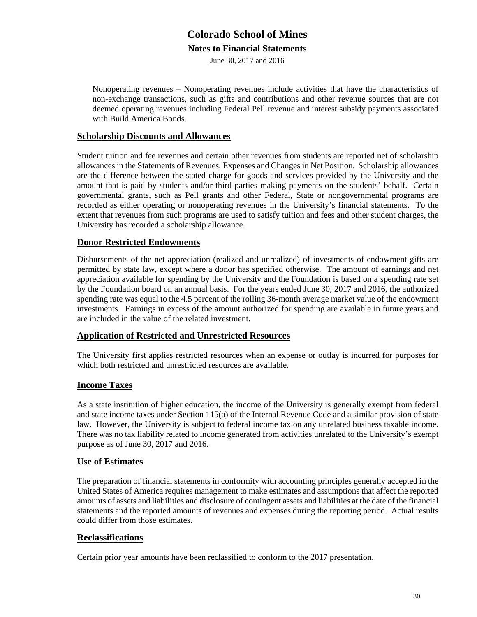June 30, 2017 and 2016

Nonoperating revenues – Nonoperating revenues include activities that have the characteristics of non-exchange transactions, such as gifts and contributions and other revenue sources that are not deemed operating revenues including Federal Pell revenue and interest subsidy payments associated with Build America Bonds.

### **Scholarship Discounts and Allowances**

Student tuition and fee revenues and certain other revenues from students are reported net of scholarship allowances in the Statements of Revenues, Expenses and Changes in Net Position. Scholarship allowances are the difference between the stated charge for goods and services provided by the University and the amount that is paid by students and/or third-parties making payments on the students' behalf. Certain governmental grants, such as Pell grants and other Federal, State or nongovernmental programs are recorded as either operating or nonoperating revenues in the University's financial statements. To the extent that revenues from such programs are used to satisfy tuition and fees and other student charges, the University has recorded a scholarship allowance.

## **Donor Restricted Endowments**

Disbursements of the net appreciation (realized and unrealized) of investments of endowment gifts are permitted by state law, except where a donor has specified otherwise. The amount of earnings and net appreciation available for spending by the University and the Foundation is based on a spending rate set by the Foundation board on an annual basis. For the years ended June 30, 2017 and 2016, the authorized spending rate was equal to the 4.5 percent of the rolling 36-month average market value of the endowment investments. Earnings in excess of the amount authorized for spending are available in future years and are included in the value of the related investment.

### **Application of Restricted and Unrestricted Resources**

The University first applies restricted resources when an expense or outlay is incurred for purposes for which both restricted and unrestricted resources are available.

### **Income Taxes**

As a state institution of higher education, the income of the University is generally exempt from federal and state income taxes under Section 115(a) of the Internal Revenue Code and a similar provision of state law. However, the University is subject to federal income tax on any unrelated business taxable income. There was no tax liability related to income generated from activities unrelated to the University's exempt purpose as of June 30, 2017 and 2016.

### **Use of Estimates**

The preparation of financial statements in conformity with accounting principles generally accepted in the United States of America requires management to make estimates and assumptions that affect the reported amounts of assets and liabilities and disclosure of contingent assets and liabilities at the date of the financial statements and the reported amounts of revenues and expenses during the reporting period. Actual results could differ from those estimates.

### **Reclassifications**

Certain prior year amounts have been reclassified to conform to the 2017 presentation.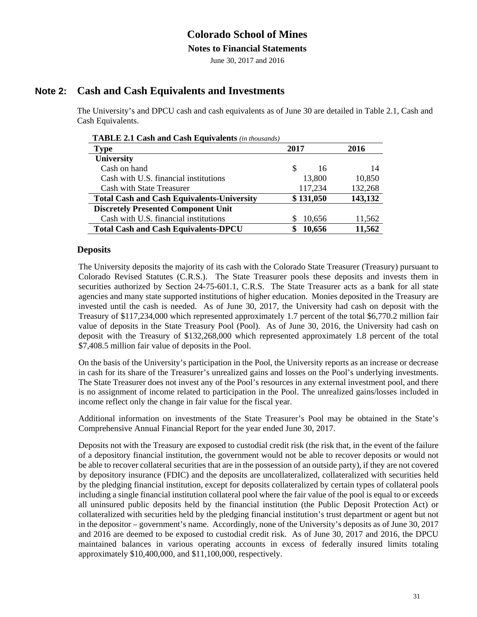#### **Notes to Financial Statements**

June 30, 2017 and 2016

## **Note 2: Cash and Cash Equivalents and Investments**

The University's and DPCU cash and cash equivalents as of June 30 are detailed in Table 2.1, Cash and Cash Equivalents.

| <b>TADLE 2.1 Cash and Cash Equivalents</b> ( <i>in thousands</i> ) |              |         |
|--------------------------------------------------------------------|--------------|---------|
| <b>Type</b>                                                        | 2017         | 2016    |
| <b>University</b>                                                  |              |         |
| Cash on hand                                                       | S<br>16      | 14      |
| Cash with U.S. financial institutions                              | 13,800       | 10,850  |
| <b>Cash with State Treasurer</b>                                   | 117,234      | 132,268 |
| <b>Total Cash and Cash Equivalents-University</b>                  | \$131,050    | 143,132 |
| <b>Discretely Presented Component Unit</b>                         |              |         |
| Cash with U.S. financial institutions                              | 10,656       | 11,562  |
| <b>Total Cash and Cash Equivalents-DPCU</b>                        | 10,656<br>\$ | 11,562  |

## **TABLE 2.1 Cash and Cash Equivalents** *(in thousands)*

#### **Deposits**

The University deposits the majority of its cash with the Colorado State Treasurer (Treasury) pursuant to Colorado Revised Statutes (C.R.S.). The State Treasurer pools these deposits and invests them in securities authorized by Section 24-75-601.1, C.R.S. The State Treasurer acts as a bank for all state agencies and many state supported institutions of higher education. Monies deposited in the Treasury are invested until the cash is needed. As of June 30, 2017, the University had cash on deposit with the Treasury of \$117,234,000 which represented approximately 1.7 percent of the total \$6,770.2 million fair value of deposits in the State Treasury Pool (Pool). As of June 30, 2016, the University had cash on deposit with the Treasury of \$132,268,000 which represented approximately 1.8 percent of the total \$7,408.5 million fair value of deposits in the Pool.

On the basis of the University's participation in the Pool, the University reports as an increase or decrease in cash for its share of the Treasurer's unrealized gains and losses on the Pool's underlying investments. The State Treasurer does not invest any of the Pool's resources in any external investment pool, and there is no assignment of income related to participation in the Pool. The unrealized gains/losses included in income reflect only the change in fair value for the fiscal year.

Additional information on investments of the State Treasurer's Pool may be obtained in the State's Comprehensive Annual Financial Report for the year ended June 30, 2017.

Deposits not with the Treasury are exposed to custodial credit risk (the risk that, in the event of the failure of a depository financial institution, the government would not be able to recover deposits or would not be able to recover collateral securities that are in the possession of an outside party), if they are not covered by depository insurance (FDIC) and the deposits are uncollateralized, collateralized with securities held by the pledging financial institution, except for deposits collateralized by certain types of collateral pools including a single financial institution collateral pool where the fair value of the pool is equal to or exceeds all uninsured public deposits held by the financial institution (the Public Deposit Protection Act) or collateralized with securities held by the pledging financial institution's trust department or agent but not in the depositor – government's name. Accordingly, none of the University's deposits as of June 30, 2017 and 2016 are deemed to be exposed to custodial credit risk. As of June 30, 2017 and 2016, the DPCU maintained balances in various operating accounts in excess of federally insured limits totaling approximately \$10,400,000, and \$11,100,000, respectively.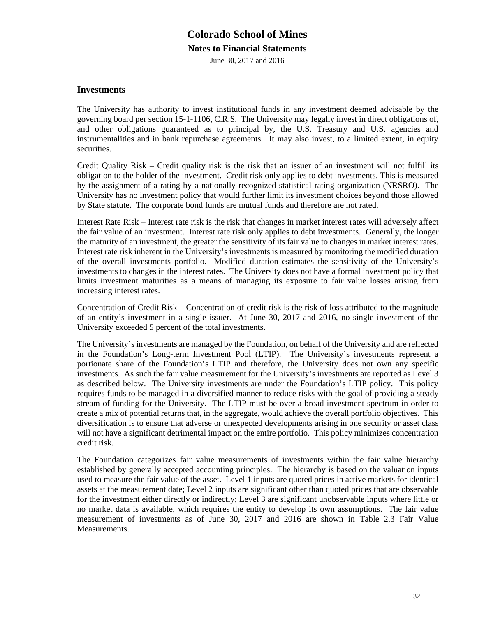June 30, 2017 and 2016

#### **Investments**

The University has authority to invest institutional funds in any investment deemed advisable by the governing board per section 15-1-1106, C.R.S. The University may legally invest in direct obligations of, and other obligations guaranteed as to principal by, the U.S. Treasury and U.S. agencies and instrumentalities and in bank repurchase agreements. It may also invest, to a limited extent, in equity securities.

Credit Quality Risk – Credit quality risk is the risk that an issuer of an investment will not fulfill its obligation to the holder of the investment. Credit risk only applies to debt investments. This is measured by the assignment of a rating by a nationally recognized statistical rating organization (NRSRO). The University has no investment policy that would further limit its investment choices beyond those allowed by State statute. The corporate bond funds are mutual funds and therefore are not rated.

Interest Rate Risk – Interest rate risk is the risk that changes in market interest rates will adversely affect the fair value of an investment. Interest rate risk only applies to debt investments. Generally, the longer the maturity of an investment, the greater the sensitivity of its fair value to changes in market interest rates. Interest rate risk inherent in the University's investments is measured by monitoring the modified duration of the overall investments portfolio. Modified duration estimates the sensitivity of the University's investments to changes in the interest rates. The University does not have a formal investment policy that limits investment maturities as a means of managing its exposure to fair value losses arising from increasing interest rates.

Concentration of Credit Risk – Concentration of credit risk is the risk of loss attributed to the magnitude of an entity's investment in a single issuer. At June 30, 2017 and 2016, no single investment of the University exceeded 5 percent of the total investments.

The University's investments are managed by the Foundation, on behalf of the University and are reflected in the Foundation's Long-term Investment Pool (LTIP). The University's investments represent a portionate share of the Foundation's LTIP and therefore, the University does not own any specific investments. As such the fair value measurement for the University's investments are reported as Level 3 as described below. The University investments are under the Foundation's LTIP policy. This policy requires funds to be managed in a diversified manner to reduce risks with the goal of providing a steady stream of funding for the University. The LTIP must be over a broad investment spectrum in order to create a mix of potential returns that, in the aggregate, would achieve the overall portfolio objectives. This diversification is to ensure that adverse or unexpected developments arising in one security or asset class will not have a significant detrimental impact on the entire portfolio. This policy minimizes concentration credit risk.

The Foundation categorizes fair value measurements of investments within the fair value hierarchy established by generally accepted accounting principles. The hierarchy is based on the valuation inputs used to measure the fair value of the asset. Level 1 inputs are quoted prices in active markets for identical assets at the measurement date; Level 2 inputs are significant other than quoted prices that are observable for the investment either directly or indirectly; Level 3 are significant unobservable inputs where little or no market data is available, which requires the entity to develop its own assumptions. The fair value measurement of investments as of June 30, 2017 and 2016 are shown in Table 2.3 Fair Value Measurements.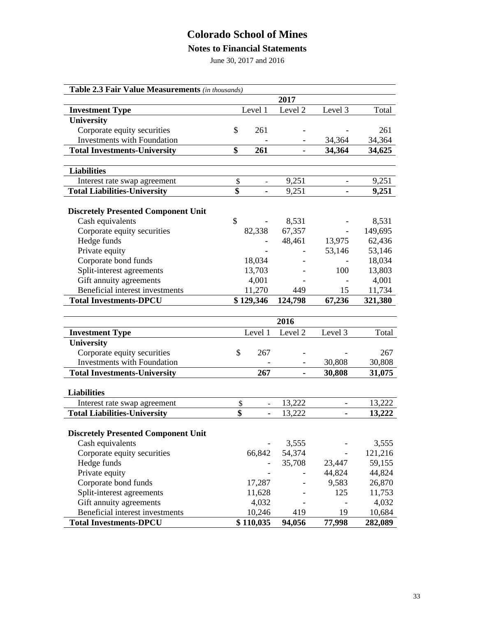## **Notes to Financial Statements**

June 30, 2017 and 2016

| Table 2.3 Fair Value Measurements (in thousands)     |                 |                 |         |                          |                 |
|------------------------------------------------------|-----------------|-----------------|---------|--------------------------|-----------------|
|                                                      |                 |                 | 2017    |                          |                 |
| <b>Investment Type</b>                               |                 | Level 1         | Level 2 | Level 3                  | Total           |
| <b>University</b>                                    |                 |                 |         |                          |                 |
| Corporate equity securities                          | \$              | 261             |         |                          | 261             |
| <b>Investments with Foundation</b>                   |                 |                 |         | 34,364                   | 34,364          |
| <b>Total Investments-University</b>                  | \$              | 261             |         | 34,364                   | 34,625          |
| <b>Liabilities</b>                                   |                 |                 |         |                          |                 |
| Interest rate swap agreement                         | \$              | $\Box$          | 9,251   | $\overline{\phantom{a}}$ | 9,251           |
| <b>Total Liabilities-University</b>                  | $\overline{\$}$ | $\overline{a}$  | 9,251   |                          | 9,251           |
| <b>Discretely Presented Component Unit</b>           |                 |                 |         |                          |                 |
| Cash equivalents                                     | \$              |                 | 8,531   |                          | 8,531           |
| Corporate equity securities                          |                 | 82,338          | 67,357  |                          | 149,695         |
| Hedge funds                                          |                 |                 | 48,461  | 13,975                   | 62,436          |
| Private equity                                       |                 |                 |         | 53,146                   | 53,146          |
| Corporate bond funds                                 |                 | 18,034          |         |                          | 18,034          |
| Split-interest agreements                            |                 | 13,703          |         | 100                      | 13,803          |
| Gift annuity agreements                              |                 | 4,001           |         |                          | 4,001           |
| Beneficial interest investments                      |                 | 11,270          | 449     | 15                       | 11,734          |
| <b>Total Investments-DPCU</b>                        |                 | \$129,346       | 124,798 | 67,236                   | 321,380         |
|                                                      |                 |                 |         |                          |                 |
|                                                      |                 |                 | 2016    |                          |                 |
| <b>Investment Type</b>                               |                 | Level 1         | Level 2 | Level 3                  | Total           |
| <b>University</b>                                    |                 |                 |         |                          |                 |
| Corporate equity securities                          | \$              | 267             |         |                          | 267             |
| <b>Investments with Foundation</b>                   |                 |                 |         | 30,808                   | 30,808          |
| <b>Total Investments-University</b>                  |                 | 267             | ۰       | 30,808                   | 31,075          |
| <b>Liabilities</b>                                   |                 |                 |         |                          |                 |
|                                                      |                 |                 |         |                          |                 |
| Interest rate swap agreement                         | \$              |                 | 13,222  |                          | 13,222          |
| <b>Total Liabilities-University</b>                  | $\overline{\$}$ |                 | 13,222  |                          | 13,222          |
|                                                      |                 |                 |         |                          |                 |
| <b>Discretely Presented Component Unit</b>           |                 |                 |         |                          |                 |
| Cash equivalents                                     |                 |                 | 3,555   |                          | 3,555           |
| Corporate equity securities                          |                 | 66,842          | 54,374  |                          | 121,216         |
| Hedge funds                                          |                 |                 | 35,708  | 23,447                   | 59,155          |
| Private equity                                       |                 |                 |         | 44,824                   | 44,824          |
| Corporate bond funds                                 |                 | 17,287          |         | 9,583<br>125             | 26,870          |
| Split-interest agreements<br>Gift annuity agreements |                 | 11,628<br>4,032 |         |                          | 11,753<br>4,032 |
| Beneficial interest investments                      |                 | 10,246          | 419     | 19                       | 10,684          |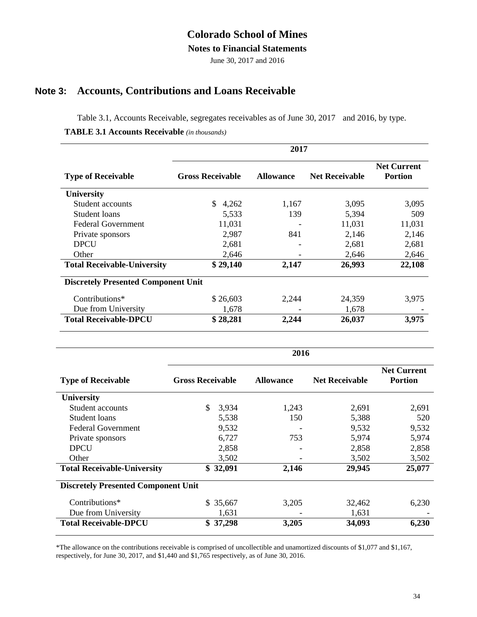#### **Notes to Financial Statements**

June 30, 2017 and 2016

# **Note 3: Accounts, Contributions and Loans Receivable**

Table 3.1, Accounts Receivable, segregates receivables as of June 30, 2017 and 2016, by type.

**TABLE 3.1 Accounts Receivable** *(in thousands)*

|                                            | 2017                    |                  |                       |                                      |  |  |
|--------------------------------------------|-------------------------|------------------|-----------------------|--------------------------------------|--|--|
| <b>Type of Receivable</b>                  | <b>Gross Receivable</b> | <b>Allowance</b> | <b>Net Receivable</b> | <b>Net Current</b><br><b>Portion</b> |  |  |
| <b>University</b>                          |                         |                  |                       |                                      |  |  |
| Student accounts                           | 4,262<br>S.             | 1,167            | 3,095                 | 3,095                                |  |  |
| Student loans                              | 5,533                   | 139              | 5,394                 | 509                                  |  |  |
| <b>Federal Government</b>                  | 11,031                  |                  | 11,031                | 11,031                               |  |  |
| Private sponsors                           | 2,987                   | 841              | 2,146                 | 2,146                                |  |  |
| <b>DPCU</b>                                | 2,681                   |                  | 2,681                 | 2,681                                |  |  |
| Other                                      | 2,646                   |                  | 2,646                 | 2,646                                |  |  |
| <b>Total Receivable-University</b>         | \$29,140                | 2,147            | 26,993                | 22,108                               |  |  |
| <b>Discretely Presented Component Unit</b> |                         |                  |                       |                                      |  |  |
| Contributions*                             | \$26,603                | 2,244            | 24,359                | 3,975                                |  |  |
| Due from University                        | 1,678                   |                  | 1,678                 |                                      |  |  |
| <b>Total Receivable-DPCU</b>               | \$28,281                | 2,244            | 26,037                | 3,975                                |  |  |

|                                            | 2016                    |                  |                       |                               |  |
|--------------------------------------------|-------------------------|------------------|-----------------------|-------------------------------|--|
| <b>Type of Receivable</b>                  | <b>Gross Receivable</b> | <b>Allowance</b> | <b>Net Receivable</b> | <b>Net Current</b><br>Portion |  |
| University                                 |                         |                  |                       |                               |  |
| Student accounts                           | \$<br>3,934             | 1,243            | 2,691                 | 2,691                         |  |
| Student loans                              | 5,538                   | 150              | 5,388                 | 520                           |  |
| <b>Federal Government</b>                  | 9,532                   |                  | 9,532                 | 9,532                         |  |
| Private sponsors                           | 6,727                   | 753              | 5,974                 | 5,974                         |  |
| <b>DPCU</b>                                | 2,858                   |                  | 2,858                 | 2,858                         |  |
| Other                                      | 3,502                   |                  | 3,502                 | 3,502                         |  |
| <b>Total Receivable-University</b>         | \$32,091                | 2,146            | 29,945                | 25,077                        |  |
| <b>Discretely Presented Component Unit</b> |                         |                  |                       |                               |  |
| Contributions*                             | \$35,667                | 3,205            | 32,462                | 6,230                         |  |
| Due from University                        | 1,631                   |                  | 1,631                 |                               |  |
| <b>Total Receivable-DPCU</b>               | \$37,298                | 3,205            | 34,093                | 6,230                         |  |

\*The allowance on the contributions receivable is comprised of uncollectible and unamortized discounts of \$1,077 and \$1,167, respectively, for June 30, 2017, and \$1,440 and \$1,765 respectively, as of June 30, 2016.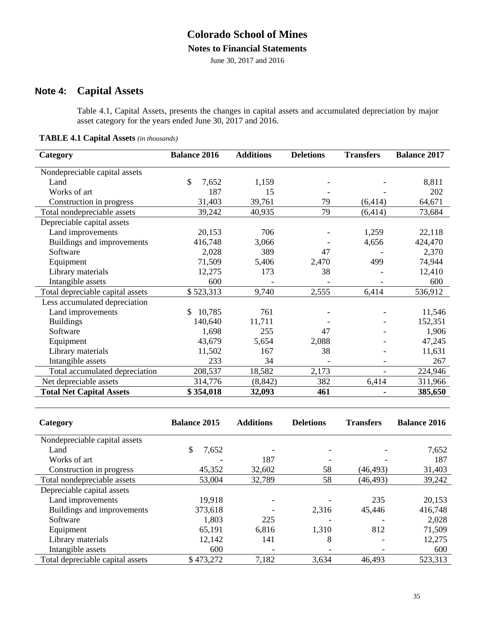## **Notes to Financial Statements**

June 30, 2017 and 2016

# **Note 4: Capital Assets**

Table 4.1, Capital Assets, presents the changes in capital assets and accumulated depreciation by major asset category for the years ended June 30, 2017 and 2016.

**TABLE 4.1 Capital Assets** *(in thousands)*

| Category                         | <b>Balance 2016</b> | <b>Additions</b> | <b>Deletions</b> | <b>Transfers</b> | <b>Balance 2017</b> |
|----------------------------------|---------------------|------------------|------------------|------------------|---------------------|
| Nondepreciable capital assets    |                     |                  |                  |                  |                     |
| Land                             | \$<br>7,652         | 1,159            |                  |                  | 8,811               |
| Works of art                     | 187                 | 15               |                  |                  | 202                 |
| Construction in progress         | 31,403              | 39,761           | 79               | (6, 414)         | 64,671              |
| Total nondepreciable assets      | 39,242              | 40,935           | 79               | (6, 414)         | 73,684              |
| Depreciable capital assets       |                     |                  |                  |                  |                     |
| Land improvements                | 20,153              | 706              |                  | 1,259            | 22,118              |
| Buildings and improvements       | 416,748             | 3,066            |                  | 4,656            | 424,470             |
| Software                         | 2,028               | 389              | 47               |                  | 2,370               |
| Equipment                        | 71,509              | 5,406            | 2,470            | 499              | 74,944              |
| Library materials                | 12,275              | 173              | 38               |                  | 12,410              |
| Intangible assets                | 600                 |                  |                  |                  | 600                 |
| Total depreciable capital assets | \$523,313           | 9,740            | 2,555            | 6,414            | 536,912             |
| Less accumulated depreciation    |                     |                  |                  |                  |                     |
| Land improvements                | 10,785<br>\$.       | 761              |                  |                  | 11,546              |
| <b>Buildings</b>                 | 140,640             | 11,711           |                  |                  | 152,351             |
| Software                         | 1,698               | 255              | 47               |                  | 1,906               |
| Equipment                        | 43,679              | 5,654            | 2,088            |                  | 47,245              |
| Library materials                | 11,502              | 167              | 38               |                  | 11,631              |
| Intangible assets                | 233                 | 34               |                  |                  | 267                 |
| Total accumulated depreciation   | 208,537             | 18,582           | 2,173            |                  | 224,946             |
| Net depreciable assets           | 314,776             | (8, 842)         | 382              | 6,414            | 311,966             |
| <b>Total Net Capital Assets</b>  | \$354,018           | 32,093           | 461              |                  | 385,650             |

| Category                         | <b>Balance 2015</b> | <b>Additions</b> | <b>Deletions</b> | <b>Transfers</b>         | <b>Balance 2016</b> |
|----------------------------------|---------------------|------------------|------------------|--------------------------|---------------------|
| Nondepreciable capital assets    |                     |                  |                  |                          |                     |
| Land                             | \$<br>7,652         |                  |                  |                          | 7,652               |
| Works of art                     |                     | 187              |                  |                          | 187                 |
| Construction in progress         | 45,352              | 32,602           | 58               | (46, 493)                | 31,403              |
| Total nondepreciable assets      | 53,004              | 32,789           | 58               | (46, 493)                | 39,242              |
| Depreciable capital assets       |                     |                  |                  |                          |                     |
| Land improvements                | 19,918              |                  |                  | 235                      | 20,153              |
| Buildings and improvements       | 373,618             |                  | 2,316            | 45,446                   | 416,748             |
| Software                         | 1,803               | 225              |                  |                          | 2,028               |
| Equipment                        | 65,191              | 6,816            | 1,310            | 812                      | 71,509              |
| Library materials                | 12,142              | 141              | 8                | $\overline{\phantom{0}}$ | 12,275              |
| Intangible assets                | 600                 |                  |                  |                          | 600                 |
| Total depreciable capital assets | \$473,272           | 7,182            | 3,634            | 46,493                   | 523,313             |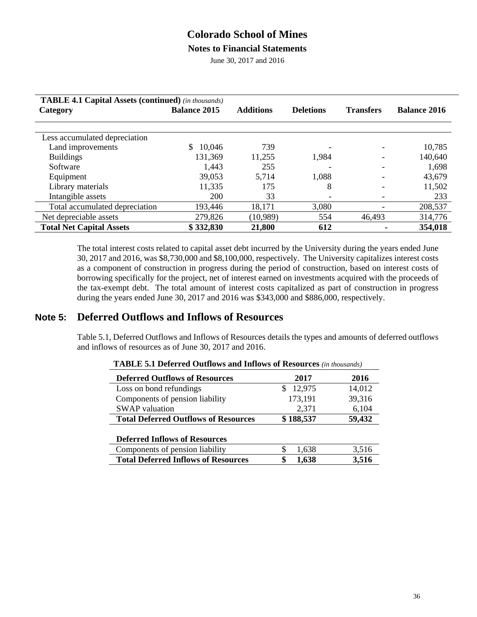#### **Notes to Financial Statements**

June 30, 2017 and 2016

| <b>TABLE 4.1 Capital Assets (continued)</b> (in thousands) |                     |                  |                  |                  |                     |
|------------------------------------------------------------|---------------------|------------------|------------------|------------------|---------------------|
| Category                                                   | <b>Balance 2015</b> | <b>Additions</b> | <b>Deletions</b> | <b>Transfers</b> | <b>Balance 2016</b> |
|                                                            |                     |                  |                  |                  |                     |
|                                                            |                     |                  |                  |                  |                     |
| Less accumulated depreciation                              |                     |                  |                  |                  |                     |
| Land improvements                                          | 10,046<br>S.        | 739              |                  |                  | 10,785              |
| <b>Buildings</b>                                           | 131,369             | 11,255           | 1,984            |                  | 140,640             |
| Software                                                   | 1,443               | 255              |                  |                  | 1,698               |
| Equipment                                                  | 39,053              | 5,714            | 1,088            |                  | 43,679              |
| Library materials                                          | 11,335              | 175              | 8                |                  | 11,502              |
| Intangible assets                                          | <b>200</b>          | 33               |                  |                  | 233                 |
| Total accumulated depreciation                             | 193,446             | 18,171           | 3,080            |                  | 208,537             |
| Net depreciable assets                                     | 279,826             | (10,989)         | 554              | 46,493           | 314,776             |
| <b>Total Net Capital Assets</b>                            | \$332,830           | 21,800           | 612              |                  | 354,018             |

The total interest costs related to capital asset debt incurred by the University during the years ended June 30, 2017 and 2016, was \$8,730,000 and \$8,100,000, respectively. The University capitalizes interest costs as a component of construction in progress during the period of construction, based on interest costs of borrowing specifically for the project, net of interest earned on investments acquired with the proceeds of the tax-exempt debt. The total amount of interest costs capitalized as part of construction in progress during the years ended June 30, 2017 and 2016 was \$343,000 and \$886,000, respectively.

# **Note 5: Deferred Outflows and Inflows of Resources**

Table 5.1, Deferred Outflows and Inflows of Resources details the types and amounts of deferred outflows and inflows of resources as of June 30, 2017 and 2016.

| <b>Tribull 3:1 Deteried Outlib</b> ws <b>and millo</b> ws of <b>incoduce</b> s ( <i>in mousumas</i> ) |        |  |  |  |
|-------------------------------------------------------------------------------------------------------|--------|--|--|--|
| 2017                                                                                                  | 2016   |  |  |  |
| 12,975<br>S                                                                                           | 14,012 |  |  |  |
| 173,191                                                                                               | 39,316 |  |  |  |
| 2,371                                                                                                 | 6,104  |  |  |  |
| \$188,537                                                                                             | 59,432 |  |  |  |
|                                                                                                       |        |  |  |  |
| 1,638<br>S                                                                                            | 3,516  |  |  |  |
| 1,638<br>\$                                                                                           | 3,516  |  |  |  |
|                                                                                                       |        |  |  |  |

| <b>TABLE 5.1 Deferred Outflows and Inflows of Resources</b> (in thousands) |  |
|----------------------------------------------------------------------------|--|
|                                                                            |  |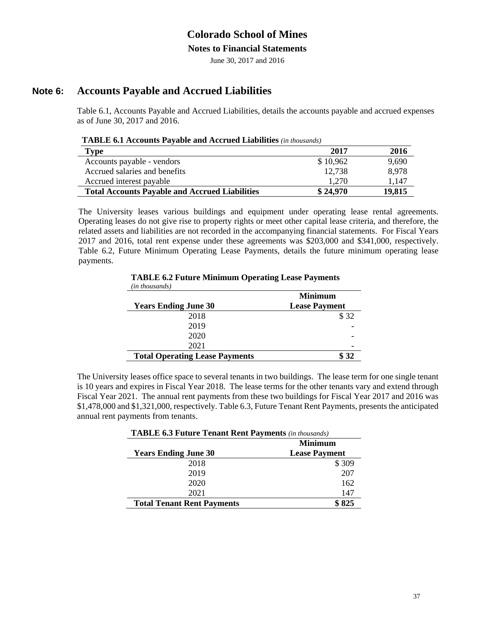#### **Notes to Financial Statements**

June 30, 2017 and 2016

## **Note 6: Accounts Payable and Accrued Liabilities**

Table 6.1, Accounts Payable and Accrued Liabilities, details the accounts payable and accrued expenses as of June 30, 2017 and 2016.

|  |  | <b>TABLE 6.1 Accounts Payable and Accrued Liabilities</b> (in thousands) |  |  |
|--|--|--------------------------------------------------------------------------|--|--|
|--|--|--------------------------------------------------------------------------|--|--|

| Type                                                  | 2017     | 2016   |
|-------------------------------------------------------|----------|--------|
| Accounts payable - vendors                            | \$10,962 | 9,690  |
| Accrued salaries and benefits                         | 12,738   | 8,978  |
| Accrued interest payable                              | 1.270    | 1.147  |
| <b>Total Accounts Payable and Accrued Liabilities</b> | \$24,970 | 19,815 |

The University leases various buildings and equipment under operating lease rental agreements. Operating leases do not give rise to property rights or meet other capital lease criteria, and therefore, the related assets and liabilities are not recorded in the accompanying financial statements. For Fiscal Years 2017 and 2016, total rent expense under these agreements was \$203,000 and \$341,000, respectively. Table 6.2, Future Minimum Operating Lease Payments, details the future minimum operating lease payments.

| (in thousands)                        | <b>Minimum</b>       |
|---------------------------------------|----------------------|
| <b>Years Ending June 30</b>           | <b>Lease Payment</b> |
| 2018                                  | \$ 32                |
| 2019                                  |                      |
| 2020                                  |                      |
| 2021                                  |                      |
| <b>Total Operating Lease Payments</b> |                      |

### **TABLE 6.2 Future Minimum Operating Lease Payments**

The University leases office space to several tenants in two buildings. The lease term for one single tenant is 10 years and expires in Fiscal Year 2018. The lease terms for the other tenants vary and extend through Fiscal Year 2021. The annual rent payments from these two buildings for Fiscal Year 2017 and 2016 was \$1,478,000 and \$1,321,000, respectively. Table 6.3, Future Tenant Rent Payments, presents the anticipated annual rent payments from tenants.

| <b>TABLE 6.3 Future Tenant Rent Payments</b> (in thousands) |                      |  |  |
|-------------------------------------------------------------|----------------------|--|--|
|                                                             | <b>Minimum</b>       |  |  |
| <b>Years Ending June 30</b>                                 | <b>Lease Payment</b> |  |  |
| 2018                                                        | \$309                |  |  |
| 2019                                                        | 207                  |  |  |
| 2020                                                        | 162                  |  |  |
| 2021                                                        | 147                  |  |  |
| <b>Total Tenant Rent Payments</b>                           | 825                  |  |  |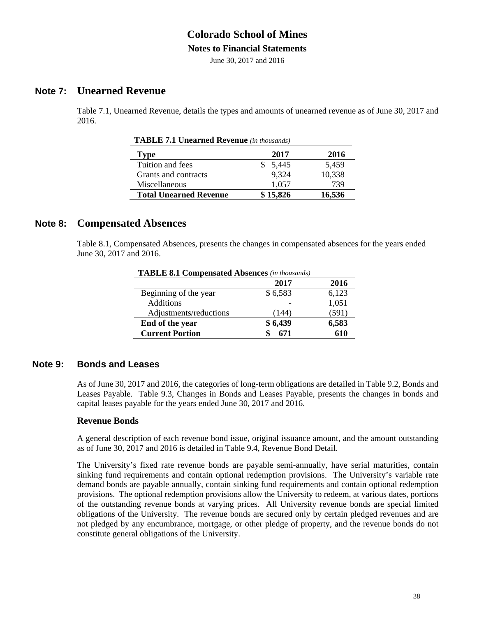#### **Notes to Financial Statements**

June 30, 2017 and 2016

## **Note 7: Unearned Revenue**

Table 7.1, Unearned Revenue, details the types and amounts of unearned revenue as of June 30, 2017 and 2016.

| <b>TADLE 1.1 UNCALICA Revenue</b> ( <i>in mousunas</i> ) |          |        |  |  |  |
|----------------------------------------------------------|----------|--------|--|--|--|
| Type                                                     | 2017     | 2016   |  |  |  |
| Tuition and fees                                         | 5,445    | 5,459  |  |  |  |
| Grants and contracts                                     | 9,324    | 10,338 |  |  |  |
| Miscellaneous                                            | 1.057    | 739    |  |  |  |
| <b>Total Unearned Revenue</b>                            | \$15,826 | 16,536 |  |  |  |
|                                                          |          |        |  |  |  |

**TABLE 7.1 Unearned Revenue** *(in thousands)*

## **Note 8: Compensated Absences**

Table 8.1, Compensated Absences, presents the changes in compensated absences for the years ended June 30, 2017 and 2016.

| <b>TABLE 8.1 Compensated Absences</b> (in thousands) |         |       |
|------------------------------------------------------|---------|-------|
|                                                      | 2017    | 2016  |
| Beginning of the year                                | \$6,583 | 6,123 |
| <b>Additions</b>                                     |         | 1,051 |
| Adjustments/reductions                               | (144)   | (591) |
| End of the year                                      | \$6,439 | 6,583 |
| <b>Current Portion</b>                               | 671     | 610   |

### **Note 9: Bonds and Leases**

As of June 30, 2017 and 2016, the categories of long-term obligations are detailed in Table 9.2, Bonds and Leases Payable. Table 9.3, Changes in Bonds and Leases Payable, presents the changes in bonds and capital leases payable for the years ended June 30, 2017 and 2016.

### **Revenue Bonds**

A general description of each revenue bond issue, original issuance amount, and the amount outstanding as of June 30, 2017 and 2016 is detailed in Table 9.4, Revenue Bond Detail.

The University's fixed rate revenue bonds are payable semi-annually, have serial maturities, contain sinking fund requirements and contain optional redemption provisions. The University's variable rate demand bonds are payable annually, contain sinking fund requirements and contain optional redemption provisions. The optional redemption provisions allow the University to redeem, at various dates, portions of the outstanding revenue bonds at varying prices. All University revenue bonds are special limited obligations of the University. The revenue bonds are secured only by certain pledged revenues and are not pledged by any encumbrance, mortgage, or other pledge of property, and the revenue bonds do not constitute general obligations of the University.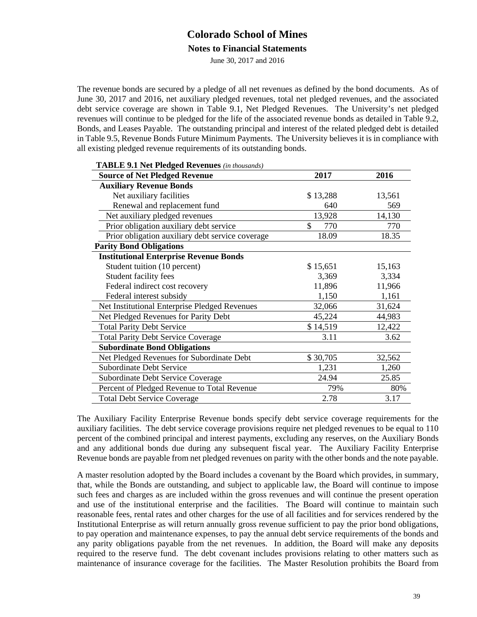June 30, 2017 and 2016

The revenue bonds are secured by a pledge of all net revenues as defined by the bond documents. As of June 30, 2017 and 2016, net auxiliary pledged revenues, total net pledged revenues, and the associated debt service coverage are shown in Table 9.1, Net Pledged Revenues. The University's net pledged revenues will continue to be pledged for the life of the associated revenue bonds as detailed in Table 9.2, Bonds, and Leases Payable. The outstanding principal and interest of the related pledged debt is detailed in Table 9.5, Revenue Bonds Future Minimum Payments. The University believes it is in compliance with all existing pledged revenue requirements of its outstanding bonds.

| <b>TABLE 9.1 Net Pledged Revenues</b> (in thousands) |           |        |
|------------------------------------------------------|-----------|--------|
| <b>Source of Net Pledged Revenue</b>                 | 2017      | 2016   |
| <b>Auxiliary Revenue Bonds</b>                       |           |        |
| Net auxiliary facilities                             | \$13,288  | 13,561 |
| Renewal and replacement fund                         | 640       | 569    |
| Net auxiliary pledged revenues                       | 13,928    | 14,130 |
| Prior obligation auxiliary debt service              | \$<br>770 | 770    |
| Prior obligation auxiliary debt service coverage     | 18.09     | 18.35  |
| <b>Parity Bond Obligations</b>                       |           |        |
| <b>Institutional Enterprise Revenue Bonds</b>        |           |        |
| Student tuition (10 percent)                         | \$15,651  | 15,163 |
| Student facility fees                                | 3,369     | 3,334  |
| Federal indirect cost recovery                       | 11,896    | 11,966 |
| Federal interest subsidy                             | 1,150     | 1,161  |
| Net Institutional Enterprise Pledged Revenues        | 32,066    | 31,624 |
| Net Pledged Revenues for Parity Debt                 | 45,224    | 44,983 |
| <b>Total Parity Debt Service</b>                     | \$14,519  | 12,422 |
| <b>Total Parity Debt Service Coverage</b>            | 3.11      | 3.62   |
| <b>Subordinate Bond Obligations</b>                  |           |        |
| Net Pledged Revenues for Subordinate Debt            | \$30,705  | 32,562 |
| <b>Subordinate Debt Service</b>                      | 1,231     | 1,260  |
| Subordinate Debt Service Coverage                    | 24.94     | 25.85  |
| Percent of Pledged Revenue to Total Revenue          | 79%       | 80%    |
| <b>Total Debt Service Coverage</b>                   | 2.78      | 3.17   |

The Auxiliary Facility Enterprise Revenue bonds specify debt service coverage requirements for the auxiliary facilities. The debt service coverage provisions require net pledged revenues to be equal to 110 percent of the combined principal and interest payments, excluding any reserves, on the Auxiliary Bonds and any additional bonds due during any subsequent fiscal year. The Auxiliary Facility Enterprise Revenue bonds are payable from net pledged revenues on parity with the other bonds and the note payable.

A master resolution adopted by the Board includes a covenant by the Board which provides, in summary, that, while the Bonds are outstanding, and subject to applicable law, the Board will continue to impose such fees and charges as are included within the gross revenues and will continue the present operation and use of the institutional enterprise and the facilities. The Board will continue to maintain such reasonable fees, rental rates and other charges for the use of all facilities and for services rendered by the Institutional Enterprise as will return annually gross revenue sufficient to pay the prior bond obligations, to pay operation and maintenance expenses, to pay the annual debt service requirements of the bonds and any parity obligations payable from the net revenues. In addition, the Board will make any deposits required to the reserve fund. The debt covenant includes provisions relating to other matters such as maintenance of insurance coverage for the facilities. The Master Resolution prohibits the Board from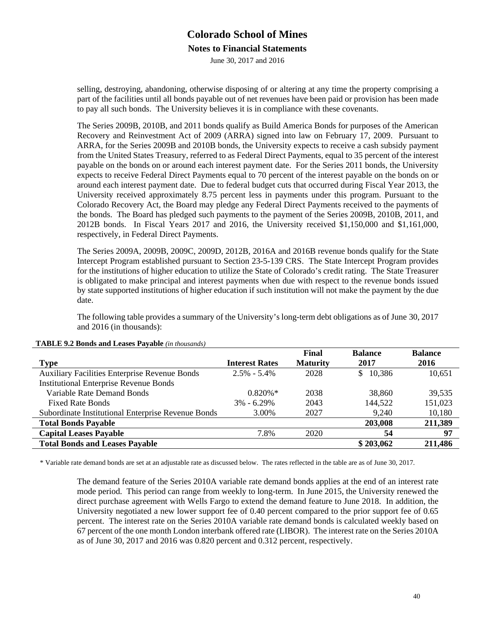June 30, 2017 and 2016

selling, destroying, abandoning, otherwise disposing of or altering at any time the property comprising a part of the facilities until all bonds payable out of net revenues have been paid or provision has been made to pay all such bonds. The University believes it is in compliance with these covenants.

The Series 2009B, 2010B, and 2011 bonds qualify as Build America Bonds for purposes of the American Recovery and Reinvestment Act of 2009 (ARRA) signed into law on February 17, 2009. Pursuant to ARRA, for the Series 2009B and 2010B bonds, the University expects to receive a cash subsidy payment from the United States Treasury, referred to as Federal Direct Payments, equal to 35 percent of the interest payable on the bonds on or around each interest payment date. For the Series 2011 bonds, the University expects to receive Federal Direct Payments equal to 70 percent of the interest payable on the bonds on or around each interest payment date. Due to federal budget cuts that occurred during Fiscal Year 2013, the University received approximately 8.75 percent less in payments under this program. Pursuant to the Colorado Recovery Act, the Board may pledge any Federal Direct Payments received to the payments of the bonds. The Board has pledged such payments to the payment of the Series 2009B, 2010B, 2011, and 2012B bonds. In Fiscal Years 2017 and 2016, the University received \$1,150,000 and \$1,161,000, respectively, in Federal Direct Payments.

The Series 2009A, 2009B, 2009C, 2009D, 2012B, 2016A and 2016B revenue bonds qualify for the State Intercept Program established pursuant to Section 23-5-139 CRS. The State Intercept Program provides for the institutions of higher education to utilize the State of Colorado's credit rating. The State Treasurer is obligated to make principal and interest payments when due with respect to the revenue bonds issued by state supported institutions of higher education if such institution will not make the payment by the due date.

The following table provides a summary of the University's long-term debt obligations as of June 30, 2017 and 2016 (in thousands):

|                                                    |                       | Final           | <b>Balance</b>         | <b>Balance</b> |
|----------------------------------------------------|-----------------------|-----------------|------------------------|----------------|
| <b>Type</b>                                        | <b>Interest Rates</b> | <b>Maturity</b> | 2017                   | 2016           |
| Auxiliary Facilities Enterprise Revenue Bonds      | $2.5\% - 5.4\%$       | 2028            | 10,386<br><sup>S</sup> | 10,651         |
| <b>Institutional Enterprise Revenue Bonds</b>      |                       |                 |                        |                |
| Variable Rate Demand Bonds                         | $0.820\%*$            | 2038            | 38,860                 | 39,535         |
| <b>Fixed Rate Bonds</b>                            | $3\% - 6.29\%$        | 2043            | 144,522                | 151,023        |
| Subordinate Institutional Enterprise Revenue Bonds | 3.00%                 | 2027            | 9,240                  | 10,180         |
| <b>Total Bonds Payable</b>                         |                       |                 | 203,008                | 211,389        |
| <b>Capital Leases Payable</b>                      | 7.8%                  | 2020            | 54                     | 97             |
| <b>Total Bonds and Leases Payable</b>              |                       |                 | \$203,062              | 211,486        |

#### **TABLE 9.2 Bonds and Leases Payable** *(in thousands)*

\* Variable rate demand bonds are set at an adjustable rate as discussed below. The rates reflected in the table are as of June 30, 2017.

The demand feature of the Series 2010A variable rate demand bonds applies at the end of an interest rate mode period. This period can range from weekly to long-term. In June 2015, the University renewed the direct purchase agreement with Wells Fargo to extend the demand feature to June 2018. In addition, the University negotiated a new lower support fee of 0.40 percent compared to the prior support fee of 0.65 percent. The interest rate on the Series 2010A variable rate demand bonds is calculated weekly based on 67 percent of the one month London interbank offered rate (LIBOR). The interest rate on the Series 2010A as of June 30, 2017 and 2016 was 0.820 percent and 0.312 percent, respectively.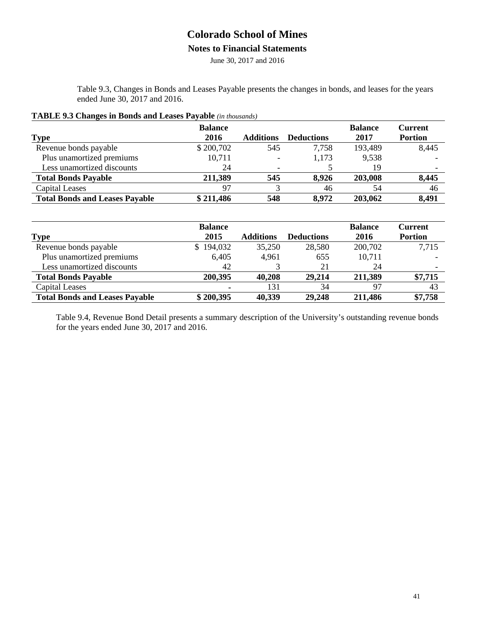## **Notes to Financial Statements**

June 30, 2017 and 2016

Table 9.3, Changes in Bonds and Leases Payable presents the changes in bonds, and leases for the years ended June 30, 2017 and 2016.

#### **TABLE 9.3 Changes in Bonds and Leases Payable** *(in thousands)*

| <b>Type</b>                           | <b>Balance</b><br>2016 | <b>Additions</b> | <b>Deductions</b> | <b>Balance</b><br>2017 | <b>Current</b><br><b>Portion</b> |
|---------------------------------------|------------------------|------------------|-------------------|------------------------|----------------------------------|
| Revenue bonds payable                 | \$200,702              | 545              | 7,758             | 193,489                | 8.445                            |
| Plus unamortized premiums             | 10,711                 |                  | 1,173             | 9,538                  |                                  |
| Less unamortized discounts            | 24                     | -                |                   | 19                     | -                                |
| <b>Total Bonds Payable</b>            | 211,389                | 545              | 8,926             | 203,008                | 8,445                            |
| Capital Leases                        | Q7                     |                  | 46                | 54                     | 46                               |
| <b>Total Bonds and Leases Payable</b> | \$211,486              | 548              | 8,972             | 203,062                | 8,491                            |

|                                       | <b>Balance</b> |                  |                   | <b>Balance</b> | <b>Current</b> |
|---------------------------------------|----------------|------------------|-------------------|----------------|----------------|
| <b>Type</b>                           | 2015           | <b>Additions</b> | <b>Deductions</b> | 2016           | <b>Portion</b> |
| Revenue bonds payable                 | \$194,032      | 35,250           | 28,580            | 200,702        | 7.715          |
| Plus unamortized premiums             | 6,405          | 4,961            | 655               | 10,711         |                |
| Less unamortized discounts            | 42             |                  | 21                | 24             | -              |
| <b>Total Bonds Payable</b>            | 200,395        | 40,208           | 29,214            | 211,389        | \$7,715        |
| <b>Capital Leases</b>                 |                | 131              | 34                | 97             | 43             |
| <b>Total Bonds and Leases Payable</b> | \$200,395      | 40,339           | 29,248            | 211,486        | \$7,758        |

Table 9.4, Revenue Bond Detail presents a summary description of the University's outstanding revenue bonds for the years ended June 30, 2017 and 2016.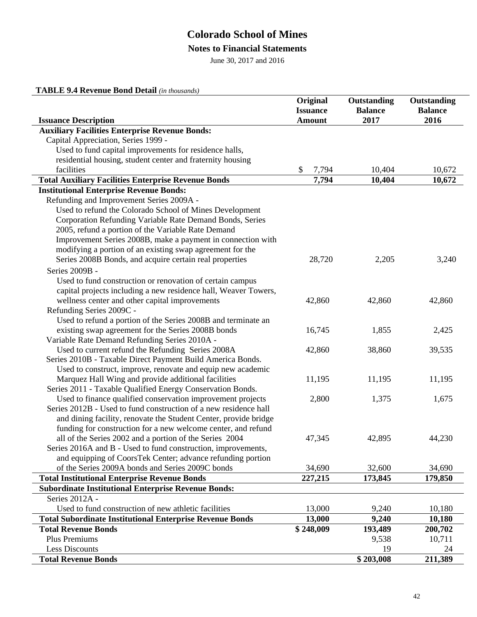## **Notes to Financial Statements**

June 30, 2017 and 2016

## **TABLE 9.4 Revenue Bond Detail** *(in thousands)*

|                                                                                                                 | Original<br><b>Issuance</b> | Outstanding<br><b>Balance</b> | Outstanding<br><b>Balance</b> |  |
|-----------------------------------------------------------------------------------------------------------------|-----------------------------|-------------------------------|-------------------------------|--|
| <b>Issuance Description</b>                                                                                     | <b>Amount</b>               | 2017                          | 2016                          |  |
| <b>Auxiliary Facilities Enterprise Revenue Bonds:</b>                                                           |                             |                               |                               |  |
| Capital Appreciation, Series 1999 -                                                                             |                             |                               |                               |  |
| Used to fund capital improvements for residence halls,                                                          |                             |                               |                               |  |
| residential housing, student center and fraternity housing                                                      |                             |                               |                               |  |
| facilities                                                                                                      | \$<br>7,794                 | 10,404                        | 10,672                        |  |
| <b>Total Auxiliary Facilities Enterprise Revenue Bonds</b>                                                      | 7,794                       | 10,404                        | 10,672                        |  |
| <b>Institutional Enterprise Revenue Bonds:</b>                                                                  |                             |                               |                               |  |
| Refunding and Improvement Series 2009A -                                                                        |                             |                               |                               |  |
| Used to refund the Colorado School of Mines Development                                                         |                             |                               |                               |  |
| Corporation Refunding Variable Rate Demand Bonds, Series                                                        |                             |                               |                               |  |
| 2005, refund a portion of the Variable Rate Demand                                                              |                             |                               |                               |  |
| Improvement Series 2008B, make a payment in connection with                                                     |                             |                               |                               |  |
| modifying a portion of an existing swap agreement for the                                                       |                             |                               |                               |  |
| Series 2008B Bonds, and acquire certain real properties                                                         | 28,720                      | 2,205                         | 3,240                         |  |
| Series 2009B -                                                                                                  |                             |                               |                               |  |
| Used to fund construction or renovation of certain campus                                                       |                             |                               |                               |  |
| capital projects including a new residence hall, Weaver Towers,                                                 |                             |                               |                               |  |
| wellness center and other capital improvements                                                                  | 42,860                      | 42,860                        | 42,860                        |  |
| Refunding Series 2009C -                                                                                        |                             |                               |                               |  |
| Used to refund a portion of the Series 2008B and terminate an                                                   |                             |                               |                               |  |
| existing swap agreement for the Series 2008B bonds                                                              | 16,745                      | 1,855                         | 2,425                         |  |
| Variable Rate Demand Refunding Series 2010A -                                                                   |                             |                               |                               |  |
| Used to current refund the Refunding Series 2008A                                                               | 42,860                      | 38,860                        | 39,535                        |  |
| Series 2010B - Taxable Direct Payment Build America Bonds.                                                      |                             |                               |                               |  |
| Used to construct, improve, renovate and equip new academic                                                     |                             |                               |                               |  |
| Marquez Hall Wing and provide additional facilities                                                             | 11,195                      | 11,195                        | 11,195                        |  |
| Series 2011 - Taxable Qualified Energy Conservation Bonds.                                                      |                             |                               |                               |  |
| Used to finance qualified conservation improvement projects                                                     | 2,800                       | 1,375                         | 1,675                         |  |
| Series 2012B - Used to fund construction of a new residence hall                                                |                             |                               |                               |  |
| and dining facility, renovate the Student Center, provide bridge                                                |                             |                               |                               |  |
| funding for construction for a new welcome center, and refund                                                   |                             |                               |                               |  |
| all of the Series 2002 and a portion of the Series 2004                                                         | 47,345                      | 42,895                        | 44,230                        |  |
| Series 2016A and B - Used to fund construction, improvements,                                                   |                             |                               |                               |  |
| and equipping of CoorsTek Center; advance refunding portion<br>of the Series 2009A bonds and Series 2009C bonds | 34,690                      | 32,600                        | 34,690                        |  |
| <b>Total Institutional Enterprise Revenue Bonds</b>                                                             | 227,215                     | 173,845                       | 179,850                       |  |
| <b>Subordinate Institutional Enterprise Revenue Bonds:</b>                                                      |                             |                               |                               |  |
| Series 2012A -                                                                                                  |                             |                               |                               |  |
| Used to fund construction of new athletic facilities                                                            | 13,000                      | 9,240                         | 10,180                        |  |
| <b>Total Subordinate Institutional Enterprise Revenue Bonds</b>                                                 | 13,000                      | 9,240                         | 10,180                        |  |
| <b>Total Revenue Bonds</b>                                                                                      | \$248,009                   | 193,489                       | 200,702                       |  |
| <b>Plus Premiums</b>                                                                                            |                             | 9,538                         | 10,711                        |  |
| <b>Less Discounts</b>                                                                                           |                             | 19                            | 24                            |  |
| <b>Total Revenue Bonds</b>                                                                                      |                             | \$203,008                     | 211,389                       |  |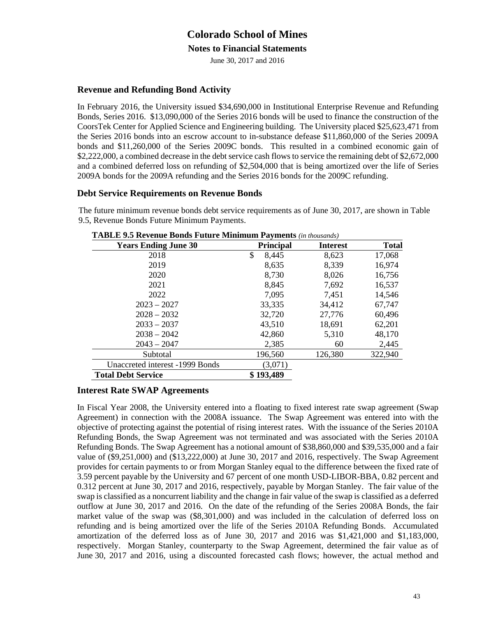#### **Notes to Financial Statements**

June 30, 2017 and 2016

## **Revenue and Refunding Bond Activity**

In February 2016, the University issued \$34,690,000 in Institutional Enterprise Revenue and Refunding Bonds, Series 2016. \$13,090,000 of the Series 2016 bonds will be used to finance the construction of the CoorsTek Center for Applied Science and Engineering building. The University placed \$25,623,471 from the Series 2016 bonds into an escrow account to in-substance defease \$11,860,000 of the Series 2009A bonds and \$11,260,000 of the Series 2009C bonds. This resulted in a combined economic gain of \$2,222,000, a combined decrease in the debt service cash flows to service the remaining debt of \$2,672,000 and a combined deferred loss on refunding of \$2,504,000 that is being amortized over the life of Series 2009A bonds for the 2009A refunding and the Series 2016 bonds for the 2009C refunding.

### **Debt Service Requirements on Revenue Bonds**

The future minimum revenue bonds debt service requirements as of June 30, 2017, are shown in Table 9.5, Revenue Bonds Future Minimum Payments.

| <b>Years Ending June 30</b>     | <b>Principal</b> | <b>Interest</b> | <b>Total</b> |
|---------------------------------|------------------|-----------------|--------------|
| 2018                            | \$<br>8,445      | 8,623           | 17,068       |
| 2019                            | 8,635            | 8,339           | 16,974       |
| 2020                            | 8,730            | 8,026           | 16,756       |
| 2021                            | 8,845            | 7,692           | 16,537       |
| 2022                            | 7,095            | 7,451           | 14,546       |
| $2023 - 2027$                   | 33,335           | 34,412          | 67,747       |
| $2028 - 2032$                   | 32,720           | 27,776          | 60,496       |
| $2033 - 2037$                   | 43,510           | 18,691          | 62,201       |
| $2038 - 2042$                   | 42,860           | 5,310           | 48,170       |
| $2043 - 2047$                   | 2,385            | 60              | 2,445        |
| Subtotal                        | 196,560          | 126,380         | 322,940      |
| Unaccreted interest -1999 Bonds | (3,071)          |                 |              |
| <b>Total Debt Service</b>       | \$193,489        |                 |              |

#### **TABLE 9.5 Revenue Bonds Future Minimum Payments** *(in thousands)*

#### **Interest Rate SWAP Agreements**

In Fiscal Year 2008, the University entered into a floating to fixed interest rate swap agreement (Swap Agreement) in connection with the 2008A issuance. The Swap Agreement was entered into with the objective of protecting against the potential of rising interest rates. With the issuance of the Series 2010A Refunding Bonds, the Swap Agreement was not terminated and was associated with the Series 2010A Refunding Bonds. The Swap Agreement has a notional amount of \$38,860,000 and \$39,535,000 and a fair value of (\$9,251,000) and (\$13,222,000) at June 30, 2017 and 2016, respectively. The Swap Agreement provides for certain payments to or from Morgan Stanley equal to the difference between the fixed rate of 3.59 percent payable by the University and 67 percent of one month USD-LIBOR-BBA, 0.82 percent and 0.312 percent at June 30, 2017 and 2016, respectively, payable by Morgan Stanley. The fair value of the swap is classified as a noncurrent liability and the change in fair value of the swap is classified as a deferred outflow at June 30, 2017 and 2016. On the date of the refunding of the Series 2008A Bonds, the fair market value of the swap was (\$8,301,000) and was included in the calculation of deferred loss on refunding and is being amortized over the life of the Series 2010A Refunding Bonds. Accumulated amortization of the deferred loss as of June 30, 2017 and 2016 was \$1,421,000 and \$1,183,000, respectively. Morgan Stanley, counterparty to the Swap Agreement, determined the fair value as of June 30, 2017 and 2016, using a discounted forecasted cash flows; however, the actual method and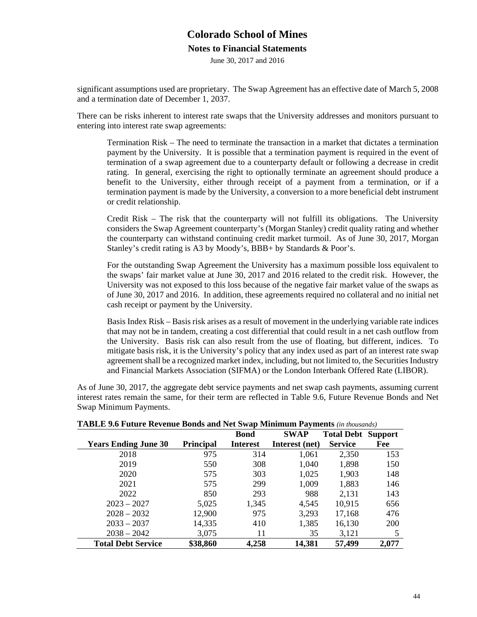# **Notes to Financial Statements**

June 30, 2017 and 2016

significant assumptions used are proprietary. The Swap Agreement has an effective date of March 5, 2008 and a termination date of December 1, 2037.

There can be risks inherent to interest rate swaps that the University addresses and monitors pursuant to entering into interest rate swap agreements:

Termination Risk – The need to terminate the transaction in a market that dictates a termination payment by the University. It is possible that a termination payment is required in the event of termination of a swap agreement due to a counterparty default or following a decrease in credit rating. In general, exercising the right to optionally terminate an agreement should produce a benefit to the University, either through receipt of a payment from a termination, or if a termination payment is made by the University, a conversion to a more beneficial debt instrument or credit relationship.

Credit Risk – The risk that the counterparty will not fulfill its obligations. The University considers the Swap Agreement counterparty's (Morgan Stanley) credit quality rating and whether the counterparty can withstand continuing credit market turmoil. As of June 30, 2017, Morgan Stanley's credit rating is A3 by Moody's, BBB+ by Standards & Poor's.

For the outstanding Swap Agreement the University has a maximum possible loss equivalent to the swaps' fair market value at June 30, 2017 and 2016 related to the credit risk. However, the University was not exposed to this loss because of the negative fair market value of the swaps as of June 30, 2017 and 2016. In addition, these agreements required no collateral and no initial net cash receipt or payment by the University.

Basis Index Risk – Basis risk arises as a result of movement in the underlying variable rate indices that may not be in tandem, creating a cost differential that could result in a net cash outflow from the University. Basis risk can also result from the use of floating, but different, indices. To mitigate basis risk, it is the University's policy that any index used as part of an interest rate swap agreement shall be a recognized market index, including, but not limited to, the Securities Industry and Financial Markets Association (SIFMA) or the London Interbank Offered Rate (LIBOR).

As of June 30, 2017, the aggregate debt service payments and net swap cash payments, assuming current interest rates remain the same, for their term are reflected in Table 9.6, Future Revenue Bonds and Net Swap Minimum Payments.

|                             |                  | <b>Bond</b>     | <b>SWAP</b>    | <b>Total Debt Support</b> |            |
|-----------------------------|------------------|-----------------|----------------|---------------------------|------------|
| <b>Years Ending June 30</b> | <b>Principal</b> | <b>Interest</b> | Interest (net) | <b>Service</b>            | Fee        |
| 2018                        | 975              | 314             | 1,061          | 2,350                     | 153        |
| 2019                        | 550              | 308             | 1,040          | 1,898                     | 150        |
| 2020                        | 575              | 303             | 1,025          | 1,903                     | 148        |
| 2021                        | 575              | 299             | 1,009          | 1,883                     | 146        |
| 2022                        | 850              | 293             | 988            | 2,131                     | 143        |
| $2023 - 2027$               | 5,025            | 1,345           | 4,545          | 10,915                    | 656        |
| $2028 - 2032$               | 12,900           | 975             | 3,293          | 17,168                    | 476        |
| $2033 - 2037$               | 14,335           | 410             | 1,385          | 16,130                    | <b>200</b> |
| $2038 - 2042$               | 3,075            | 11              | 35             | 3,121                     |            |
| <b>Total Debt Service</b>   | \$38,860         | 4,258           | 14,381         | 57,499                    | 2,077      |

#### **TABLE 9.6 Future Revenue Bonds and Net Swap Minimum Payments** *(in thousands)*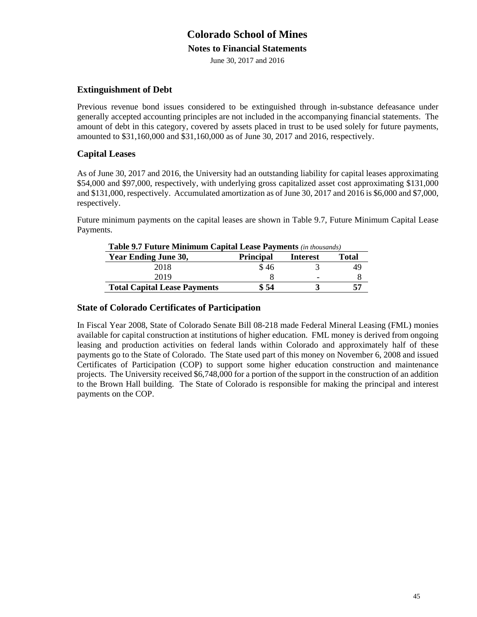#### **Notes to Financial Statements**

June 30, 2017 and 2016

## **Extinguishment of Debt**

Previous revenue bond issues considered to be extinguished through in-substance defeasance under generally accepted accounting principles are not included in the accompanying financial statements. The amount of debt in this category, covered by assets placed in trust to be used solely for future payments, amounted to \$31,160,000 and \$31,160,000 as of June 30, 2017 and 2016, respectively.

## **Capital Leases**

As of June 30, 2017 and 2016, the University had an outstanding liability for capital leases approximating \$54,000 and \$97,000, respectively, with underlying gross capitalized asset cost approximating \$131,000 and \$131,000, respectively. Accumulated amortization as of June 30, 2017 and 2016 is \$6,000 and \$7,000, respectively.

Future minimum payments on the capital leases are shown in Table 9.7, Future Minimum Capital Lease Payments.

| <b>Table 7.7 Futule Minimum Capital Lease 1 ayments</b> ( <i>in mousunas</i> ) |                  |          |       |  |  |
|--------------------------------------------------------------------------------|------------------|----------|-------|--|--|
| <b>Year Ending June 30,</b>                                                    | <b>Principal</b> | Interest | Total |  |  |
| 2018                                                                           | \$ 46            |          | 49    |  |  |
| 2019                                                                           |                  |          |       |  |  |
| <b>Total Capital Lease Payments</b>                                            | 1 54 گ           |          |       |  |  |

**Table 9.7 Future Minimum Capital Lease Payments** *(in thousands)*

#### **State of Colorado Certificates of Participation**

In Fiscal Year 2008, State of Colorado Senate Bill 08-218 made Federal Mineral Leasing (FML) monies available for capital construction at institutions of higher education. FML money is derived from ongoing leasing and production activities on federal lands within Colorado and approximately half of these payments go to the State of Colorado. The State used part of this money on November 6, 2008 and issued Certificates of Participation (COP) to support some higher education construction and maintenance projects. The University received \$6,748,000 for a portion of the support in the construction of an addition to the Brown Hall building. The State of Colorado is responsible for making the principal and interest payments on the COP.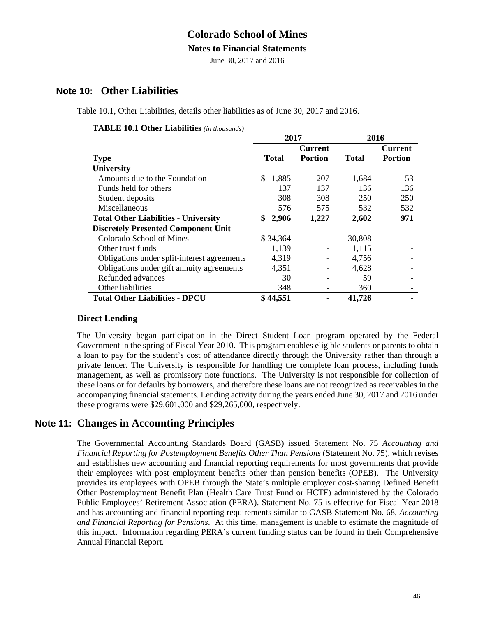#### **Notes to Financial Statements**

June 30, 2017 and 2016

## **Note 10: Other Liabilities**

Table 10.1, Other Liabilities, details other liabilities as of June 30, 2017 and 2016.

|                                             | 2017        |                | 2016   |                |
|---------------------------------------------|-------------|----------------|--------|----------------|
|                                             |             | <b>Current</b> |        | Current        |
| <b>Type</b>                                 | Total       | <b>Portion</b> | Total  | <b>Portion</b> |
| <b>University</b>                           |             |                |        |                |
| Amounts due to the Foundation               | \$<br>1,885 | 207            | 1,684  | 53             |
| Funds held for others                       | 137         | 137            | 136    | 136            |
| Student deposits                            | 308         | 308            | 250    | 250            |
| Miscellaneous                               | 576         | 575            | 532    | 532            |
| <b>Total Other Liabilities - University</b> | 2,906<br>\$ | 1,227          | 2,602  | 971            |
| <b>Discretely Presented Component Unit</b>  |             |                |        |                |
| Colorado School of Mines                    | \$34,364    |                | 30,808 |                |
| Other trust funds                           | 1,139       |                | 1,115  |                |
| Obligations under split-interest agreements | 4,319       |                | 4,756  |                |
| Obligations under gift annuity agreements   | 4,351       |                | 4,628  |                |
| Refunded advances                           | 30          |                | 59     |                |
| Other liabilities                           | 348         |                | 360    |                |
| <b>Total Other Liabilities - DPCU</b>       | \$44,551    |                | 41,726 |                |

**TABLE 10.1 Other Liabilities** *(in thousands)*

### **Direct Lending**

The University began participation in the Direct Student Loan program operated by the Federal Government in the spring of Fiscal Year 2010. This program enables eligible students or parents to obtain a loan to pay for the student's cost of attendance directly through the University rather than through a private lender. The University is responsible for handling the complete loan process, including funds management, as well as promissory note functions. The University is not responsible for collection of these loans or for defaults by borrowers, and therefore these loans are not recognized as receivables in the accompanying financial statements. Lending activity during the years ended June 30, 2017 and 2016 under these programs were \$29,601,000 and \$29,265,000, respectively.

## **Note 11: Changes in Accounting Principles**

The Governmental Accounting Standards Board (GASB) issued Statement No. 75 *Accounting and Financial Reporting for Postemployment Benefits Other Than Pensions (Statement No. 75), which revises* and establishes new accounting and financial reporting requirements for most governments that provide their employees with post employment benefits other than pension benefits (OPEB). The University provides its employees with OPEB through the State's multiple employer cost-sharing Defined Benefit Other Postemployment Benefit Plan (Health Care Trust Fund or HCTF) administered by the Colorado Public Employees' Retirement Association (PERA). Statement No. 75 is effective for Fiscal Year 2018 and has accounting and financial reporting requirements similar to GASB Statement No. 68, *Accounting and Financial Reporting for Pensions*. At this time, management is unable to estimate the magnitude of this impact. Information regarding PERA's current funding status can be found in their Comprehensive Annual Financial Report.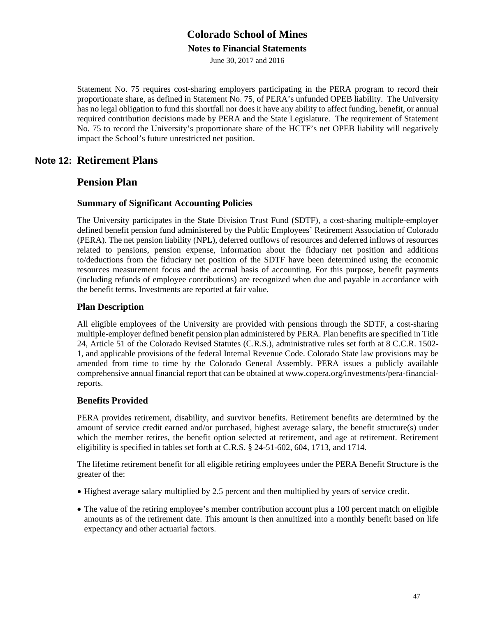June 30, 2017 and 2016

Statement No. 75 requires cost-sharing employers participating in the PERA program to record their proportionate share, as defined in Statement No. 75, of PERA's unfunded OPEB liability. The University has no legal obligation to fund this shortfall nor does it have any ability to affect funding, benefit, or annual required contribution decisions made by PERA and the State Legislature. The requirement of Statement No. 75 to record the University's proportionate share of the HCTF's net OPEB liability will negatively impact the School's future unrestricted net position.

## **Note 12: Retirement Plans**

## **Pension Plan**

## **Summary of Significant Accounting Policies**

The University participates in the State Division Trust Fund (SDTF), a cost-sharing multiple-employer defined benefit pension fund administered by the Public Employees' Retirement Association of Colorado (PERA). The net pension liability (NPL), deferred outflows of resources and deferred inflows of resources related to pensions, pension expense, information about the fiduciary net position and additions to/deductions from the fiduciary net position of the SDTF have been determined using the economic resources measurement focus and the accrual basis of accounting. For this purpose, benefit payments (including refunds of employee contributions) are recognized when due and payable in accordance with the benefit terms. Investments are reported at fair value.

## **Plan Description**

All eligible employees of the University are provided with pensions through the SDTF, a cost-sharing multiple-employer defined benefit pension plan administered by PERA. Plan benefits are specified in Title 24, Article 51 of the Colorado Revised Statutes (C.R.S.), administrative rules set forth at 8 C.C.R. 1502- 1, and applicable provisions of the federal Internal Revenue Code. Colorado State law provisions may be amended from time to time by the Colorado General Assembly. PERA issues a publicly available comprehensive annual financial report that can be obtained at www.copera.org/investments/pera-financialreports.

### **Benefits Provided**

PERA provides retirement, disability, and survivor benefits. Retirement benefits are determined by the amount of service credit earned and/or purchased, highest average salary, the benefit structure(s) under which the member retires, the benefit option selected at retirement, and age at retirement. Retirement eligibility is specified in tables set forth at C.R.S. § 24-51-602, 604, 1713, and 1714.

The lifetime retirement benefit for all eligible retiring employees under the PERA Benefit Structure is the greater of the:

- Highest average salary multiplied by 2.5 percent and then multiplied by years of service credit.
- The value of the retiring employee's member contribution account plus a 100 percent match on eligible amounts as of the retirement date. This amount is then annuitized into a monthly benefit based on life expectancy and other actuarial factors.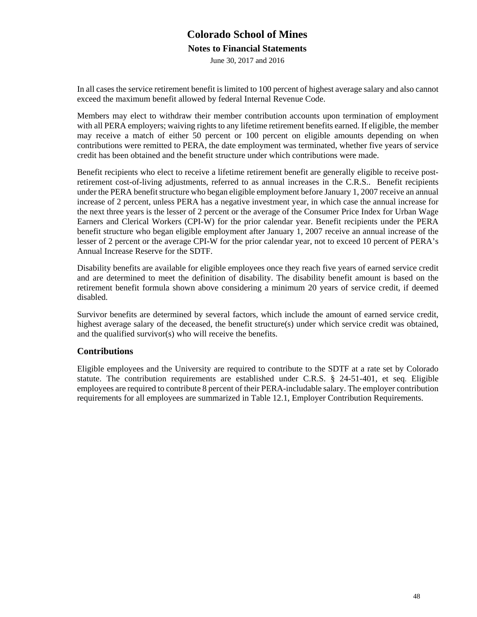June 30, 2017 and 2016

In all cases the service retirement benefit is limited to 100 percent of highest average salary and also cannot exceed the maximum benefit allowed by federal Internal Revenue Code.

Members may elect to withdraw their member contribution accounts upon termination of employment with all PERA employers; waiving rights to any lifetime retirement benefits earned. If eligible, the member may receive a match of either 50 percent or 100 percent on eligible amounts depending on when contributions were remitted to PERA, the date employment was terminated, whether five years of service credit has been obtained and the benefit structure under which contributions were made.

Benefit recipients who elect to receive a lifetime retirement benefit are generally eligible to receive postretirement cost-of-living adjustments, referred to as annual increases in the C.R.S.. Benefit recipients under the PERA benefit structure who began eligible employment before January 1, 2007 receive an annual increase of 2 percent, unless PERA has a negative investment year, in which case the annual increase for the next three years is the lesser of 2 percent or the average of the Consumer Price Index for Urban Wage Earners and Clerical Workers (CPI-W) for the prior calendar year. Benefit recipients under the PERA benefit structure who began eligible employment after January 1, 2007 receive an annual increase of the lesser of 2 percent or the average CPI-W for the prior calendar year, not to exceed 10 percent of PERA's Annual Increase Reserve for the SDTF.

Disability benefits are available for eligible employees once they reach five years of earned service credit and are determined to meet the definition of disability. The disability benefit amount is based on the retirement benefit formula shown above considering a minimum 20 years of service credit, if deemed disabled.

Survivor benefits are determined by several factors, which include the amount of earned service credit, highest average salary of the deceased, the benefit structure(s) under which service credit was obtained, and the qualified survivor(s) who will receive the benefits.

### **Contributions**

Eligible employees and the University are required to contribute to the SDTF at a rate set by Colorado statute. The contribution requirements are established under C.R.S. § 24-51-401, et seq. Eligible employees are required to contribute 8 percent of their PERA-includable salary. The employer contribution requirements for all employees are summarized in Table 12.1, Employer Contribution Requirements.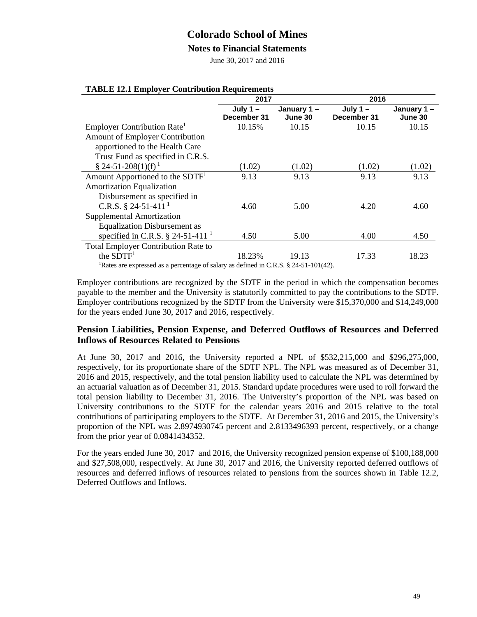### **Notes to Financial Statements**

June 30, 2017 and 2016

#### **TABLE 12.1 Employer Contribution Requirements**

|                                                                                                | 2017                      |                       | 2016                      |                       |  |  |
|------------------------------------------------------------------------------------------------|---------------------------|-----------------------|---------------------------|-----------------------|--|--|
|                                                                                                | July $1 -$<br>December 31 | January 1-<br>June 30 | July $1 -$<br>December 31 | January 1-<br>June 30 |  |  |
| Employer Contribution Rate <sup>1</sup>                                                        | 10.15%                    | 10.15                 | 10.15                     | 10.15                 |  |  |
| <b>Amount of Employer Contribution</b>                                                         |                           |                       |                           |                       |  |  |
| apportioned to the Health Care                                                                 |                           |                       |                           |                       |  |  |
| Trust Fund as specified in C.R.S.                                                              |                           |                       |                           |                       |  |  |
| $\S$ 24-51-208(1)(f) <sup>1</sup>                                                              | (1.02)                    | (1.02)                | (1.02)                    | (1.02)                |  |  |
| Amount Apportioned to the SDTF <sup>1</sup>                                                    | 9.13                      | 9.13                  | 9.13                      | 9.13                  |  |  |
| <b>Amortization Equalization</b>                                                               |                           |                       |                           |                       |  |  |
| Disbursement as specified in                                                                   |                           |                       |                           |                       |  |  |
| C.R.S. § 24-51-411 <sup>1</sup>                                                                | 4.60                      | 5.00                  | 4.20                      | 4.60                  |  |  |
| Supplemental Amortization                                                                      |                           |                       |                           |                       |  |  |
| <b>Equalization Disbursement as</b>                                                            |                           |                       |                           |                       |  |  |
| specified in C.R.S. § 24-51-411 <sup><math>1</math></sup>                                      | 4.50                      | 5.00                  | 4.00                      | 4.50                  |  |  |
| <b>Total Employer Contribution Rate to</b>                                                     |                           |                       |                           |                       |  |  |
| the SDTF <sup>1</sup>                                                                          | 18.23%                    | 19.13                 | 17.33                     | 18.23                 |  |  |
| $^{1}$ Dates are expressed as a percentage of salary as defined in C D S $\beta$ 24.51.101(42) |                           |                       |                           |                       |  |  |

Rates are expressed as a percentage of salary as defined in C.R.S. § 24-51-101(42).

Employer contributions are recognized by the SDTF in the period in which the compensation becomes payable to the member and the University is statutorily committed to pay the contributions to the SDTF. Employer contributions recognized by the SDTF from the University were \$15,370,000 and \$14,249,000 for the years ended June 30, 2017 and 2016, respectively.

### **Pension Liabilities, Pension Expense, and Deferred Outflows of Resources and Deferred Inflows of Resources Related to Pensions**

At June 30, 2017 and 2016, the University reported a NPL of \$532,215,000 and \$296,275,000, respectively, for its proportionate share of the SDTF NPL. The NPL was measured as of December 31, 2016 and 2015, respectively, and the total pension liability used to calculate the NPL was determined by an actuarial valuation as of December 31, 2015. Standard update procedures were used to roll forward the total pension liability to December 31, 2016. The University's proportion of the NPL was based on University contributions to the SDTF for the calendar years 2016 and 2015 relative to the total contributions of participating employers to the SDTF. At December 31, 2016 and 2015, the University's proportion of the NPL was 2.8974930745 percent and 2.8133496393 percent, respectively, or a change from the prior year of 0.0841434352.

For the years ended June 30, 2017 and 2016, the University recognized pension expense of \$100,188,000 and \$27,508,000, respectively. At June 30, 2017 and 2016, the University reported deferred outflows of resources and deferred inflows of resources related to pensions from the sources shown in Table 12.2, Deferred Outflows and Inflows.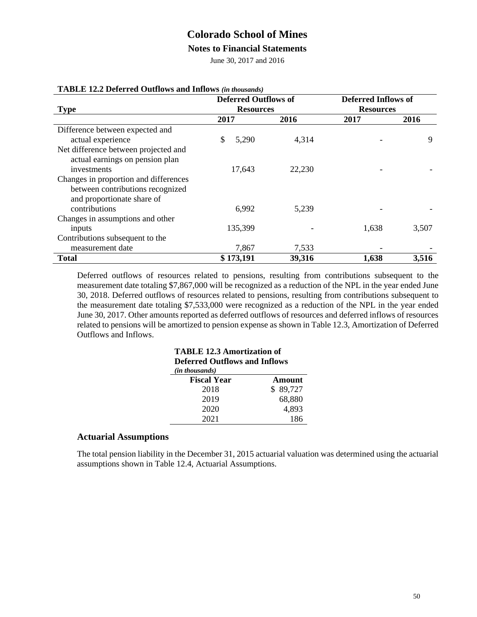#### **Notes to Financial Statements**

June 30, 2017 and 2016

|                                       | <b>Deferred Outflows of</b> |        | Deferred Inflows of |       |  |
|---------------------------------------|-----------------------------|--------|---------------------|-------|--|
| <b>Type</b>                           | <b>Resources</b>            |        | <b>Resources</b>    |       |  |
|                                       | 2017                        | 2016   | 2017                | 2016  |  |
| Difference between expected and       |                             |        |                     |       |  |
| actual experience                     | \$<br>5,290                 | 4,314  |                     | 9     |  |
| Net difference between projected and  |                             |        |                     |       |  |
| actual earnings on pension plan       |                             |        |                     |       |  |
| investments                           | 17,643                      | 22,230 |                     |       |  |
| Changes in proportion and differences |                             |        |                     |       |  |
| between contributions recognized      |                             |        |                     |       |  |
| and proportionate share of            |                             |        |                     |       |  |
| contributions                         | 6,992                       | 5,239  |                     |       |  |
| Changes in assumptions and other      |                             |        |                     |       |  |
| inputs                                | 135,399                     |        | 1,638               | 3,507 |  |
| Contributions subsequent to the       |                             |        |                     |       |  |
| measurement date                      | 7,867                       | 7,533  |                     |       |  |
| <b>Total</b>                          | \$173,191                   | 39,316 | 1,638               | 3,516 |  |

**Total \$ 173,191 39,316 1,638 3,516** Deferred outflows of resources related to pensions, resulting from contributions subsequent to the measurement date totaling \$7,867,000 will be recognized as a reduction of the NPL in the year ended June 30, 2018. Deferred outflows of resources related to pensions, resulting from contributions subsequent to the measurement date totaling \$7,533,000 were recognized as a reduction of the NPL in the year ended June 30, 2017. Other amounts reported as deferred outflows of resources and deferred inflows of resources related to pensions will be amortized to pension expense as shown in Table 12.3, Amortization of Deferred Outflows and Inflows.

| <b>TABLE 12.3 Amortization of</b><br><b>Deferred Outflows and Inflows</b><br>( <i>in thousands</i> ) |          |  |  |
|------------------------------------------------------------------------------------------------------|----------|--|--|
| <b>Fiscal Year</b>                                                                                   | Amount   |  |  |
| 2018                                                                                                 | \$89,727 |  |  |
| 2019                                                                                                 | 68,880   |  |  |
| 2020                                                                                                 | 4,893    |  |  |
| 2021                                                                                                 | 186      |  |  |
|                                                                                                      |          |  |  |

### **Actuarial Assumptions**

The total pension liability in the December 31, 2015 actuarial valuation was determined using the actuarial assumptions shown in Table 12.4, Actuarial Assumptions.

#### **TABLE 12.2 Deferred Outflows and Inflows** *(in thousands)*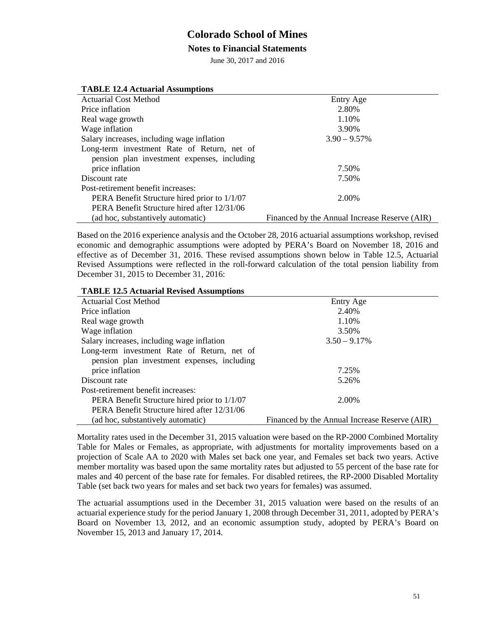### **Notes to Financial Statements**

June 30, 2017 and 2016

| <b>TABLE 12.4 Actuarial Assumptions</b>      |                                               |
|----------------------------------------------|-----------------------------------------------|
| <b>Actuarial Cost Method</b>                 | Entry Age                                     |
| Price inflation                              | 2.80%                                         |
| Real wage growth                             | 1.10%                                         |
| Wage inflation                               | 3.90%                                         |
| Salary increases, including wage inflation   | $3.90 - 9.57\%$                               |
| Long-term investment Rate of Return, net of  |                                               |
| pension plan investment expenses, including  |                                               |
| price inflation                              | 7.50%                                         |
| Discount rate                                | 7.50%                                         |
| Post-retirement benefit increases:           |                                               |
| PERA Benefit Structure hired prior to 1/1/07 | 2.00%                                         |
| PERA Benefit Structure hired after 12/31/06  |                                               |
| (ad hoc, substantively automatic)            | Financed by the Annual Increase Reserve (AIR) |

Based on the 2016 experience analysis and the October 28, 2016 actuarial assumptions workshop, revised economic and demographic assumptions were adopted by PERA's Board on November 18, 2016 and effective as of December 31, 2016. These revised assumptions shown below in Table 12.5, Actuarial Revised Assumptions were reflected in the roll-forward calculation of the total pension liability from December 31, 2015 to December 31, 2016:

| 11111111 1280 лессиитци которой творишрегоцо |                                               |
|----------------------------------------------|-----------------------------------------------|
| <b>Actuarial Cost Method</b>                 | Entry Age                                     |
| Price inflation                              | 2.40%                                         |
| Real wage growth                             | 1.10%                                         |
| Wage inflation                               | 3.50%                                         |
| Salary increases, including wage inflation   | $3.50 - 9.17\%$                               |
| Long-term investment Rate of Return, net of  |                                               |
| pension plan investment expenses, including  |                                               |
| price inflation                              | 7.25%                                         |
| Discount rate                                | 5.26%                                         |
| Post-retirement benefit increases:           |                                               |
| PERA Benefit Structure hired prior to 1/1/07 | 2.00%                                         |
| PERA Benefit Structure hired after 12/31/06  |                                               |
| (ad hoc, substantively automatic)            | Financed by the Annual Increase Reserve (AIR) |

# **TABLE 12.5 Actuarial Revised Assumptions**

Mortality rates used in the December 31, 2015 valuation were based on the RP-2000 Combined Mortality Table for Males or Females, as appropriate, with adjustments for mortality improvements based on a projection of Scale AA to 2020 with Males set back one year, and Females set back two years. Active member mortality was based upon the same mortality rates but adjusted to 55 percent of the base rate for males and 40 percent of the base rate for females. For disabled retirees, the RP-2000 Disabled Mortality Table (set back two years for males and set back two years for females) was assumed.

The actuarial assumptions used in the December 31, 2015 valuation were based on the results of an actuarial experience study for the period January 1, 2008 through December 31, 2011, adopted by PERA's Board on November 13, 2012, and an economic assumption study, adopted by PERA's Board on November 15, 2013 and January 17, 2014.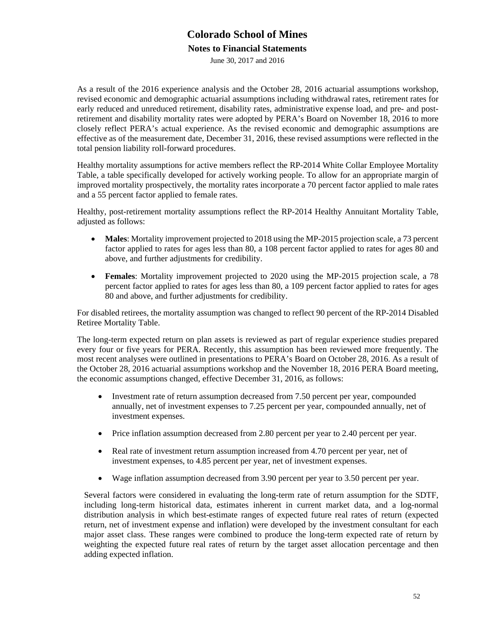June 30, 2017 and 2016

As a result of the 2016 experience analysis and the October 28, 2016 actuarial assumptions workshop, revised economic and demographic actuarial assumptions including withdrawal rates, retirement rates for early reduced and unreduced retirement, disability rates, administrative expense load, and pre- and postretirement and disability mortality rates were adopted by PERA's Board on November 18, 2016 to more closely reflect PERA's actual experience. As the revised economic and demographic assumptions are effective as of the measurement date, December 31, 2016, these revised assumptions were reflected in the total pension liability roll-forward procedures.

Healthy mortality assumptions for active members reflect the RP-2014 White Collar Employee Mortality Table, a table specifically developed for actively working people. To allow for an appropriate margin of improved mortality prospectively, the mortality rates incorporate a 70 percent factor applied to male rates and a 55 percent factor applied to female rates.

Healthy, post-retirement mortality assumptions reflect the RP-2014 Healthy Annuitant Mortality Table, adjusted as follows:

- **Males**: Mortality improvement projected to 2018 using the MP-2015 projection scale, a 73 percent factor applied to rates for ages less than 80, a 108 percent factor applied to rates for ages 80 and above, and further adjustments for credibility.
- **Females**: Mortality improvement projected to 2020 using the MP-2015 projection scale, a 78 percent factor applied to rates for ages less than 80, a 109 percent factor applied to rates for ages 80 and above, and further adjustments for credibility.

For disabled retirees, the mortality assumption was changed to reflect 90 percent of the RP-2014 Disabled Retiree Mortality Table.

The long-term expected return on plan assets is reviewed as part of regular experience studies prepared every four or five years for PERA. Recently, this assumption has been reviewed more frequently. The most recent analyses were outlined in presentations to PERA's Board on October 28, 2016. As a result of the October 28, 2016 actuarial assumptions workshop and the November 18, 2016 PERA Board meeting, the economic assumptions changed, effective December 31, 2016, as follows:

- Investment rate of return assumption decreased from 7.50 percent per year, compounded annually, net of investment expenses to 7.25 percent per year, compounded annually, net of investment expenses.
- Price inflation assumption decreased from 2.80 percent per year to 2.40 percent per year.
- Real rate of investment return assumption increased from 4.70 percent per year, net of investment expenses, to 4.85 percent per year, net of investment expenses.
- Wage inflation assumption decreased from 3.90 percent per year to 3.50 percent per year.

Several factors were considered in evaluating the long-term rate of return assumption for the SDTF, including long-term historical data, estimates inherent in current market data, and a log-normal distribution analysis in which best-estimate ranges of expected future real rates of return (expected return, net of investment expense and inflation) were developed by the investment consultant for each major asset class. These ranges were combined to produce the long-term expected rate of return by weighting the expected future real rates of return by the target asset allocation percentage and then adding expected inflation.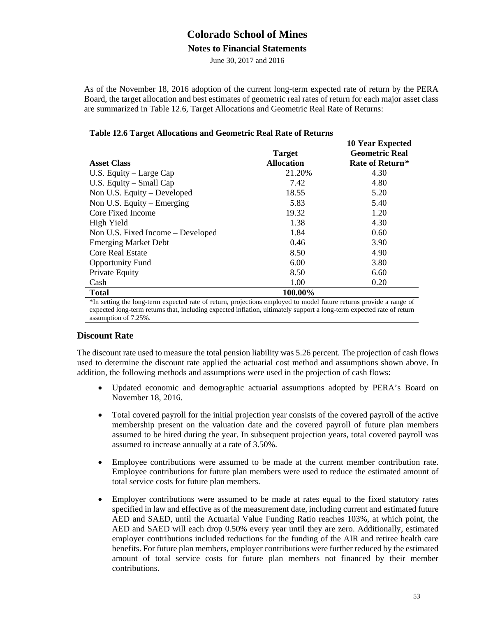June 30, 2017 and 2016

As of the November 18, 2016 adoption of the current long-term expected rate of return by the PERA Board, the target allocation and best estimates of geometric real rates of return for each major asset class are summarized in Table 12.6, Target Allocations and Geometric Real Rate of Returns:

#### **Table 12.6 Target Allocations and Geometric Real Rate of Returns**

|                                   |                   | <b>10 Year Expected</b> |
|-----------------------------------|-------------------|-------------------------|
|                                   | <b>Target</b>     | <b>Geometric Real</b>   |
| <b>Asset Class</b>                | <b>Allocation</b> | Rate of Return*         |
| U.S. Equity $-$ Large Cap         | 21.20%            | 4.30                    |
| U.S. Equity - Small Cap           | 7.42              | 4.80                    |
| Non U.S. Equity – Developed       | 18.55             | 5.20                    |
| Non U.S. Equity – Emerging        | 5.83              | 5.40                    |
| Core Fixed Income                 | 19.32             | 1.20                    |
| High Yield                        | 1.38              | 4.30                    |
| Non U.S. Fixed Income – Developed | 1.84              | 0.60                    |
| <b>Emerging Market Debt</b>       | 0.46              | 3.90                    |
| Core Real Estate                  | 8.50              | 4.90                    |
| <b>Opportunity Fund</b>           | 6.00              | 3.80                    |
| Private Equity                    | 8.50              | 6.60                    |
| Cash                              | 1.00              | 0.20                    |
| <b>Total</b>                      | 100.00%           |                         |

\*In setting the long-term expected rate of return, projections employed to model future returns provide a range of expected long-term returns that, including expected inflation, ultimately support a long-term expected rate of return assumption of 7.25%.

### **Discount Rate**

The discount rate used to measure the total pension liability was 5.26 percent. The projection of cash flows used to determine the discount rate applied the actuarial cost method and assumptions shown above. In addition, the following methods and assumptions were used in the projection of cash flows:

- Updated economic and demographic actuarial assumptions adopted by PERA's Board on November 18, 2016.
- Total covered payroll for the initial projection year consists of the covered payroll of the active membership present on the valuation date and the covered payroll of future plan members assumed to be hired during the year. In subsequent projection years, total covered payroll was assumed to increase annually at a rate of 3.50%.
- Employee contributions were assumed to be made at the current member contribution rate. Employee contributions for future plan members were used to reduce the estimated amount of total service costs for future plan members.
- Employer contributions were assumed to be made at rates equal to the fixed statutory rates specified in law and effective as of the measurement date, including current and estimated future AED and SAED, until the Actuarial Value Funding Ratio reaches 103%, at which point, the AED and SAED will each drop 0.50% every year until they are zero. Additionally, estimated employer contributions included reductions for the funding of the AIR and retiree health care benefits. For future plan members, employer contributions were further reduced by the estimated amount of total service costs for future plan members not financed by their member contributions.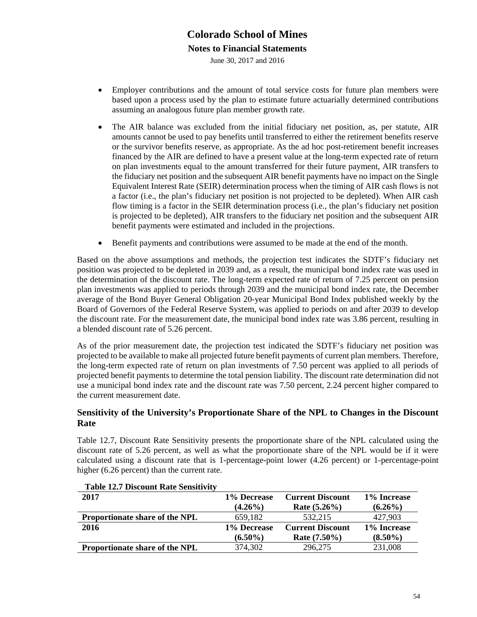June 30, 2017 and 2016

- Employer contributions and the amount of total service costs for future plan members were based upon a process used by the plan to estimate future actuarially determined contributions assuming an analogous future plan member growth rate.
- The AIR balance was excluded from the initial fiduciary net position, as, per statute, AIR amounts cannot be used to pay benefits until transferred to either the retirement benefits reserve or the survivor benefits reserve, as appropriate. As the ad hoc post-retirement benefit increases financed by the AIR are defined to have a present value at the long-term expected rate of return on plan investments equal to the amount transferred for their future payment, AIR transfers to the fiduciary net position and the subsequent AIR benefit payments have no impact on the Single Equivalent Interest Rate (SEIR) determination process when the timing of AIR cash flows is not a factor (i.e., the plan's fiduciary net position is not projected to be depleted). When AIR cash flow timing is a factor in the SEIR determination process (i.e., the plan's fiduciary net position is projected to be depleted), AIR transfers to the fiduciary net position and the subsequent AIR benefit payments were estimated and included in the projections.
- Benefit payments and contributions were assumed to be made at the end of the month.

Based on the above assumptions and methods, the projection test indicates the SDTF's fiduciary net position was projected to be depleted in 2039 and, as a result, the municipal bond index rate was used in the determination of the discount rate. The long-term expected rate of return of 7.25 percent on pension plan investments was applied to periods through 2039 and the municipal bond index rate, the December average of the Bond Buyer General Obligation 20-year Municipal Bond Index published weekly by the Board of Governors of the Federal Reserve System, was applied to periods on and after 2039 to develop the discount rate. For the measurement date, the municipal bond index rate was 3.86 percent, resulting in a blended discount rate of 5.26 percent.

As of the prior measurement date, the projection test indicated the SDTF's fiduciary net position was projected to be available to make all projected future benefit payments of current plan members. Therefore, the long-term expected rate of return on plan investments of 7.50 percent was applied to all periods of projected benefit payments to determine the total pension liability. The discount rate determination did not use a municipal bond index rate and the discount rate was 7.50 percent, 2.24 percent higher compared to the current measurement date.

## **Sensitivity of the University's Proportionate Share of the NPL to Changes in the Discount Rate**

Table 12.7, Discount Rate Sensitivity presents the proportionate share of the NPL calculated using the discount rate of 5.26 percent, as well as what the proportionate share of the NPL would be if it were calculated using a discount rate that is 1-percentage-point lower (4.26 percent) or 1-percentage-point higher (6.26 percent) than the current rate.

| Table 12.7 Discount Nate Sensitivity  |             |                         |             |
|---------------------------------------|-------------|-------------------------|-------------|
| 2017                                  | 1% Decrease | <b>Current Discount</b> | 1% Increase |
|                                       | $(4.26\%)$  | Rate $(5.26\%)$         | $(6.26\%)$  |
| <b>Proportionate share of the NPL</b> | 659.182     | 532.215                 | 427,903     |
| 2016                                  | 1% Decrease | <b>Current Discount</b> | 1% Increase |
|                                       | $(6.50\%)$  | Rate (7.50%)            | $(8.50\%)$  |
| Proportionate share of the NPL        | 374,302     | 296,275                 | 231,008     |

#### **Table 12.7 Discount Rate Sensitivity**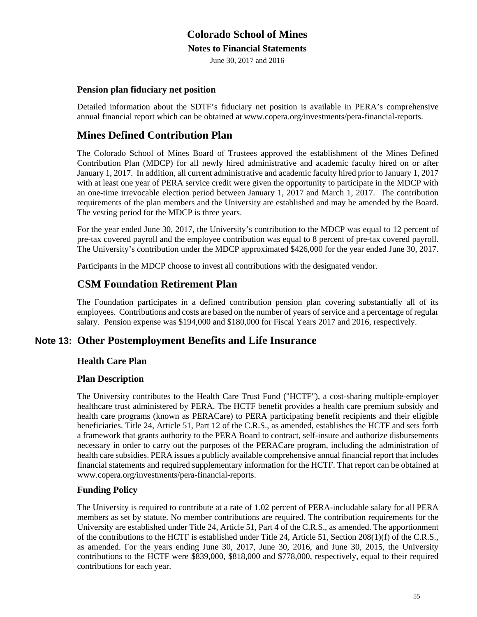### **Notes to Financial Statements**

June 30, 2017 and 2016

## **Pension plan fiduciary net position**

Detailed information about the SDTF's fiduciary net position is available in PERA's comprehensive annual financial report which can be obtained at www.copera.org/investments/pera-financial-reports.

# **Mines Defined Contribution Plan**

The Colorado School of Mines Board of Trustees approved the establishment of the Mines Defined Contribution Plan (MDCP) for all newly hired administrative and academic faculty hired on or after January 1, 2017. In addition, all current administrative and academic faculty hired prior to January 1, 2017 with at least one year of PERA service credit were given the opportunity to participate in the MDCP with an one-time irrevocable election period between January 1, 2017 and March 1, 2017. The contribution requirements of the plan members and the University are established and may be amended by the Board. The vesting period for the MDCP is three years.

For the year ended June 30, 2017, the University's contribution to the MDCP was equal to 12 percent of pre-tax covered payroll and the employee contribution was equal to 8 percent of pre-tax covered payroll. The University's contribution under the MDCP approximated \$426,000 for the year ended June 30, 2017.

Participants in the MDCP choose to invest all contributions with the designated vendor.

# **CSM Foundation Retirement Plan**

The Foundation participates in a defined contribution pension plan covering substantially all of its employees. Contributions and costs are based on the number of years of service and a percentage of regular salary. Pension expense was \$194,000 and \$180,000 for Fiscal Years 2017 and 2016, respectively.

## **Note 13: Other Postemployment Benefits and Life Insurance**

### **Health Care Plan**

## **Plan Description**

The University contributes to the Health Care Trust Fund ("HCTF"), a cost-sharing multiple-employer healthcare trust administered by PERA. The HCTF benefit provides a health care premium subsidy and health care programs (known as PERACare) to PERA participating benefit recipients and their eligible beneficiaries. Title 24, Article 51, Part 12 of the C.R.S., as amended, establishes the HCTF and sets forth a framework that grants authority to the PERA Board to contract, self-insure and authorize disbursements necessary in order to carry out the purposes of the PERACare program, including the administration of health care subsidies. PERA issues a publicly available comprehensive annual financial report that includes financial statements and required supplementary information for the HCTF. That report can be obtained at www.copera.org/investments/pera-financial-reports.

## **Funding Policy**

The University is required to contribute at a rate of 1.02 percent of PERA-includable salary for all PERA members as set by statute. No member contributions are required. The contribution requirements for the University are established under Title 24, Article 51, Part 4 of the C.R.S., as amended. The apportionment of the contributions to the HCTF is established under Title 24, Article 51, Section 208(1)(f) of the C.R.S., as amended. For the years ending June 30, 2017, June 30, 2016, and June 30, 2015, the University contributions to the HCTF were \$839,000, \$818,000 and \$778,000, respectively, equal to their required contributions for each year.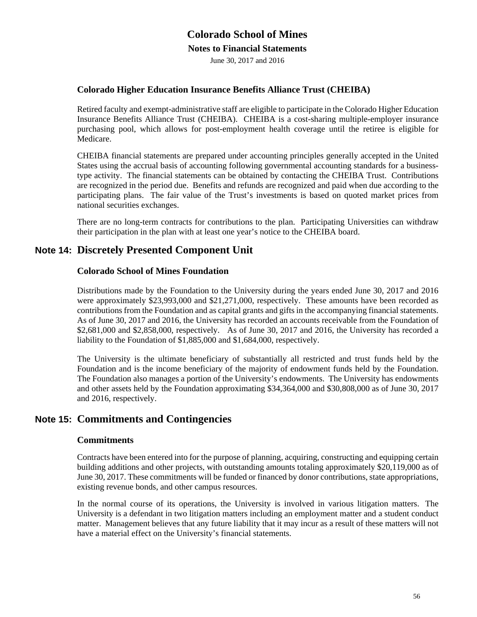#### **Notes to Financial Statements**

June 30, 2017 and 2016

## **Colorado Higher Education Insurance Benefits Alliance Trust (CHEIBA)**

Retired faculty and exempt-administrative staff are eligible to participate in the Colorado Higher Education Insurance Benefits Alliance Trust (CHEIBA). CHEIBA is a cost-sharing multiple-employer insurance purchasing pool, which allows for post-employment health coverage until the retiree is eligible for Medicare.

CHEIBA financial statements are prepared under accounting principles generally accepted in the United States using the accrual basis of accounting following governmental accounting standards for a businesstype activity. The financial statements can be obtained by contacting the CHEIBA Trust. Contributions are recognized in the period due. Benefits and refunds are recognized and paid when due according to the participating plans. The fair value of the Trust's investments is based on quoted market prices from national securities exchanges.

There are no long-term contracts for contributions to the plan. Participating Universities can withdraw their participation in the plan with at least one year's notice to the CHEIBA board.

# **Note 14: Discretely Presented Component Unit**

## **Colorado School of Mines Foundation**

Distributions made by the Foundation to the University during the years ended June 30, 2017 and 2016 were approximately \$23,993,000 and \$21,271,000, respectively. These amounts have been recorded as contributions from the Foundation and as capital grants and gifts in the accompanying financial statements. As of June 30, 2017 and 2016, the University has recorded an accounts receivable from the Foundation of \$2,681,000 and \$2,858,000, respectively. As of June 30, 2017 and 2016, the University has recorded a liability to the Foundation of \$1,885,000 and \$1,684,000, respectively.

The University is the ultimate beneficiary of substantially all restricted and trust funds held by the Foundation and is the income beneficiary of the majority of endowment funds held by the Foundation. The Foundation also manages a portion of the University's endowments. The University has endowments and other assets held by the Foundation approximating \$34,364,000 and \$30,808,000 as of June 30, 2017 and 2016, respectively.

## **Note 15: Commitments and Contingencies**

### **Commitments**

Contracts have been entered into for the purpose of planning, acquiring, constructing and equipping certain building additions and other projects, with outstanding amounts totaling approximately \$20,119,000 as of June 30, 2017. These commitments will be funded or financed by donor contributions, state appropriations, existing revenue bonds, and other campus resources.

In the normal course of its operations, the University is involved in various litigation matters. The University is a defendant in two litigation matters including an employment matter and a student conduct matter. Management believes that any future liability that it may incur as a result of these matters will not have a material effect on the University's financial statements.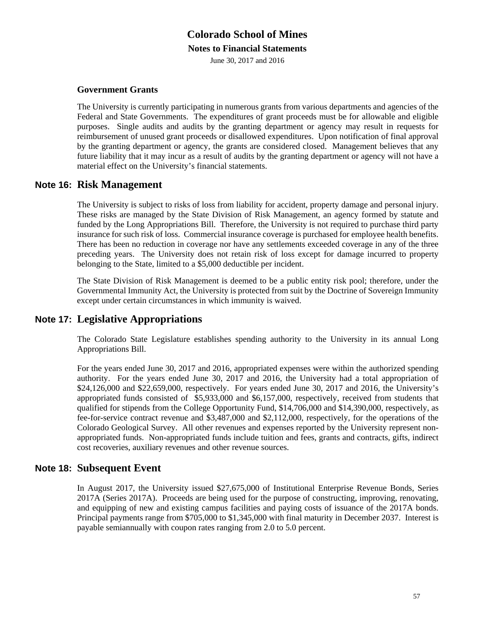June 30, 2017 and 2016

## **Government Grants**

The University is currently participating in numerous grants from various departments and agencies of the Federal and State Governments. The expenditures of grant proceeds must be for allowable and eligible purposes. Single audits and audits by the granting department or agency may result in requests for reimbursement of unused grant proceeds or disallowed expenditures. Upon notification of final approval by the granting department or agency, the grants are considered closed. Management believes that any future liability that it may incur as a result of audits by the granting department or agency will not have a material effect on the University's financial statements.

## **Note 16: Risk Management**

The University is subject to risks of loss from liability for accident, property damage and personal injury. These risks are managed by the State Division of Risk Management, an agency formed by statute and funded by the Long Appropriations Bill. Therefore, the University is not required to purchase third party insurance for such risk of loss. Commercial insurance coverage is purchased for employee health benefits. There has been no reduction in coverage nor have any settlements exceeded coverage in any of the three preceding years. The University does not retain risk of loss except for damage incurred to property belonging to the State, limited to a \$5,000 deductible per incident.

The State Division of Risk Management is deemed to be a public entity risk pool; therefore, under the Governmental Immunity Act, the University is protected from suit by the Doctrine of Sovereign Immunity except under certain circumstances in which immunity is waived.

## **Note 17: Legislative Appropriations**

The Colorado State Legislature establishes spending authority to the University in its annual Long Appropriations Bill.

For the years ended June 30, 2017 and 2016, appropriated expenses were within the authorized spending authority. For the years ended June 30, 2017 and 2016, the University had a total appropriation of \$24,126,000 and \$22,659,000, respectively. For years ended June 30, 2017 and 2016, the University's appropriated funds consisted of \$5,933,000 and \$6,157,000, respectively, received from students that qualified for stipends from the College Opportunity Fund, \$14,706,000 and \$14,390,000, respectively, as fee-for-service contract revenue and \$3,487,000 and \$2,112,000, respectively, for the operations of the Colorado Geological Survey. All other revenues and expenses reported by the University represent nonappropriated funds. Non-appropriated funds include tuition and fees, grants and contracts, gifts, indirect cost recoveries, auxiliary revenues and other revenue sources.

## **Note 18: Subsequent Event**

In August 2017, the University issued \$27,675,000 of Institutional Enterprise Revenue Bonds, Series 2017A (Series 2017A). Proceeds are being used for the purpose of constructing, improving, renovating, and equipping of new and existing campus facilities and paying costs of issuance of the 2017A bonds. Principal payments range from \$705,000 to \$1,345,000 with final maturity in December 2037. Interest is payable semiannually with coupon rates ranging from 2.0 to 5.0 percent.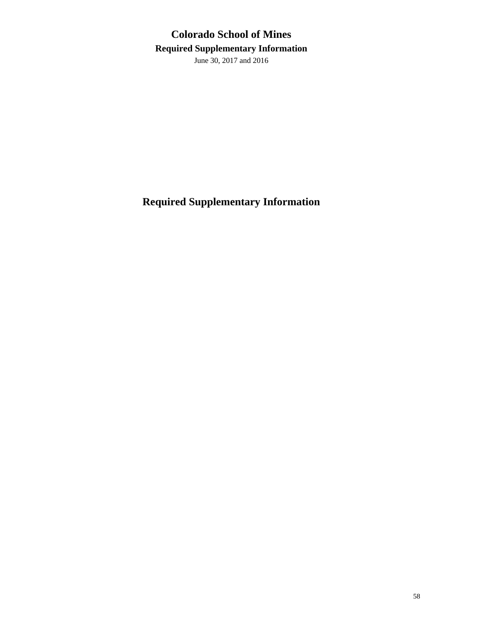# **Colorado School of Mines Required Supplementary Information**

June 30, 2017 and 2016

**Required Supplementary Information**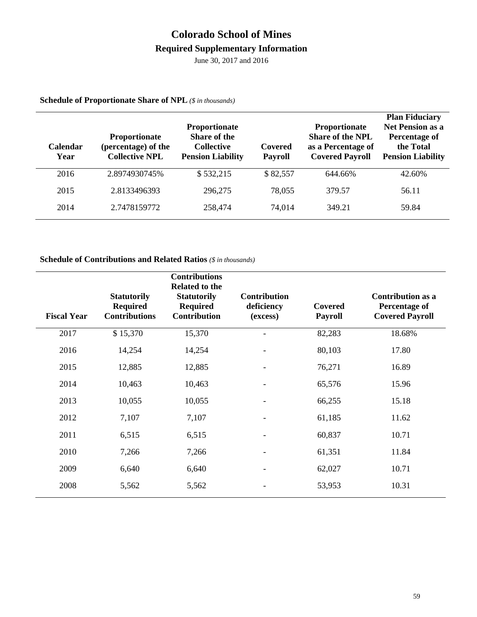# **Colorado School of Mines Required Supplementary Information**

June 30, 2017 and 2016

| <b>Calendar</b><br>Year | Proportionate<br>(percentage) of the<br><b>Collective NPL</b> | <b>Proportionate</b><br><b>Share of the</b><br><b>Collective</b><br><b>Pension Liability</b> | Covered<br><b>Payroll</b> | <b>Proportionate</b><br><b>Share of the NPL</b><br>as a Percentage of<br><b>Covered Payroll</b> | <b>Plan Fiduciary</b><br><b>Net Pension as a</b><br>Percentage of<br>the Total<br><b>Pension Liability</b> |
|-------------------------|---------------------------------------------------------------|----------------------------------------------------------------------------------------------|---------------------------|-------------------------------------------------------------------------------------------------|------------------------------------------------------------------------------------------------------------|
| 2016                    | 2.8974930745%                                                 | \$532,215                                                                                    | \$82,557                  | 644.66%                                                                                         | 42.60%                                                                                                     |
| 2015                    | 2.8133496393                                                  | 296,275                                                                                      | 78,055                    | 379.57                                                                                          | 56.11                                                                                                      |
| 2014                    | 2.7478159772                                                  | 258,474                                                                                      | 74,014                    | 349.21                                                                                          | 59.84                                                                                                      |

**Schedule of Proportionate Share of NPL** *(\$ in thousands)*

## **Schedule of Contributions and Related Ratios** *(\$ in thousands)*

| <b>Fiscal Year</b> | <b>Statutorily</b><br><b>Required</b><br><b>Contributions</b> | <b>Contributions</b><br><b>Related to the</b><br><b>Statutorily</b><br><b>Required</b><br>Contribution | <b>Contribution</b><br>deficiency<br>(excess) | Covered<br><b>Payroll</b> | <b>Contribution as a</b><br>Percentage of<br><b>Covered Payroll</b> |
|--------------------|---------------------------------------------------------------|--------------------------------------------------------------------------------------------------------|-----------------------------------------------|---------------------------|---------------------------------------------------------------------|
| 2017               | \$15,370                                                      | 15,370                                                                                                 |                                               | 82,283                    | 18.68%                                                              |
| 2016               | 14,254                                                        | 14,254                                                                                                 |                                               | 80,103                    | 17.80                                                               |
| 2015               | 12,885                                                        | 12,885                                                                                                 |                                               | 76,271                    | 16.89                                                               |
| 2014               | 10,463                                                        | 10,463                                                                                                 |                                               | 65,576                    | 15.96                                                               |
| 2013               | 10,055                                                        | 10,055                                                                                                 |                                               | 66,255                    | 15.18                                                               |
| 2012               | 7,107                                                         | 7,107                                                                                                  |                                               | 61,185                    | 11.62                                                               |
| 2011               | 6,515                                                         | 6,515                                                                                                  |                                               | 60,837                    | 10.71                                                               |
| 2010               | 7,266                                                         | 7,266                                                                                                  |                                               | 61,351                    | 11.84                                                               |
| 2009               | 6,640                                                         | 6,640                                                                                                  |                                               | 62,027                    | 10.71                                                               |
| 2008               | 5,562                                                         | 5,562                                                                                                  |                                               | 53,953                    | 10.31                                                               |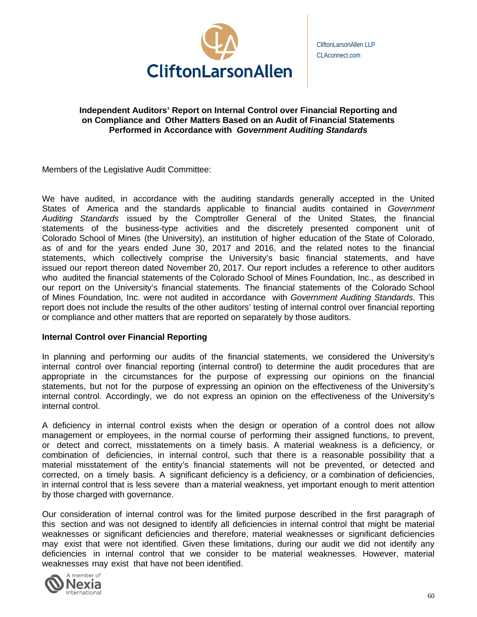

#### **Independent Auditors' Report on Internal Control over Financial Reporting and on Compliance and Other Matters Based on an Audit of Financial Statements Performed in Accordance with** *Government Auditing Standards*

Members of the Legislative Audit Committee:

We have audited, in accordance with the auditing standards generally accepted in the United States of America and the standards applicable to financial audits contained in *Government Auditing Standards* issued by the Comptroller General of the United States, the financial statements of the business-type activities and the discretely presented component unit of Colorado School of Mines (the University), an institution of higher education of the State of Colorado, as of and for the years ended June 30, 2017 and 2016, and the related notes to the financial statements, which collectively comprise the University's basic financial statements, and have issued our report thereon dated November 20, 2017. Our report includes a reference to other auditors who audited the financial statements of the Colorado School of Mines Foundation, Inc., as described in our report on the University's financial statements. The financial statements of the Colorado School of Mines Foundation, Inc. were not audited in accordance with *Government Auditing Standards*. This report does not include the results of the other auditors' testing of internal control over financial reporting or compliance and other matters that are reported on separately by those auditors.

#### **Internal Control over Financial Reporting**

In planning and performing our audits of the financial statements, we considered the University's internal control over financial reporting (internal control) to determine the audit procedures that are appropriate in the circumstances for the purpose of expressing our opinions on the financial statements, but not for the purpose of expressing an opinion on the effectiveness of the University's internal control. Accordingly, we do not express an opinion on the effectiveness of the University's internal control.

A deficiency in internal control exists when the design or operation of a control does not allow management or employees, in the normal course of performing their assigned functions, to prevent, or detect and correct, misstatements on a timely basis. A material weakness is a deficiency, or combination of deficiencies, in internal control, such that there is a reasonable possibility that a material misstatement of the entity's financial statements will not be prevented, or detected and corrected, on a timely basis. A significant deficiency is a deficiency, or a combination of deficiencies, in internal control that is less severe than a material weakness, yet important enough to merit attention by those charged with governance.

Our consideration of internal control was for the limited purpose described in the first paragraph of this section and was not designed to identify all deficiencies in internal control that might be material weaknesses or significant deficiencies and therefore, material weaknesses or significant deficiencies may exist that were not identified. Given these limitations, during our audit we did not identify any deficiencies in internal control that we consider to be material weaknesses. However, material weaknesses may exist that have not been identified.

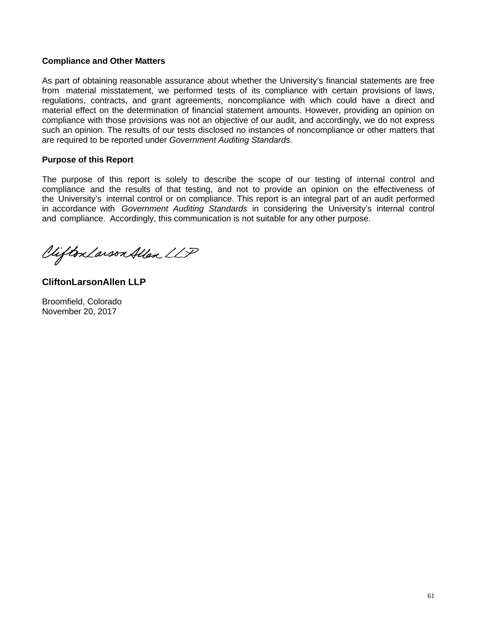#### **Compliance and Other Matters**

As part of obtaining reasonable assurance about whether the University's financial statements are free from material misstatement, we performed tests of its compliance with certain provisions of laws, regulations, contracts, and grant agreements, noncompliance with which could have a direct and material effect on the determination of financial statement amounts. However, providing an opinion on compliance with those provisions was not an objective of our audit, and accordingly, we do not express such an opinion. The results of our tests disclosed no instances of noncompliance or other matters that are required to be reported under *Government Auditing Standards*.

#### **Purpose of this Report**

The purpose of this report is solely to describe the scope of our testing of internal control and compliance and the results of that testing, and not to provide an opinion on the effectiveness of the University's internal control or on compliance. This report is an integral part of an audit performed in accordance with *Government Auditing Standards* in considering the University's internal control and compliance. Accordingly, this communication is not suitable for any other purpose.

Vifton Larson Allen LLP

**CliftonLarsonAllen LLP** 

Broomfield, Colorado November 20, 2017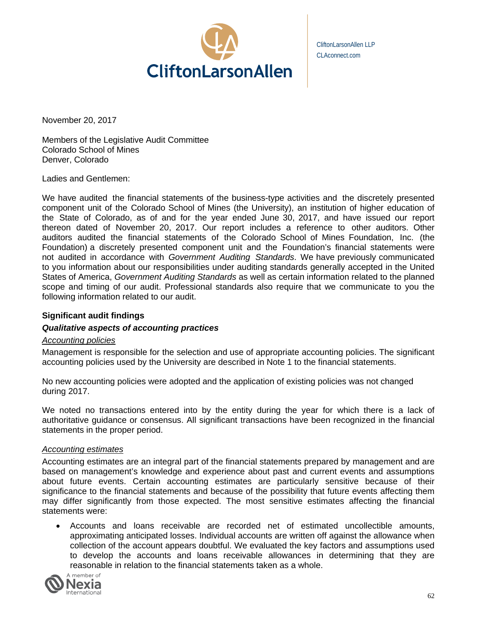

CliftonLarsonAllen LLP CLAconnect.com

November 20, 2017

Members of the Legislative Audit Committee Colorado School of Mines Denver, Colorado

Ladies and Gentlemen:

We have audited the financial statements of the business-type activities and the discretely presented component unit of the Colorado School of Mines (the University), an institution of higher education of the State of Colorado, as of and for the year ended June 30, 2017, and have issued our report thereon dated of November 20, 2017. Our report includes a reference to other auditors. Other auditors audited the financial statements of the Colorado School of Mines Foundation, Inc. (the Foundation) a discretely presented component unit and the Foundation's financial statements were not audited in accordance with *Government Auditing Standards*. We have previously communicated to you information about our responsibilities under auditing standards generally accepted in the United States of America, *Government Auditing Standards* as well as certain information related to the planned scope and timing of our audit. Professional standards also require that we communicate to you the following information related to our audit.

### **Significant audit findings**

### *Qualitative aspects of accounting practices*

#### *Accounting policies*

Management is responsible for the selection and use of appropriate accounting policies. The significant accounting policies used by the University are described in Note 1 to the financial statements.

No new accounting policies were adopted and the application of existing policies was not changed during 2017.

We noted no transactions entered into by the entity during the year for which there is a lack of authoritative guidance or consensus. All significant transactions have been recognized in the financial statements in the proper period.

#### *Accounting estimates*

Accounting estimates are an integral part of the financial statements prepared by management and are based on management's knowledge and experience about past and current events and assumptions about future events. Certain accounting estimates are particularly sensitive because of their significance to the financial statements and because of the possibility that future events affecting them may differ significantly from those expected. The most sensitive estimates affecting the financial statements were:

 Accounts and loans receivable are recorded net of estimated uncollectible amounts, approximating anticipated losses. Individual accounts are written off against the allowance when collection of the account appears doubtful. We evaluated the key factors and assumptions used to develop the accounts and loans receivable allowances in determining that they are reasonable in relation to the financial statements taken as a whole.

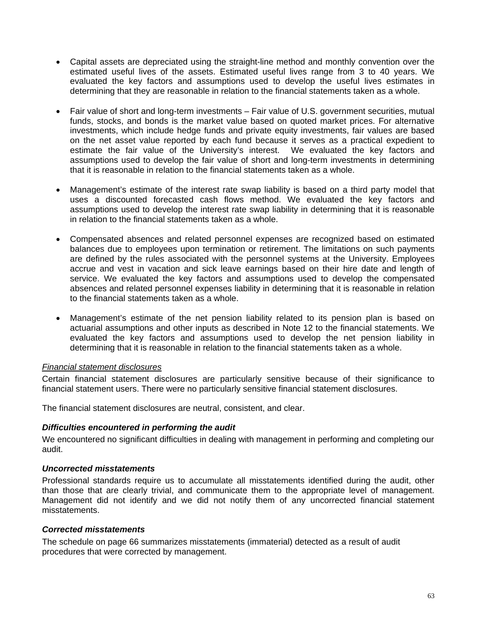- Capital assets are depreciated using the straight-line method and monthly convention over the estimated useful lives of the assets. Estimated useful lives range from 3 to 40 years. We evaluated the key factors and assumptions used to develop the useful lives estimates in determining that they are reasonable in relation to the financial statements taken as a whole.
- Fair value of short and long-term investments Fair value of U.S. government securities, mutual funds, stocks, and bonds is the market value based on quoted market prices. For alternative investments, which include hedge funds and private equity investments, fair values are based on the net asset value reported by each fund because it serves as a practical expedient to estimate the fair value of the University's interest. We evaluated the key factors and assumptions used to develop the fair value of short and long-term investments in determining that it is reasonable in relation to the financial statements taken as a whole.
- Management's estimate of the interest rate swap liability is based on a third party model that uses a discounted forecasted cash flows method. We evaluated the key factors and assumptions used to develop the interest rate swap liability in determining that it is reasonable in relation to the financial statements taken as a whole.
- Compensated absences and related personnel expenses are recognized based on estimated balances due to employees upon termination or retirement. The limitations on such payments are defined by the rules associated with the personnel systems at the University. Employees accrue and vest in vacation and sick leave earnings based on their hire date and length of service. We evaluated the key factors and assumptions used to develop the compensated absences and related personnel expenses liability in determining that it is reasonable in relation to the financial statements taken as a whole.
- Management's estimate of the net pension liability related to its pension plan is based on actuarial assumptions and other inputs as described in Note 12 to the financial statements. We evaluated the key factors and assumptions used to develop the net pension liability in determining that it is reasonable in relation to the financial statements taken as a whole.

### *Financial statement disclosures*

Certain financial statement disclosures are particularly sensitive because of their significance to financial statement users. There were no particularly sensitive financial statement disclosures.

The financial statement disclosures are neutral, consistent, and clear.

### *Difficulties encountered in performing the audit*

We encountered no significant difficulties in dealing with management in performing and completing our audit.

### *Uncorrected misstatements*

Professional standards require us to accumulate all misstatements identified during the audit, other than those that are clearly trivial, and communicate them to the appropriate level of management. Management did not identify and we did not notify them of any uncorrected financial statement misstatements.

### *Corrected misstatements*

The schedule on page 66 summarizes misstatements (immaterial) detected as a result of audit procedures that were corrected by management.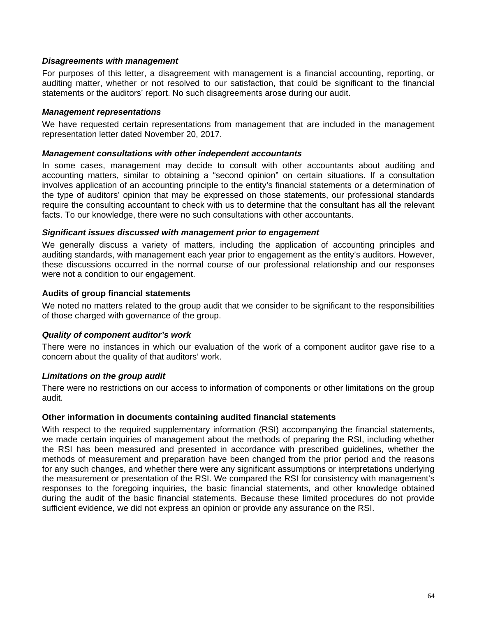#### *Disagreements with management*

For purposes of this letter, a disagreement with management is a financial accounting, reporting, or auditing matter, whether or not resolved to our satisfaction, that could be significant to the financial statements or the auditors' report. No such disagreements arose during our audit.

#### *Management representations*

We have requested certain representations from management that are included in the management representation letter dated November 20, 2017.

#### *Management consultations with other independent accountants*

In some cases, management may decide to consult with other accountants about auditing and accounting matters, similar to obtaining a "second opinion" on certain situations. If a consultation involves application of an accounting principle to the entity's financial statements or a determination of the type of auditors' opinion that may be expressed on those statements, our professional standards require the consulting accountant to check with us to determine that the consultant has all the relevant facts. To our knowledge, there were no such consultations with other accountants.

#### *Significant issues discussed with management prior to engagement*

We generally discuss a variety of matters, including the application of accounting principles and auditing standards, with management each year prior to engagement as the entity's auditors. However, these discussions occurred in the normal course of our professional relationship and our responses were not a condition to our engagement.

#### **Audits of group financial statements**

We noted no matters related to the group audit that we consider to be significant to the responsibilities of those charged with governance of the group.

#### *Quality of component auditor's work*

There were no instances in which our evaluation of the work of a component auditor gave rise to a concern about the quality of that auditors' work.

#### *Limitations on the group audit*

There were no restrictions on our access to information of components or other limitations on the group audit.

#### **Other information in documents containing audited financial statements**

With respect to the required supplementary information (RSI) accompanying the financial statements, we made certain inquiries of management about the methods of preparing the RSI, including whether the RSI has been measured and presented in accordance with prescribed guidelines, whether the methods of measurement and preparation have been changed from the prior period and the reasons for any such changes, and whether there were any significant assumptions or interpretations underlying the measurement or presentation of the RSI. We compared the RSI for consistency with management's responses to the foregoing inquiries, the basic financial statements, and other knowledge obtained during the audit of the basic financial statements. Because these limited procedures do not provide sufficient evidence, we did not express an opinion or provide any assurance on the RSI.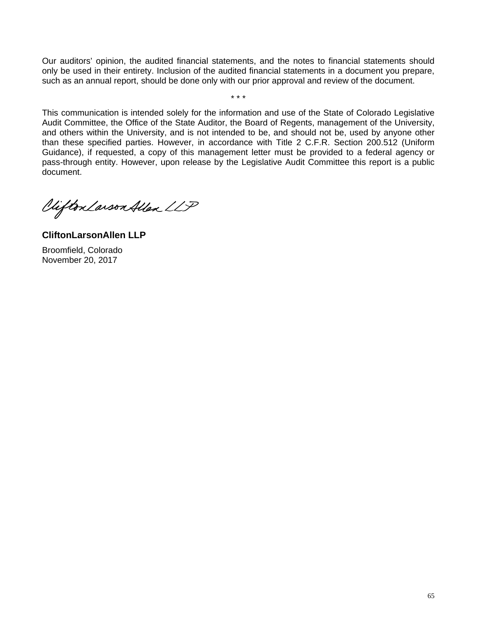Our auditors' opinion, the audited financial statements, and the notes to financial statements should only be used in their entirety. Inclusion of the audited financial statements in a document you prepare, such as an annual report, should be done only with our prior approval and review of the document.

\* \* \*

This communication is intended solely for the information and use of the State of Colorado Legislative Audit Committee, the Office of the State Auditor, the Board of Regents, management of the University, and others within the University, and is not intended to be, and should not be, used by anyone other than these specified parties. However, in accordance with Title 2 C.F.R. Section 200.512 (Uniform Guidance), if requested, a copy of this management letter must be provided to a federal agency or pass-through entity. However, upon release by the Legislative Audit Committee this report is a public document.

Viifton Larson Allen LLP

**CliftonLarsonAllen LLP**  Broomfield, Colorado November 20, 2017